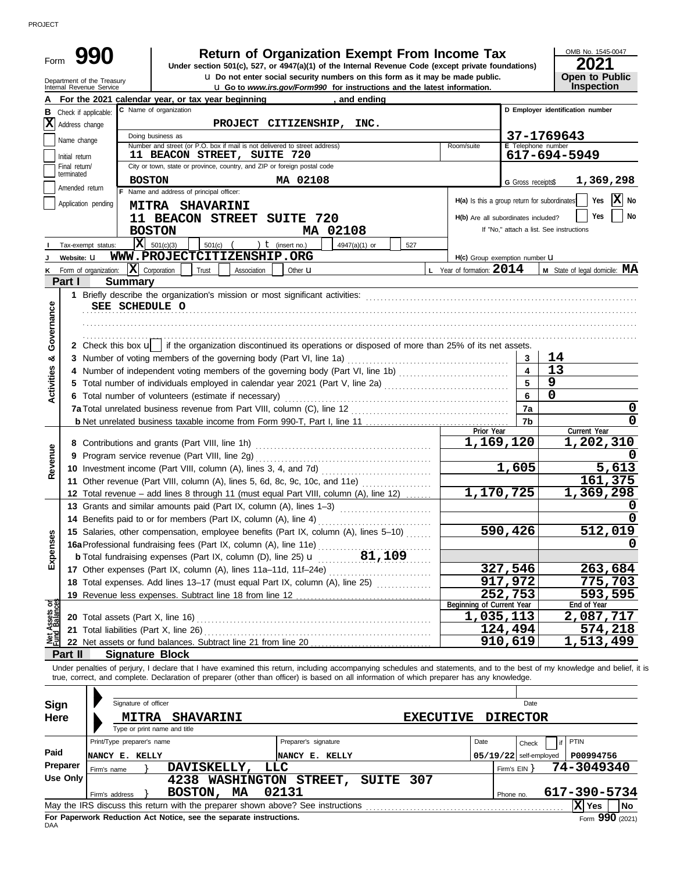| For the 2021 calendar year, or tax year beginning<br>, and ending<br>C Name of organization<br>D Emplover identification number<br>PROJECT CITIZENSHIP, INC.<br>Address change<br>37-1769643<br>Doing business as<br>Name change<br>Number and street (or P.O. box if mail is not delivered to street address)<br>E Telephone number<br>Room/suite<br>617-694-5949<br>11 BEACON STREET, SUITE 720<br>Initial return<br>City or town, state or province, country, and ZIP or foreign postal code<br>Final return/<br>terminated<br><b>BOSTON</b><br>MA 02108<br>1,369,298<br>G Gross receipts\$<br>Amended return<br>F Name and address of principal officer:<br>$ \mathbf{X} $ No<br>Yes<br>H(a) Is this a group return for subordinates<br>Application pending<br><b>MITRA SHAVARINI</b><br>Yes<br>11 BEACON STREET SUITE 720<br>H(b) Are all subordinates included?<br>If "No," attach a list. See instructions<br><b>BOSTON</b><br>MA 02108<br>$\overline{\mathbf{X}}$ 501(c)(3)<br>) $t$ (insert no.)<br>$501(c)$ (<br>4947(a)(1) or<br>Tax-exempt status:<br>527<br>WWW.PROJECTCITIZENSHIP.ORG<br>Website: U<br>H(c) Group exemption number <b>U</b><br>Form of organization: $\overline{\mathbf{X}}$ Corporation<br>L Year of formation: $2014$<br>M State of legal domicile: MA<br>Trust<br>Other <b>u</b><br>Association<br>κ<br>Part I<br><b>Summary</b><br>Governance<br>SEE SCHEDULE O<br>2 Check this box u   if the organization discontinued its operations or disposed of more than 25% of its net assets.<br>14<br>3 Number of voting members of the governing body (Part VI, line 1a)<br>ಳ<br>3<br>Activities<br>13<br>$\overline{\mathbf{4}}$<br>$\overline{9}$<br>5<br>5 Total number of individuals employed in calendar year 2021 (Part V, line 2a) [11] [20] [11] [20] [11] [20] [<br>U<br>6<br>6 Total number of volunteers (estimate if necessary)<br>7a<br>7b<br>Current Year<br>Prior Year<br>1,202,310<br>1,169,120<br>Revenue<br>1,605<br>5,613<br>161,375<br>11 Other revenue (Part VIII, column (A), lines 5, 6d, 8c, 9c, 10c, and 11e)<br>1,170,725<br>1,369,298<br>12 Total revenue - add lines 8 through 11 (must equal Part VIII, column (A), line 12)<br>13 Grants and similar amounts paid (Part IX, column (A), lines 1-3)<br>14 Benefits paid to or for members (Part IX, column (A), line 4)<br>590,426<br>512,019<br>15 Salaries, other compensation, employee benefits (Part IX, column (A), lines 5-10)<br>Expenses<br>327,546<br>263,684<br>17 Other expenses (Part IX, column (A), lines 11a-11d, 11f-24e)<br>917,972<br>775,703<br>18 Total expenses. Add lines 13-17 (must equal Part IX, column (A), line 25) [<br>252,753<br>593,595<br>Net Assets or<br>Fund Balances<br>Beginning of Current Year<br>End of Year<br>1,035,113<br>2,087,717<br>124,494<br>574,218<br>21 Total liabilities (Part X, line 26)<br>910,619<br>1,513,499<br>Part II<br><b>Signature Block</b><br>Under penalties of perjury, I declare that I have examined this return, including accompanying schedules and statements, and to the best of my knowledge and belief, it is<br>true, correct, and complete. Declaration of preparer (other than officer) is based on all information of which preparer has any knowledge.<br>Signature of officer<br><b>Sign</b><br>Date<br><b>DIRECTOR</b><br><b>Here</b><br><b>MITRA SHAVARINI</b><br><b>EXECUTIVE</b><br>Type or print name and title<br>Print/Type preparer's name<br>Preparer's signature<br>PTIN<br>Date<br>Check<br>Paid<br>$05/19/22$ self-employed<br>P00994756<br>NANCY E. KELLY<br>NANCY E. KELLY<br>Preparer<br>DAVISKELLY,<br><b>LLC</b><br>74-3049340<br>Firm's $EIN$ }<br>Firm's name<br><b>Use Only</b><br>4238 WASHINGTON STREET,<br>SUITE 307 | Form<br>Department of the Treasury<br>Internal Revenue Service | <b>Return of Organization Exempt From Income Tax</b><br>Under section 501(c), 527, or 4947(a)(1) of the Internal Revenue Code (except private foundations)<br>u Do not enter social security numbers on this form as it may be made public.<br><b>u</b> Go to www.irs.gov/Form990 for instructions and the latest information. |  | 2021<br><b>Open to Public</b><br>Inspection |
|---------------------------------------------------------------------------------------------------------------------------------------------------------------------------------------------------------------------------------------------------------------------------------------------------------------------------------------------------------------------------------------------------------------------------------------------------------------------------------------------------------------------------------------------------------------------------------------------------------------------------------------------------------------------------------------------------------------------------------------------------------------------------------------------------------------------------------------------------------------------------------------------------------------------------------------------------------------------------------------------------------------------------------------------------------------------------------------------------------------------------------------------------------------------------------------------------------------------------------------------------------------------------------------------------------------------------------------------------------------------------------------------------------------------------------------------------------------------------------------------------------------------------------------------------------------------------------------------------------------------------------------------------------------------------------------------------------------------------------------------------------------------------------------------------------------------------------------------------------------------------------------------------------------------------------------------------------------------------------------------------------------------------------------------------------------------------------------------------------------------------------------------------------------------------------------------------------------------------------------------------------------------------------------------------------------------------------------------------------------------------------------------------------------------------------------------------------------------------------------------------------------------------------------------------------------------------------------------------------------------------------------------------------------------------------------------------------------------------------------------------------------------------------------------------------------------------------------------------------------------------------------------------------------------------------------------------------------------------------------------------------------------------------------------------------------------------------------------------------------------------------------------------------------------------------------------------------------------------------------------------------------------------------------------------------------------------------------------------------------------------------------------------------------------------------------------------------------------------------------------------------------------------------------------------------------------------------------------------------------------------------------------------------------------------------------------------------------------------------------------|----------------------------------------------------------------|--------------------------------------------------------------------------------------------------------------------------------------------------------------------------------------------------------------------------------------------------------------------------------------------------------------------------------|--|---------------------------------------------|
|                                                                                                                                                                                                                                                                                                                                                                                                                                                                                                                                                                                                                                                                                                                                                                                                                                                                                                                                                                                                                                                                                                                                                                                                                                                                                                                                                                                                                                                                                                                                                                                                                                                                                                                                                                                                                                                                                                                                                                                                                                                                                                                                                                                                                                                                                                                                                                                                                                                                                                                                                                                                                                                                                                                                                                                                                                                                                                                                                                                                                                                                                                                                                                                                                                                                                                                                                                                                                                                                                                                                                                                                                                                                                                                                             |                                                                |                                                                                                                                                                                                                                                                                                                                |  |                                             |
|                                                                                                                                                                                                                                                                                                                                                                                                                                                                                                                                                                                                                                                                                                                                                                                                                                                                                                                                                                                                                                                                                                                                                                                                                                                                                                                                                                                                                                                                                                                                                                                                                                                                                                                                                                                                                                                                                                                                                                                                                                                                                                                                                                                                                                                                                                                                                                                                                                                                                                                                                                                                                                                                                                                                                                                                                                                                                                                                                                                                                                                                                                                                                                                                                                                                                                                                                                                                                                                                                                                                                                                                                                                                                                                                             | <b>B</b> Check if applicable:                                  |                                                                                                                                                                                                                                                                                                                                |  |                                             |
|                                                                                                                                                                                                                                                                                                                                                                                                                                                                                                                                                                                                                                                                                                                                                                                                                                                                                                                                                                                                                                                                                                                                                                                                                                                                                                                                                                                                                                                                                                                                                                                                                                                                                                                                                                                                                                                                                                                                                                                                                                                                                                                                                                                                                                                                                                                                                                                                                                                                                                                                                                                                                                                                                                                                                                                                                                                                                                                                                                                                                                                                                                                                                                                                                                                                                                                                                                                                                                                                                                                                                                                                                                                                                                                                             | X                                                              |                                                                                                                                                                                                                                                                                                                                |  |                                             |
|                                                                                                                                                                                                                                                                                                                                                                                                                                                                                                                                                                                                                                                                                                                                                                                                                                                                                                                                                                                                                                                                                                                                                                                                                                                                                                                                                                                                                                                                                                                                                                                                                                                                                                                                                                                                                                                                                                                                                                                                                                                                                                                                                                                                                                                                                                                                                                                                                                                                                                                                                                                                                                                                                                                                                                                                                                                                                                                                                                                                                                                                                                                                                                                                                                                                                                                                                                                                                                                                                                                                                                                                                                                                                                                                             |                                                                |                                                                                                                                                                                                                                                                                                                                |  |                                             |
|                                                                                                                                                                                                                                                                                                                                                                                                                                                                                                                                                                                                                                                                                                                                                                                                                                                                                                                                                                                                                                                                                                                                                                                                                                                                                                                                                                                                                                                                                                                                                                                                                                                                                                                                                                                                                                                                                                                                                                                                                                                                                                                                                                                                                                                                                                                                                                                                                                                                                                                                                                                                                                                                                                                                                                                                                                                                                                                                                                                                                                                                                                                                                                                                                                                                                                                                                                                                                                                                                                                                                                                                                                                                                                                                             |                                                                |                                                                                                                                                                                                                                                                                                                                |  |                                             |
|                                                                                                                                                                                                                                                                                                                                                                                                                                                                                                                                                                                                                                                                                                                                                                                                                                                                                                                                                                                                                                                                                                                                                                                                                                                                                                                                                                                                                                                                                                                                                                                                                                                                                                                                                                                                                                                                                                                                                                                                                                                                                                                                                                                                                                                                                                                                                                                                                                                                                                                                                                                                                                                                                                                                                                                                                                                                                                                                                                                                                                                                                                                                                                                                                                                                                                                                                                                                                                                                                                                                                                                                                                                                                                                                             |                                                                |                                                                                                                                                                                                                                                                                                                                |  |                                             |
|                                                                                                                                                                                                                                                                                                                                                                                                                                                                                                                                                                                                                                                                                                                                                                                                                                                                                                                                                                                                                                                                                                                                                                                                                                                                                                                                                                                                                                                                                                                                                                                                                                                                                                                                                                                                                                                                                                                                                                                                                                                                                                                                                                                                                                                                                                                                                                                                                                                                                                                                                                                                                                                                                                                                                                                                                                                                                                                                                                                                                                                                                                                                                                                                                                                                                                                                                                                                                                                                                                                                                                                                                                                                                                                                             |                                                                |                                                                                                                                                                                                                                                                                                                                |  |                                             |
|                                                                                                                                                                                                                                                                                                                                                                                                                                                                                                                                                                                                                                                                                                                                                                                                                                                                                                                                                                                                                                                                                                                                                                                                                                                                                                                                                                                                                                                                                                                                                                                                                                                                                                                                                                                                                                                                                                                                                                                                                                                                                                                                                                                                                                                                                                                                                                                                                                                                                                                                                                                                                                                                                                                                                                                                                                                                                                                                                                                                                                                                                                                                                                                                                                                                                                                                                                                                                                                                                                                                                                                                                                                                                                                                             |                                                                |                                                                                                                                                                                                                                                                                                                                |  |                                             |
|                                                                                                                                                                                                                                                                                                                                                                                                                                                                                                                                                                                                                                                                                                                                                                                                                                                                                                                                                                                                                                                                                                                                                                                                                                                                                                                                                                                                                                                                                                                                                                                                                                                                                                                                                                                                                                                                                                                                                                                                                                                                                                                                                                                                                                                                                                                                                                                                                                                                                                                                                                                                                                                                                                                                                                                                                                                                                                                                                                                                                                                                                                                                                                                                                                                                                                                                                                                                                                                                                                                                                                                                                                                                                                                                             |                                                                |                                                                                                                                                                                                                                                                                                                                |  |                                             |
|                                                                                                                                                                                                                                                                                                                                                                                                                                                                                                                                                                                                                                                                                                                                                                                                                                                                                                                                                                                                                                                                                                                                                                                                                                                                                                                                                                                                                                                                                                                                                                                                                                                                                                                                                                                                                                                                                                                                                                                                                                                                                                                                                                                                                                                                                                                                                                                                                                                                                                                                                                                                                                                                                                                                                                                                                                                                                                                                                                                                                                                                                                                                                                                                                                                                                                                                                                                                                                                                                                                                                                                                                                                                                                                                             |                                                                |                                                                                                                                                                                                                                                                                                                                |  |                                             |
|                                                                                                                                                                                                                                                                                                                                                                                                                                                                                                                                                                                                                                                                                                                                                                                                                                                                                                                                                                                                                                                                                                                                                                                                                                                                                                                                                                                                                                                                                                                                                                                                                                                                                                                                                                                                                                                                                                                                                                                                                                                                                                                                                                                                                                                                                                                                                                                                                                                                                                                                                                                                                                                                                                                                                                                                                                                                                                                                                                                                                                                                                                                                                                                                                                                                                                                                                                                                                                                                                                                                                                                                                                                                                                                                             |                                                                |                                                                                                                                                                                                                                                                                                                                |  |                                             |
|                                                                                                                                                                                                                                                                                                                                                                                                                                                                                                                                                                                                                                                                                                                                                                                                                                                                                                                                                                                                                                                                                                                                                                                                                                                                                                                                                                                                                                                                                                                                                                                                                                                                                                                                                                                                                                                                                                                                                                                                                                                                                                                                                                                                                                                                                                                                                                                                                                                                                                                                                                                                                                                                                                                                                                                                                                                                                                                                                                                                                                                                                                                                                                                                                                                                                                                                                                                                                                                                                                                                                                                                                                                                                                                                             |                                                                |                                                                                                                                                                                                                                                                                                                                |  |                                             |
|                                                                                                                                                                                                                                                                                                                                                                                                                                                                                                                                                                                                                                                                                                                                                                                                                                                                                                                                                                                                                                                                                                                                                                                                                                                                                                                                                                                                                                                                                                                                                                                                                                                                                                                                                                                                                                                                                                                                                                                                                                                                                                                                                                                                                                                                                                                                                                                                                                                                                                                                                                                                                                                                                                                                                                                                                                                                                                                                                                                                                                                                                                                                                                                                                                                                                                                                                                                                                                                                                                                                                                                                                                                                                                                                             |                                                                |                                                                                                                                                                                                                                                                                                                                |  |                                             |
|                                                                                                                                                                                                                                                                                                                                                                                                                                                                                                                                                                                                                                                                                                                                                                                                                                                                                                                                                                                                                                                                                                                                                                                                                                                                                                                                                                                                                                                                                                                                                                                                                                                                                                                                                                                                                                                                                                                                                                                                                                                                                                                                                                                                                                                                                                                                                                                                                                                                                                                                                                                                                                                                                                                                                                                                                                                                                                                                                                                                                                                                                                                                                                                                                                                                                                                                                                                                                                                                                                                                                                                                                                                                                                                                             |                                                                |                                                                                                                                                                                                                                                                                                                                |  |                                             |
|                                                                                                                                                                                                                                                                                                                                                                                                                                                                                                                                                                                                                                                                                                                                                                                                                                                                                                                                                                                                                                                                                                                                                                                                                                                                                                                                                                                                                                                                                                                                                                                                                                                                                                                                                                                                                                                                                                                                                                                                                                                                                                                                                                                                                                                                                                                                                                                                                                                                                                                                                                                                                                                                                                                                                                                                                                                                                                                                                                                                                                                                                                                                                                                                                                                                                                                                                                                                                                                                                                                                                                                                                                                                                                                                             |                                                                |                                                                                                                                                                                                                                                                                                                                |  |                                             |
|                                                                                                                                                                                                                                                                                                                                                                                                                                                                                                                                                                                                                                                                                                                                                                                                                                                                                                                                                                                                                                                                                                                                                                                                                                                                                                                                                                                                                                                                                                                                                                                                                                                                                                                                                                                                                                                                                                                                                                                                                                                                                                                                                                                                                                                                                                                                                                                                                                                                                                                                                                                                                                                                                                                                                                                                                                                                                                                                                                                                                                                                                                                                                                                                                                                                                                                                                                                                                                                                                                                                                                                                                                                                                                                                             |                                                                |                                                                                                                                                                                                                                                                                                                                |  |                                             |
|                                                                                                                                                                                                                                                                                                                                                                                                                                                                                                                                                                                                                                                                                                                                                                                                                                                                                                                                                                                                                                                                                                                                                                                                                                                                                                                                                                                                                                                                                                                                                                                                                                                                                                                                                                                                                                                                                                                                                                                                                                                                                                                                                                                                                                                                                                                                                                                                                                                                                                                                                                                                                                                                                                                                                                                                                                                                                                                                                                                                                                                                                                                                                                                                                                                                                                                                                                                                                                                                                                                                                                                                                                                                                                                                             |                                                                |                                                                                                                                                                                                                                                                                                                                |  |                                             |
|                                                                                                                                                                                                                                                                                                                                                                                                                                                                                                                                                                                                                                                                                                                                                                                                                                                                                                                                                                                                                                                                                                                                                                                                                                                                                                                                                                                                                                                                                                                                                                                                                                                                                                                                                                                                                                                                                                                                                                                                                                                                                                                                                                                                                                                                                                                                                                                                                                                                                                                                                                                                                                                                                                                                                                                                                                                                                                                                                                                                                                                                                                                                                                                                                                                                                                                                                                                                                                                                                                                                                                                                                                                                                                                                             |                                                                |                                                                                                                                                                                                                                                                                                                                |  |                                             |
|                                                                                                                                                                                                                                                                                                                                                                                                                                                                                                                                                                                                                                                                                                                                                                                                                                                                                                                                                                                                                                                                                                                                                                                                                                                                                                                                                                                                                                                                                                                                                                                                                                                                                                                                                                                                                                                                                                                                                                                                                                                                                                                                                                                                                                                                                                                                                                                                                                                                                                                                                                                                                                                                                                                                                                                                                                                                                                                                                                                                                                                                                                                                                                                                                                                                                                                                                                                                                                                                                                                                                                                                                                                                                                                                             |                                                                |                                                                                                                                                                                                                                                                                                                                |  |                                             |
|                                                                                                                                                                                                                                                                                                                                                                                                                                                                                                                                                                                                                                                                                                                                                                                                                                                                                                                                                                                                                                                                                                                                                                                                                                                                                                                                                                                                                                                                                                                                                                                                                                                                                                                                                                                                                                                                                                                                                                                                                                                                                                                                                                                                                                                                                                                                                                                                                                                                                                                                                                                                                                                                                                                                                                                                                                                                                                                                                                                                                                                                                                                                                                                                                                                                                                                                                                                                                                                                                                                                                                                                                                                                                                                                             |                                                                |                                                                                                                                                                                                                                                                                                                                |  |                                             |
|                                                                                                                                                                                                                                                                                                                                                                                                                                                                                                                                                                                                                                                                                                                                                                                                                                                                                                                                                                                                                                                                                                                                                                                                                                                                                                                                                                                                                                                                                                                                                                                                                                                                                                                                                                                                                                                                                                                                                                                                                                                                                                                                                                                                                                                                                                                                                                                                                                                                                                                                                                                                                                                                                                                                                                                                                                                                                                                                                                                                                                                                                                                                                                                                                                                                                                                                                                                                                                                                                                                                                                                                                                                                                                                                             |                                                                |                                                                                                                                                                                                                                                                                                                                |  |                                             |
|                                                                                                                                                                                                                                                                                                                                                                                                                                                                                                                                                                                                                                                                                                                                                                                                                                                                                                                                                                                                                                                                                                                                                                                                                                                                                                                                                                                                                                                                                                                                                                                                                                                                                                                                                                                                                                                                                                                                                                                                                                                                                                                                                                                                                                                                                                                                                                                                                                                                                                                                                                                                                                                                                                                                                                                                                                                                                                                                                                                                                                                                                                                                                                                                                                                                                                                                                                                                                                                                                                                                                                                                                                                                                                                                             |                                                                |                                                                                                                                                                                                                                                                                                                                |  |                                             |
|                                                                                                                                                                                                                                                                                                                                                                                                                                                                                                                                                                                                                                                                                                                                                                                                                                                                                                                                                                                                                                                                                                                                                                                                                                                                                                                                                                                                                                                                                                                                                                                                                                                                                                                                                                                                                                                                                                                                                                                                                                                                                                                                                                                                                                                                                                                                                                                                                                                                                                                                                                                                                                                                                                                                                                                                                                                                                                                                                                                                                                                                                                                                                                                                                                                                                                                                                                                                                                                                                                                                                                                                                                                                                                                                             |                                                                |                                                                                                                                                                                                                                                                                                                                |  |                                             |
|                                                                                                                                                                                                                                                                                                                                                                                                                                                                                                                                                                                                                                                                                                                                                                                                                                                                                                                                                                                                                                                                                                                                                                                                                                                                                                                                                                                                                                                                                                                                                                                                                                                                                                                                                                                                                                                                                                                                                                                                                                                                                                                                                                                                                                                                                                                                                                                                                                                                                                                                                                                                                                                                                                                                                                                                                                                                                                                                                                                                                                                                                                                                                                                                                                                                                                                                                                                                                                                                                                                                                                                                                                                                                                                                             |                                                                |                                                                                                                                                                                                                                                                                                                                |  |                                             |
|                                                                                                                                                                                                                                                                                                                                                                                                                                                                                                                                                                                                                                                                                                                                                                                                                                                                                                                                                                                                                                                                                                                                                                                                                                                                                                                                                                                                                                                                                                                                                                                                                                                                                                                                                                                                                                                                                                                                                                                                                                                                                                                                                                                                                                                                                                                                                                                                                                                                                                                                                                                                                                                                                                                                                                                                                                                                                                                                                                                                                                                                                                                                                                                                                                                                                                                                                                                                                                                                                                                                                                                                                                                                                                                                             |                                                                |                                                                                                                                                                                                                                                                                                                                |  |                                             |
|                                                                                                                                                                                                                                                                                                                                                                                                                                                                                                                                                                                                                                                                                                                                                                                                                                                                                                                                                                                                                                                                                                                                                                                                                                                                                                                                                                                                                                                                                                                                                                                                                                                                                                                                                                                                                                                                                                                                                                                                                                                                                                                                                                                                                                                                                                                                                                                                                                                                                                                                                                                                                                                                                                                                                                                                                                                                                                                                                                                                                                                                                                                                                                                                                                                                                                                                                                                                                                                                                                                                                                                                                                                                                                                                             |                                                                |                                                                                                                                                                                                                                                                                                                                |  |                                             |
|                                                                                                                                                                                                                                                                                                                                                                                                                                                                                                                                                                                                                                                                                                                                                                                                                                                                                                                                                                                                                                                                                                                                                                                                                                                                                                                                                                                                                                                                                                                                                                                                                                                                                                                                                                                                                                                                                                                                                                                                                                                                                                                                                                                                                                                                                                                                                                                                                                                                                                                                                                                                                                                                                                                                                                                                                                                                                                                                                                                                                                                                                                                                                                                                                                                                                                                                                                                                                                                                                                                                                                                                                                                                                                                                             |                                                                |                                                                                                                                                                                                                                                                                                                                |  |                                             |
|                                                                                                                                                                                                                                                                                                                                                                                                                                                                                                                                                                                                                                                                                                                                                                                                                                                                                                                                                                                                                                                                                                                                                                                                                                                                                                                                                                                                                                                                                                                                                                                                                                                                                                                                                                                                                                                                                                                                                                                                                                                                                                                                                                                                                                                                                                                                                                                                                                                                                                                                                                                                                                                                                                                                                                                                                                                                                                                                                                                                                                                                                                                                                                                                                                                                                                                                                                                                                                                                                                                                                                                                                                                                                                                                             |                                                                |                                                                                                                                                                                                                                                                                                                                |  |                                             |
|                                                                                                                                                                                                                                                                                                                                                                                                                                                                                                                                                                                                                                                                                                                                                                                                                                                                                                                                                                                                                                                                                                                                                                                                                                                                                                                                                                                                                                                                                                                                                                                                                                                                                                                                                                                                                                                                                                                                                                                                                                                                                                                                                                                                                                                                                                                                                                                                                                                                                                                                                                                                                                                                                                                                                                                                                                                                                                                                                                                                                                                                                                                                                                                                                                                                                                                                                                                                                                                                                                                                                                                                                                                                                                                                             |                                                                |                                                                                                                                                                                                                                                                                                                                |  |                                             |
|                                                                                                                                                                                                                                                                                                                                                                                                                                                                                                                                                                                                                                                                                                                                                                                                                                                                                                                                                                                                                                                                                                                                                                                                                                                                                                                                                                                                                                                                                                                                                                                                                                                                                                                                                                                                                                                                                                                                                                                                                                                                                                                                                                                                                                                                                                                                                                                                                                                                                                                                                                                                                                                                                                                                                                                                                                                                                                                                                                                                                                                                                                                                                                                                                                                                                                                                                                                                                                                                                                                                                                                                                                                                                                                                             |                                                                |                                                                                                                                                                                                                                                                                                                                |  |                                             |
|                                                                                                                                                                                                                                                                                                                                                                                                                                                                                                                                                                                                                                                                                                                                                                                                                                                                                                                                                                                                                                                                                                                                                                                                                                                                                                                                                                                                                                                                                                                                                                                                                                                                                                                                                                                                                                                                                                                                                                                                                                                                                                                                                                                                                                                                                                                                                                                                                                                                                                                                                                                                                                                                                                                                                                                                                                                                                                                                                                                                                                                                                                                                                                                                                                                                                                                                                                                                                                                                                                                                                                                                                                                                                                                                             |                                                                |                                                                                                                                                                                                                                                                                                                                |  |                                             |
|                                                                                                                                                                                                                                                                                                                                                                                                                                                                                                                                                                                                                                                                                                                                                                                                                                                                                                                                                                                                                                                                                                                                                                                                                                                                                                                                                                                                                                                                                                                                                                                                                                                                                                                                                                                                                                                                                                                                                                                                                                                                                                                                                                                                                                                                                                                                                                                                                                                                                                                                                                                                                                                                                                                                                                                                                                                                                                                                                                                                                                                                                                                                                                                                                                                                                                                                                                                                                                                                                                                                                                                                                                                                                                                                             |                                                                |                                                                                                                                                                                                                                                                                                                                |  |                                             |
|                                                                                                                                                                                                                                                                                                                                                                                                                                                                                                                                                                                                                                                                                                                                                                                                                                                                                                                                                                                                                                                                                                                                                                                                                                                                                                                                                                                                                                                                                                                                                                                                                                                                                                                                                                                                                                                                                                                                                                                                                                                                                                                                                                                                                                                                                                                                                                                                                                                                                                                                                                                                                                                                                                                                                                                                                                                                                                                                                                                                                                                                                                                                                                                                                                                                                                                                                                                                                                                                                                                                                                                                                                                                                                                                             |                                                                |                                                                                                                                                                                                                                                                                                                                |  |                                             |
|                                                                                                                                                                                                                                                                                                                                                                                                                                                                                                                                                                                                                                                                                                                                                                                                                                                                                                                                                                                                                                                                                                                                                                                                                                                                                                                                                                                                                                                                                                                                                                                                                                                                                                                                                                                                                                                                                                                                                                                                                                                                                                                                                                                                                                                                                                                                                                                                                                                                                                                                                                                                                                                                                                                                                                                                                                                                                                                                                                                                                                                                                                                                                                                                                                                                                                                                                                                                                                                                                                                                                                                                                                                                                                                                             |                                                                |                                                                                                                                                                                                                                                                                                                                |  |                                             |
|                                                                                                                                                                                                                                                                                                                                                                                                                                                                                                                                                                                                                                                                                                                                                                                                                                                                                                                                                                                                                                                                                                                                                                                                                                                                                                                                                                                                                                                                                                                                                                                                                                                                                                                                                                                                                                                                                                                                                                                                                                                                                                                                                                                                                                                                                                                                                                                                                                                                                                                                                                                                                                                                                                                                                                                                                                                                                                                                                                                                                                                                                                                                                                                                                                                                                                                                                                                                                                                                                                                                                                                                                                                                                                                                             |                                                                |                                                                                                                                                                                                                                                                                                                                |  |                                             |
|                                                                                                                                                                                                                                                                                                                                                                                                                                                                                                                                                                                                                                                                                                                                                                                                                                                                                                                                                                                                                                                                                                                                                                                                                                                                                                                                                                                                                                                                                                                                                                                                                                                                                                                                                                                                                                                                                                                                                                                                                                                                                                                                                                                                                                                                                                                                                                                                                                                                                                                                                                                                                                                                                                                                                                                                                                                                                                                                                                                                                                                                                                                                                                                                                                                                                                                                                                                                                                                                                                                                                                                                                                                                                                                                             |                                                                |                                                                                                                                                                                                                                                                                                                                |  |                                             |
|                                                                                                                                                                                                                                                                                                                                                                                                                                                                                                                                                                                                                                                                                                                                                                                                                                                                                                                                                                                                                                                                                                                                                                                                                                                                                                                                                                                                                                                                                                                                                                                                                                                                                                                                                                                                                                                                                                                                                                                                                                                                                                                                                                                                                                                                                                                                                                                                                                                                                                                                                                                                                                                                                                                                                                                                                                                                                                                                                                                                                                                                                                                                                                                                                                                                                                                                                                                                                                                                                                                                                                                                                                                                                                                                             |                                                                |                                                                                                                                                                                                                                                                                                                                |  |                                             |
|                                                                                                                                                                                                                                                                                                                                                                                                                                                                                                                                                                                                                                                                                                                                                                                                                                                                                                                                                                                                                                                                                                                                                                                                                                                                                                                                                                                                                                                                                                                                                                                                                                                                                                                                                                                                                                                                                                                                                                                                                                                                                                                                                                                                                                                                                                                                                                                                                                                                                                                                                                                                                                                                                                                                                                                                                                                                                                                                                                                                                                                                                                                                                                                                                                                                                                                                                                                                                                                                                                                                                                                                                                                                                                                                             |                                                                |                                                                                                                                                                                                                                                                                                                                |  |                                             |
|                                                                                                                                                                                                                                                                                                                                                                                                                                                                                                                                                                                                                                                                                                                                                                                                                                                                                                                                                                                                                                                                                                                                                                                                                                                                                                                                                                                                                                                                                                                                                                                                                                                                                                                                                                                                                                                                                                                                                                                                                                                                                                                                                                                                                                                                                                                                                                                                                                                                                                                                                                                                                                                                                                                                                                                                                                                                                                                                                                                                                                                                                                                                                                                                                                                                                                                                                                                                                                                                                                                                                                                                                                                                                                                                             |                                                                |                                                                                                                                                                                                                                                                                                                                |  |                                             |
|                                                                                                                                                                                                                                                                                                                                                                                                                                                                                                                                                                                                                                                                                                                                                                                                                                                                                                                                                                                                                                                                                                                                                                                                                                                                                                                                                                                                                                                                                                                                                                                                                                                                                                                                                                                                                                                                                                                                                                                                                                                                                                                                                                                                                                                                                                                                                                                                                                                                                                                                                                                                                                                                                                                                                                                                                                                                                                                                                                                                                                                                                                                                                                                                                                                                                                                                                                                                                                                                                                                                                                                                                                                                                                                                             |                                                                |                                                                                                                                                                                                                                                                                                                                |  |                                             |
|                                                                                                                                                                                                                                                                                                                                                                                                                                                                                                                                                                                                                                                                                                                                                                                                                                                                                                                                                                                                                                                                                                                                                                                                                                                                                                                                                                                                                                                                                                                                                                                                                                                                                                                                                                                                                                                                                                                                                                                                                                                                                                                                                                                                                                                                                                                                                                                                                                                                                                                                                                                                                                                                                                                                                                                                                                                                                                                                                                                                                                                                                                                                                                                                                                                                                                                                                                                                                                                                                                                                                                                                                                                                                                                                             |                                                                |                                                                                                                                                                                                                                                                                                                                |  |                                             |
|                                                                                                                                                                                                                                                                                                                                                                                                                                                                                                                                                                                                                                                                                                                                                                                                                                                                                                                                                                                                                                                                                                                                                                                                                                                                                                                                                                                                                                                                                                                                                                                                                                                                                                                                                                                                                                                                                                                                                                                                                                                                                                                                                                                                                                                                                                                                                                                                                                                                                                                                                                                                                                                                                                                                                                                                                                                                                                                                                                                                                                                                                                                                                                                                                                                                                                                                                                                                                                                                                                                                                                                                                                                                                                                                             |                                                                |                                                                                                                                                                                                                                                                                                                                |  |                                             |
|                                                                                                                                                                                                                                                                                                                                                                                                                                                                                                                                                                                                                                                                                                                                                                                                                                                                                                                                                                                                                                                                                                                                                                                                                                                                                                                                                                                                                                                                                                                                                                                                                                                                                                                                                                                                                                                                                                                                                                                                                                                                                                                                                                                                                                                                                                                                                                                                                                                                                                                                                                                                                                                                                                                                                                                                                                                                                                                                                                                                                                                                                                                                                                                                                                                                                                                                                                                                                                                                                                                                                                                                                                                                                                                                             |                                                                |                                                                                                                                                                                                                                                                                                                                |  |                                             |
|                                                                                                                                                                                                                                                                                                                                                                                                                                                                                                                                                                                                                                                                                                                                                                                                                                                                                                                                                                                                                                                                                                                                                                                                                                                                                                                                                                                                                                                                                                                                                                                                                                                                                                                                                                                                                                                                                                                                                                                                                                                                                                                                                                                                                                                                                                                                                                                                                                                                                                                                                                                                                                                                                                                                                                                                                                                                                                                                                                                                                                                                                                                                                                                                                                                                                                                                                                                                                                                                                                                                                                                                                                                                                                                                             |                                                                |                                                                                                                                                                                                                                                                                                                                |  |                                             |
|                                                                                                                                                                                                                                                                                                                                                                                                                                                                                                                                                                                                                                                                                                                                                                                                                                                                                                                                                                                                                                                                                                                                                                                                                                                                                                                                                                                                                                                                                                                                                                                                                                                                                                                                                                                                                                                                                                                                                                                                                                                                                                                                                                                                                                                                                                                                                                                                                                                                                                                                                                                                                                                                                                                                                                                                                                                                                                                                                                                                                                                                                                                                                                                                                                                                                                                                                                                                                                                                                                                                                                                                                                                                                                                                             |                                                                |                                                                                                                                                                                                                                                                                                                                |  |                                             |
|                                                                                                                                                                                                                                                                                                                                                                                                                                                                                                                                                                                                                                                                                                                                                                                                                                                                                                                                                                                                                                                                                                                                                                                                                                                                                                                                                                                                                                                                                                                                                                                                                                                                                                                                                                                                                                                                                                                                                                                                                                                                                                                                                                                                                                                                                                                                                                                                                                                                                                                                                                                                                                                                                                                                                                                                                                                                                                                                                                                                                                                                                                                                                                                                                                                                                                                                                                                                                                                                                                                                                                                                                                                                                                                                             |                                                                |                                                                                                                                                                                                                                                                                                                                |  |                                             |
|                                                                                                                                                                                                                                                                                                                                                                                                                                                                                                                                                                                                                                                                                                                                                                                                                                                                                                                                                                                                                                                                                                                                                                                                                                                                                                                                                                                                                                                                                                                                                                                                                                                                                                                                                                                                                                                                                                                                                                                                                                                                                                                                                                                                                                                                                                                                                                                                                                                                                                                                                                                                                                                                                                                                                                                                                                                                                                                                                                                                                                                                                                                                                                                                                                                                                                                                                                                                                                                                                                                                                                                                                                                                                                                                             |                                                                |                                                                                                                                                                                                                                                                                                                                |  | X Yes<br>No                                 |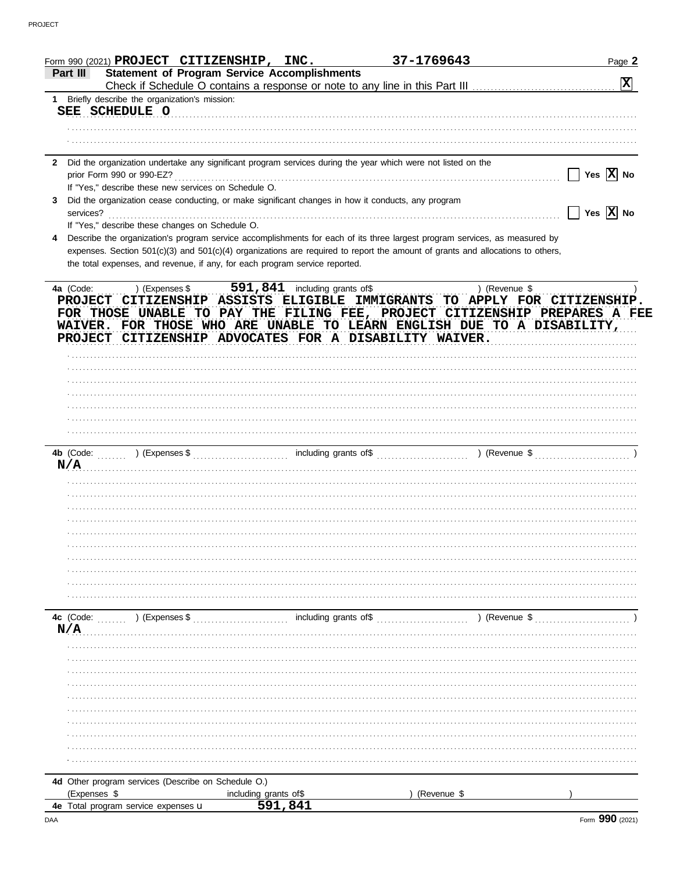|                |                                              | Form 990 (2021) PROJECT CITIZENSHIP, INC.                                   |         | 37-1769643                                                                                                                                                                                                                                                                                                                                 |               | Page 2                       |
|----------------|----------------------------------------------|-----------------------------------------------------------------------------|---------|--------------------------------------------------------------------------------------------------------------------------------------------------------------------------------------------------------------------------------------------------------------------------------------------------------------------------------------------|---------------|------------------------------|
| Part III       |                                              | <b>Statement of Program Service Accomplishments</b>                         |         |                                                                                                                                                                                                                                                                                                                                            |               | 区                            |
| $\mathbf{1}$   | Briefly describe the organization's mission: |                                                                             |         |                                                                                                                                                                                                                                                                                                                                            |               |                              |
|                | SEE SCHEDULE O                               |                                                                             |         |                                                                                                                                                                                                                                                                                                                                            |               |                              |
|                |                                              |                                                                             |         |                                                                                                                                                                                                                                                                                                                                            |               |                              |
|                |                                              |                                                                             |         |                                                                                                                                                                                                                                                                                                                                            |               |                              |
|                | prior Form 990 or 990-EZ?                    |                                                                             |         | 2 Did the organization undertake any significant program services during the year which were not listed on the                                                                                                                                                                                                                             |               | Yes $\overline{X}$ No        |
| 3              |                                              | If "Yes," describe these new services on Schedule O.                        |         |                                                                                                                                                                                                                                                                                                                                            |               |                              |
|                |                                              |                                                                             |         | Did the organization cease conducting, or make significant changes in how it conducts, any program<br>services? <b>contract and the contract of the contract of the contract of the contract of the contract of the contract of the contract of the contract of the contract of the contract of the contract of the contract of the co</b> |               | $\Box$ Yes $\overline{X}$ No |
|                |                                              | If "Yes," describe these changes on Schedule O.                             |         |                                                                                                                                                                                                                                                                                                                                            |               |                              |
| 4              |                                              |                                                                             |         | Describe the organization's program service accomplishments for each of its three largest program services, as measured by<br>expenses. Section 501(c)(3) and 501(c)(4) organizations are required to report the amount of grants and allocations to others,                                                                               |               |                              |
|                |                                              | the total expenses, and revenue, if any, for each program service reported. |         |                                                                                                                                                                                                                                                                                                                                            |               |                              |
| <b>PROJECT</b> |                                              | ) (Expenses \$ 591, 841 including grants of \$                              |         | CITIZENSHIP ASSISTS ELIGIBLE IMMIGRANTS TO APPLY FOR CITIZENSHIP.<br>FOR THOSE UNABLE TO PAY THE FILING FEE, PROJECT CITIZENSHIP PREPARES A FEE<br>WAIVER. FOR THOSE WHO ARE UNABLE TO LEARN ENGLISH DUE TO A DISABILITY,<br>PROJECT CITIZENSHIP ADVOCATES FOR A DISABILITY WAIVER.                                                        |               |                              |
|                |                                              |                                                                             |         |                                                                                                                                                                                                                                                                                                                                            |               |                              |
|                |                                              |                                                                             |         |                                                                                                                                                                                                                                                                                                                                            |               |                              |
|                |                                              |                                                                             |         |                                                                                                                                                                                                                                                                                                                                            |               |                              |
|                |                                              |                                                                             |         |                                                                                                                                                                                                                                                                                                                                            |               |                              |
|                |                                              |                                                                             |         |                                                                                                                                                                                                                                                                                                                                            |               |                              |
|                |                                              |                                                                             |         |                                                                                                                                                                                                                                                                                                                                            |               |                              |
|                |                                              | N/A                                                                         |         |                                                                                                                                                                                                                                                                                                                                            |               |                              |
|                |                                              |                                                                             |         |                                                                                                                                                                                                                                                                                                                                            |               |                              |
|                |                                              |                                                                             |         |                                                                                                                                                                                                                                                                                                                                            |               |                              |
|                |                                              |                                                                             |         |                                                                                                                                                                                                                                                                                                                                            |               |                              |
|                |                                              |                                                                             |         |                                                                                                                                                                                                                                                                                                                                            |               |                              |
|                |                                              |                                                                             |         |                                                                                                                                                                                                                                                                                                                                            |               |                              |
|                |                                              |                                                                             |         |                                                                                                                                                                                                                                                                                                                                            |               |                              |
|                |                                              |                                                                             |         |                                                                                                                                                                                                                                                                                                                                            |               |                              |
|                |                                              |                                                                             |         |                                                                                                                                                                                                                                                                                                                                            |               |                              |
|                | 4c (Code: ) (Expenses \$                     |                                                                             |         | including grants of \$                                                                                                                                                                                                                                                                                                                     | ) (Revenue \$ |                              |
| N/A            |                                              |                                                                             |         |                                                                                                                                                                                                                                                                                                                                            |               |                              |
|                |                                              |                                                                             |         |                                                                                                                                                                                                                                                                                                                                            |               |                              |
|                |                                              |                                                                             |         |                                                                                                                                                                                                                                                                                                                                            |               |                              |
|                |                                              |                                                                             |         |                                                                                                                                                                                                                                                                                                                                            |               |                              |
|                |                                              |                                                                             |         |                                                                                                                                                                                                                                                                                                                                            |               |                              |
|                |                                              |                                                                             |         |                                                                                                                                                                                                                                                                                                                                            |               |                              |
|                |                                              |                                                                             |         |                                                                                                                                                                                                                                                                                                                                            |               |                              |
|                |                                              |                                                                             |         |                                                                                                                                                                                                                                                                                                                                            |               |                              |
|                |                                              |                                                                             |         |                                                                                                                                                                                                                                                                                                                                            |               |                              |
|                |                                              |                                                                             |         |                                                                                                                                                                                                                                                                                                                                            |               |                              |
|                |                                              | 4d Other program services (Describe on Schedule O.)                         |         |                                                                                                                                                                                                                                                                                                                                            |               |                              |
| (Expenses \$   |                                              | including grants of\$                                                       |         | (Revenue \$                                                                                                                                                                                                                                                                                                                                |               |                              |
|                | 4e Total program service expenses u          |                                                                             | 591,841 |                                                                                                                                                                                                                                                                                                                                            |               |                              |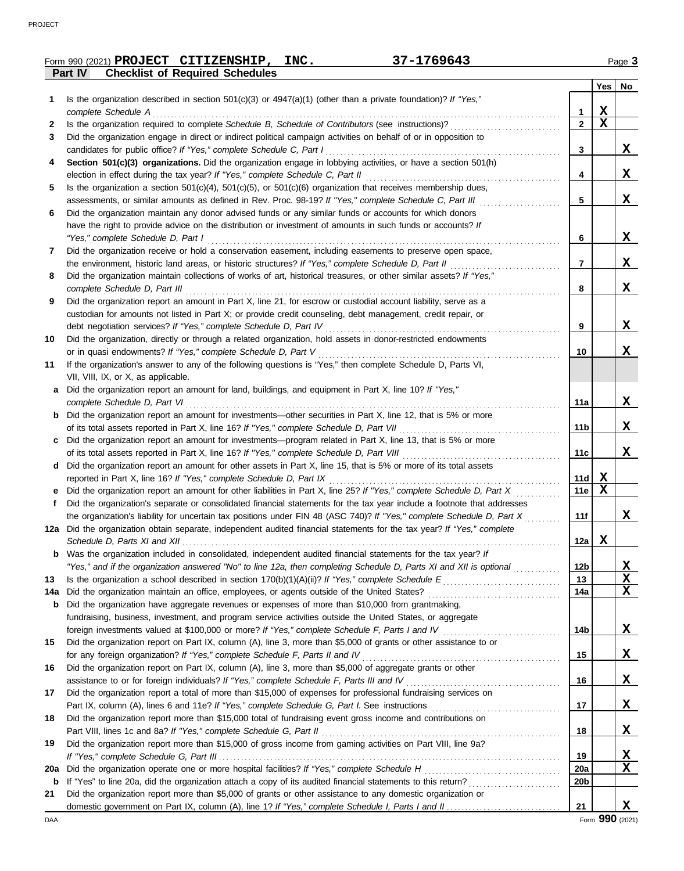**Form 990 (2021) PROJECT CITIZENSHIP, INC.** 37-1769643 Page 3

|     | <b>Checklist of Required Schedules</b><br>Part IV                                                                       |                 |             |    |
|-----|-------------------------------------------------------------------------------------------------------------------------|-----------------|-------------|----|
|     |                                                                                                                         |                 | Yes         | No |
| 1   | Is the organization described in section $501(c)(3)$ or $4947(a)(1)$ (other than a private foundation)? If "Yes,"       |                 |             |    |
|     | complete Schedule A                                                                                                     | 1               | X           |    |
| 2   |                                                                                                                         | $\mathbf{2}$    | $\mathbf x$ |    |
| 3   | Did the organization engage in direct or indirect political campaign activities on behalf of or in opposition to        |                 |             |    |
|     | candidates for public office? If "Yes," complete Schedule C, Part I                                                     | 3               |             | X  |
| 4   | Section 501(c)(3) organizations. Did the organization engage in lobbying activities, or have a section 501(h)           |                 |             |    |
|     |                                                                                                                         | 4               |             | X  |
|     | election in effect during the tax year? If "Yes," complete Schedule C, Part II                                          |                 |             |    |
| 5   | Is the organization a section $501(c)(4)$ , $501(c)(5)$ , or $501(c)(6)$ organization that receives membership dues,    |                 |             |    |
|     | assessments, or similar amounts as defined in Rev. Proc. 98-19? If "Yes," complete Schedule C, Part III                 | 5               |             | X  |
| 6   | Did the organization maintain any donor advised funds or any similar funds or accounts for which donors                 |                 |             |    |
|     | have the right to provide advice on the distribution or investment of amounts in such funds or accounts? If             |                 |             |    |
|     | "Yes," complete Schedule D, Part I                                                                                      | 6               |             | X  |
| 7   | Did the organization receive or hold a conservation easement, including easements to preserve open space,               |                 |             |    |
|     | the environment, historic land areas, or historic structures? If "Yes," complete Schedule D, Part II                    | 7               |             | X  |
| 8   | Did the organization maintain collections of works of art, historical treasures, or other similar assets? If "Yes,"     |                 |             |    |
|     | complete Schedule D, Part III                                                                                           | 8               |             | X  |
| 9   | Did the organization report an amount in Part X, line 21, for escrow or custodial account liability, serve as a         |                 |             |    |
|     | custodian for amounts not listed in Part X; or provide credit counseling, debt management, credit repair, or            |                 |             |    |
|     | debt negotiation services? If "Yes," complete Schedule D, Part IV                                                       | 9               |             | X  |
| 10  | Did the organization, directly or through a related organization, hold assets in donor-restricted endowments            |                 |             |    |
|     | or in quasi endowments? If "Yes," complete Schedule D, Part V                                                           | 10              |             | X  |
| 11  | If the organization's answer to any of the following questions is "Yes," then complete Schedule D, Parts VI,            |                 |             |    |
|     | VII, VIII, IX, or X, as applicable.                                                                                     |                 |             |    |
| а   | Did the organization report an amount for land, buildings, and equipment in Part X, line 10? If "Yes,"                  |                 |             |    |
|     | complete Schedule D, Part VI                                                                                            | 11a             |             | X  |
| b   | Did the organization report an amount for investments—other securities in Part X, line 12, that is 5% or more           |                 |             |    |
|     |                                                                                                                         | 11b             |             | X  |
|     |                                                                                                                         |                 |             |    |
|     | Did the organization report an amount for investments—program related in Part X, line 13, that is 5% or more            |                 |             |    |
|     | of its total assets reported in Part X, line 16? If "Yes," complete Schedule D, Part VIII                               | 11c             |             | X  |
| d   | Did the organization report an amount for other assets in Part X, line 15, that is 5% or more of its total assets       |                 |             |    |
|     | reported in Part X, line 16? If "Yes," complete Schedule D, Part IX                                                     | 11d             | $\mathbf x$ |    |
|     | Did the organization report an amount for other liabilities in Part X, line 25? If "Yes," complete Schedule D, Part X   | 11e             | $\mathbf X$ |    |
| Ť.  | Did the organization's separate or consolidated financial statements for the tax year include a footnote that addresses |                 |             |    |
|     | the organization's liability for uncertain tax positions under FIN 48 (ASC 740)? If "Yes," complete Schedule D, Part X  | 11f             |             | x  |
|     | 12a Did the organization obtain separate, independent audited financial statements for the tax year? If "Yes," complete |                 |             |    |
|     |                                                                                                                         | 12a             | X           |    |
| b   | Was the organization included in consolidated, independent audited financial statements for the tax year? If            |                 |             |    |
|     | "Yes," and if the organization answered "No" to line 12a, then completing Schedule D, Parts XI and XII is optional      | 12b             |             | X  |
| 13  |                                                                                                                         | 13              |             | X  |
| 14a | Did the organization maintain an office, employees, or agents outside of the United States?                             | 14a             |             | X  |
| b   | Did the organization have aggregate revenues or expenses of more than \$10,000 from grantmaking,                        |                 |             |    |
|     | fundraising, business, investment, and program service activities outside the United States, or aggregate               |                 |             |    |
|     | foreign investments valued at \$100,000 or more? If "Yes," complete Schedule F, Parts I and IV                          | 14b             |             | X  |
| 15  | Did the organization report on Part IX, column (A), line 3, more than \$5,000 of grants or other assistance to or       |                 |             |    |
|     | for any foreign organization? If "Yes," complete Schedule F, Parts II and IV                                            | 15              |             | X  |
| 16  | Did the organization report on Part IX, column (A), line 3, more than \$5,000 of aggregate grants or other              |                 |             |    |
|     | assistance to or for foreign individuals? If "Yes," complete Schedule F, Parts III and IV                               | 16              |             | X  |
| 17  | Did the organization report a total of more than \$15,000 of expenses for professional fundraising services on          |                 |             |    |
|     |                                                                                                                         | 17              |             | X  |
|     |                                                                                                                         |                 |             |    |
| 18  | Did the organization report more than \$15,000 total of fundraising event gross income and contributions on             |                 |             |    |
|     | Part VIII, lines 1c and 8a? If "Yes," complete Schedule G, Part II                                                      | 18              |             | X  |
| 19  | Did the organization report more than \$15,000 of gross income from gaming activities on Part VIII, line 9a?            |                 |             |    |
|     |                                                                                                                         | 19              |             | X  |
| 20a | Did the organization operate one or more hospital facilities? If "Yes," complete Schedule H                             | 20a             |             | X  |
| b   |                                                                                                                         | 20 <sub>b</sub> |             |    |
| 21  | Did the organization report more than \$5,000 of grants or other assistance to any domestic organization or             |                 |             |    |
|     |                                                                                                                         | 21              |             | X  |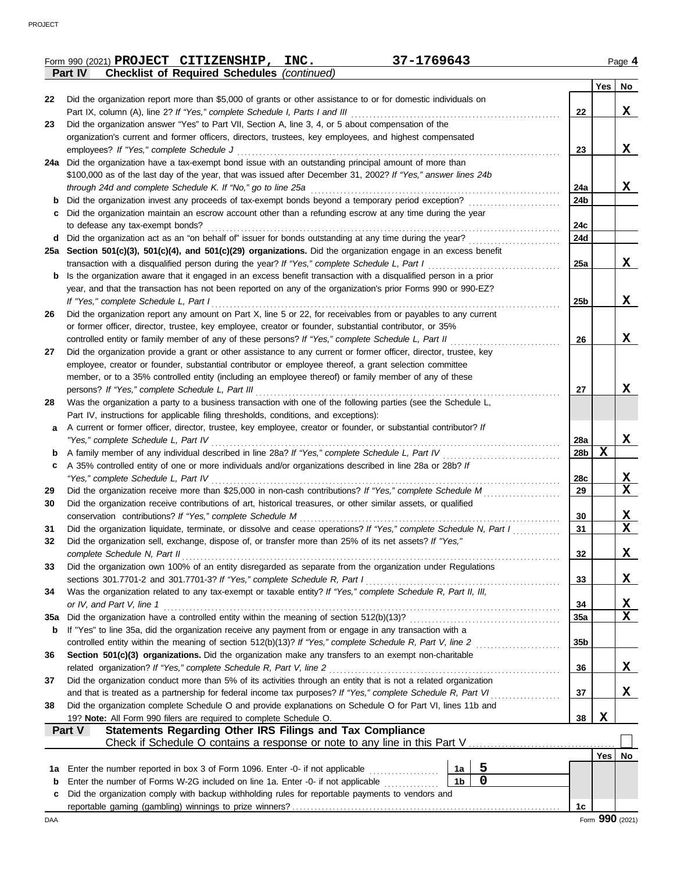|     | Form 990 (2021) PROJECT CITIZENSHIP, | INC. | 37-1769643 | Page 4 |
|-----|--------------------------------------|------|------------|--------|
| ___ |                                      |      |            |        |

|  | ŀ |
|--|---|
|  |   |

|             | <b>Checklist of Required Schedules (continued)</b><br>Part IV                                                                                                     |                 |            |                         |
|-------------|-------------------------------------------------------------------------------------------------------------------------------------------------------------------|-----------------|------------|-------------------------|
|             |                                                                                                                                                                   |                 | Yes        | No                      |
| 22          | Did the organization report more than \$5,000 of grants or other assistance to or for domestic individuals on                                                     |                 |            |                         |
|             | Part IX, column (A), line 2? If "Yes," complete Schedule I, Parts I and III                                                                                       | 22              |            | X                       |
| 23          | Did the organization answer "Yes" to Part VII, Section A, line 3, 4, or 5 about compensation of the                                                               |                 |            |                         |
|             | organization's current and former officers, directors, trustees, key employees, and highest compensated                                                           |                 |            | X                       |
|             | employees? If "Yes," complete Schedule J<br>Did the organization have a tax-exempt bond issue with an outstanding principal amount of more than                   | 23              |            |                         |
| 24a         | \$100,000 as of the last day of the year, that was issued after December 31, 2002? If "Yes," answer lines 24b                                                     |                 |            |                         |
|             | through 24d and complete Schedule K. If "No," go to line 25a                                                                                                      | 24a             |            | X                       |
| b           | Did the organization invest any proceeds of tax-exempt bonds beyond a temporary period exception?                                                                 | 24b             |            |                         |
|             | Did the organization maintain an escrow account other than a refunding escrow at any time during the year                                                         |                 |            |                         |
|             | to defease any tax-exempt bonds?                                                                                                                                  | 24c             |            |                         |
| d           | Did the organization act as an "on behalf of" issuer for bonds outstanding at any time during the year?                                                           | 24d             |            |                         |
|             | 25a Section 501(c)(3), 501(c)(4), and 501(c)(29) organizations. Did the organization engage in an excess benefit                                                  |                 |            |                         |
|             | transaction with a disqualified person during the year? If "Yes," complete Schedule L, Part I                                                                     | <b>25a</b>      |            | X                       |
| b           | Is the organization aware that it engaged in an excess benefit transaction with a disqualified person in a prior                                                  |                 |            |                         |
|             | year, and that the transaction has not been reported on any of the organization's prior Forms 990 or 990-EZ?                                                      |                 |            |                         |
|             | If "Yes," complete Schedule L, Part I                                                                                                                             | 25 <sub>b</sub> |            | X                       |
| 26          | Did the organization report any amount on Part X, line 5 or 22, for receivables from or payables to any current                                                   |                 |            |                         |
|             | or former officer, director, trustee, key employee, creator or founder, substantial contributor, or 35%                                                           |                 |            |                         |
|             | controlled entity or family member of any of these persons? If "Yes," complete Schedule L, Part II                                                                | 26              |            | X                       |
| 27          | Did the organization provide a grant or other assistance to any current or former officer, director, trustee, key                                                 |                 |            |                         |
|             | employee, creator or founder, substantial contributor or employee thereof, a grant selection committee                                                            |                 |            |                         |
|             | member, or to a 35% controlled entity (including an employee thereof) or family member of any of these                                                            |                 |            | x                       |
| 28          | persons? If "Yes," complete Schedule L, Part III<br>Was the organization a party to a business transaction with one of the following parties (see the Schedule L, | 27              |            |                         |
|             | Part IV, instructions for applicable filing thresholds, conditions, and exceptions):                                                                              |                 |            |                         |
| a           | A current or former officer, director, trustee, key employee, creator or founder, or substantial contributor? If                                                  |                 |            |                         |
|             | "Yes," complete Schedule L, Part IV                                                                                                                               | 28a             |            | X                       |
| b           |                                                                                                                                                                   | 28b             | X          |                         |
| c           | A 35% controlled entity of one or more individuals and/or organizations described in line 28a or 28b? If                                                          |                 |            |                         |
|             | "Yes," complete Schedule L, Part IV                                                                                                                               | 28c             |            | <u>x</u>                |
| 29          | Did the organization receive more than \$25,000 in non-cash contributions? If "Yes," complete Schedule M                                                          | 29              |            | $\mathbf x$             |
| 30          | Did the organization receive contributions of art, historical treasures, or other similar assets, or qualified                                                    |                 |            |                         |
|             | conservation contributions? If "Yes," complete Schedule M                                                                                                         | 30              |            | X                       |
| 31          | Did the organization liquidate, terminate, or dissolve and cease operations? If "Yes," complete Schedule N, Part I                                                | 31              |            | $\overline{\mathbf{x}}$ |
| 32          | Did the organization sell, exchange, dispose of, or transfer more than 25% of its net assets? If "Yes,"                                                           |                 |            |                         |
|             | complete Schedule N, Part II                                                                                                                                      | 32              |            | X                       |
| 33          | Did the organization own 100% of an entity disregarded as separate from the organization under Regulations                                                        |                 |            |                         |
|             | sections 301.7701-2 and 301.7701-3? If "Yes," complete Schedule R, Part I                                                                                         | 33              |            | X                       |
| 34          | Was the organization related to any tax-exempt or taxable entity? If "Yes," complete Schedule R, Part II, III,                                                    |                 |            |                         |
| 35a         | or IV, and Part V, line 1                                                                                                                                         | 34<br>35a       |            | X<br>$\mathbf x$        |
| b           | If "Yes" to line 35a, did the organization receive any payment from or engage in any transaction with a                                                           |                 |            |                         |
|             | controlled entity within the meaning of section 512(b)(13)? If "Yes," complete Schedule R, Part V, line 2                                                         | 35 <sub>b</sub> |            |                         |
| 36          | Section 501(c)(3) organizations. Did the organization make any transfers to an exempt non-charitable                                                              |                 |            |                         |
|             | related organization? If "Yes," complete Schedule R, Part V, line 2                                                                                               | 36              |            | X                       |
| 37          | Did the organization conduct more than 5% of its activities through an entity that is not a related organization                                                  |                 |            |                         |
|             | and that is treated as a partnership for federal income tax purposes? If "Yes," complete Schedule R, Part VI                                                      | 37              |            | X,                      |
| 38          | Did the organization complete Schedule O and provide explanations on Schedule O for Part VI, lines 11b and                                                        |                 |            |                         |
|             | 19? Note: All Form 990 filers are required to complete Schedule O.                                                                                                | 38              | X          |                         |
|             | Statements Regarding Other IRS Filings and Tax Compliance<br><b>Part V</b>                                                                                        |                 |            |                         |
|             | Check if Schedule O contains a response or note to any line in this Part V                                                                                        |                 |            |                         |
|             |                                                                                                                                                                   |                 | <b>Yes</b> | No                      |
| 1a          | 5<br>Enter the number reported in box 3 of Form 1096. Enter -0- if not applicable <i>mimimimimimimimimimimi</i><br>1a                                             |                 |            |                         |
| $\mathbf b$ | $\mathbf 0$<br>1 <sub>b</sub><br>Enter the number of Forms W-2G included on line 1a. Enter -0- if not applicable <i>minimum</i>                                   |                 |            |                         |
| c           | Did the organization comply with backup withholding rules for reportable payments to vendors and                                                                  |                 |            |                         |
|             |                                                                                                                                                                   | 1c              |            |                         |
| DAA         |                                                                                                                                                                   |                 |            | Form 990 (2021)         |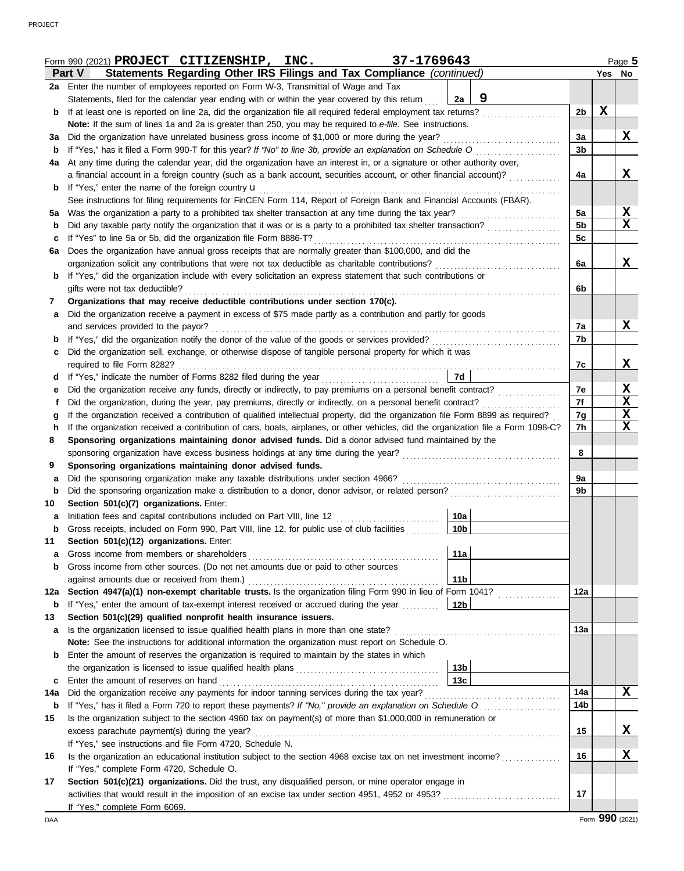|             | 37-1769643<br>Form 990 (2021) PROJECT CITIZENSHIP, INC.                                                                            |                 |                |                 | Page 5      |
|-------------|------------------------------------------------------------------------------------------------------------------------------------|-----------------|----------------|-----------------|-------------|
|             | Statements Regarding Other IRS Filings and Tax Compliance (continued)<br><b>Part V</b>                                             |                 |                | Yes No          |             |
|             | 2a Enter the number of employees reported on Form W-3, Transmittal of Wage and Tax                                                 |                 |                |                 |             |
|             | Statements, filed for the calendar year ending with or within the year covered by this return                                      | 9<br>2a         |                |                 |             |
| b           | If at least one is reported on line 2a, did the organization file all required federal employment tax returns?                     |                 | 2 <sub>b</sub> | $\mathbf X$     |             |
|             | Note: If the sum of lines 1a and 2a is greater than 250, you may be required to e-file. See instructions.                          |                 |                |                 |             |
| За          | Did the organization have unrelated business gross income of \$1,000 or more during the year?                                      |                 | 3a             |                 | X           |
| b           | If "Yes," has it filed a Form 990-T for this year? If "No" to line 3b, provide an explanation on Schedule O                        |                 | 3 <sub>b</sub> |                 |             |
| 4a          | At any time during the calendar year, did the organization have an interest in, or a signature or other authority over,            |                 |                |                 |             |
|             | a financial account in a foreign country (such as a bank account, securities account, or other financial account)?                 |                 | 4a             |                 | X           |
| b           | If "Yes," enter the name of the foreign country <b>u</b>                                                                           |                 |                |                 |             |
|             | See instructions for filing requirements for FinCEN Form 114, Report of Foreign Bank and Financial Accounts (FBAR).                |                 |                |                 |             |
| 5а          | Was the organization a party to a prohibited tax shelter transaction at any time during the tax year?                              |                 | 5a             |                 | <u>x</u>    |
| b           | Did any taxable party notify the organization that it was or is a party to a prohibited tax shelter transaction?                   |                 | 5 <sub>b</sub> |                 | $\mathbf X$ |
| c           | If "Yes" to line 5a or 5b, did the organization file Form 8886-T?                                                                  |                 | 5c             |                 |             |
| 6a          | Does the organization have annual gross receipts that are normally greater than \$100,000, and did the                             |                 |                |                 |             |
|             | organization solicit any contributions that were not tax deductible as charitable contributions?                                   |                 | 6a             |                 | X           |
| b           | If "Yes," did the organization include with every solicitation an express statement that such contributions or                     |                 |                |                 |             |
|             | gifts were not tax deductible?                                                                                                     |                 | 6b             |                 |             |
| 7           | Organizations that may receive deductible contributions under section 170(c).                                                      |                 |                |                 |             |
| а           | Did the organization receive a payment in excess of \$75 made partly as a contribution and partly for goods                        |                 |                |                 |             |
|             | and services provided to the payor?                                                                                                |                 | 7a             |                 | X           |
| b           |                                                                                                                                    |                 | 7b             |                 |             |
| c           | Did the organization sell, exchange, or otherwise dispose of tangible personal property for which it was                           |                 |                |                 |             |
|             |                                                                                                                                    |                 | 7c             |                 | X           |
| d           | If "Yes," indicate the number of Forms 8282 filed during the year<br>[[[[[[[[[[[[[]]]]]                                            | 7d              |                |                 |             |
| е           |                                                                                                                                    |                 | 7e             |                 | X           |
| t           | Did the organization, during the year, pay premiums, directly or indirectly, on a personal benefit contract?                       |                 | 7f             |                 | X           |
| g           | If the organization received a contribution of qualified intellectual property, did the organization file Form 8899 as required?   |                 | 7g             |                 | X           |
| h           | If the organization received a contribution of cars, boats, airplanes, or other vehicles, did the organization file a Form 1098-C? |                 | 7h             |                 | X           |
| 8           | Sponsoring organizations maintaining donor advised funds. Did a donor advised fund maintained by the                               |                 |                |                 |             |
|             |                                                                                                                                    |                 | 8              |                 |             |
| 9           | Sponsoring organizations maintaining donor advised funds.                                                                          |                 |                |                 |             |
| а           | Did the sponsoring organization make any taxable distributions under section 4966?                                                 |                 | 9a             |                 |             |
| $\mathbf b$ | Did the sponsoring organization make a distribution to a donor, donor advisor, or related person?                                  |                 | 9b             |                 |             |
| 10          | Section 501(c)(7) organizations. Enter:                                                                                            |                 |                |                 |             |
| а           | Initiation fees and capital contributions included on Part VIII, line 12                                                           | 10a             |                |                 |             |
| p           | Gross receipts, included on Form 990, Part VIII, line 12, for public use of club facilities                                        | 10 <sub>b</sub> |                |                 |             |
| 11          | Section 501(c)(12) organizations. Enter:                                                                                           |                 |                |                 |             |
| a           | Gross income from members or shareholders                                                                                          | 11a             |                |                 |             |
| b           | Gross income from other sources. (Do not net amounts due or paid to other sources                                                  |                 |                |                 |             |
|             | against amounts due or received from them.)                                                                                        | 11 <sub>b</sub> |                |                 |             |
| 12a         | Section 4947(a)(1) non-exempt charitable trusts. Is the organization filing Form 990 in lieu of Form 1041?                         |                 | 12a            |                 |             |
| b           | If "Yes," enter the amount of tax-exempt interest received or accrued during the year                                              | 12 <sub>b</sub> |                |                 |             |
| 13          | Section 501(c)(29) qualified nonprofit health insurance issuers.                                                                   |                 |                |                 |             |
| a           | Is the organization licensed to issue qualified health plans in more than one state?                                               |                 | 13а            |                 |             |
|             | Note: See the instructions for additional information the organization must report on Schedule O.                                  |                 |                |                 |             |
| b           | Enter the amount of reserves the organization is required to maintain by the states in which                                       |                 |                |                 |             |
|             |                                                                                                                                    | 13b             |                |                 |             |
| c           | Enter the amount of reserves on hand                                                                                               | 13 <sub>c</sub> |                |                 |             |
| 14a         | Did the organization receive any payments for indoor tanning services during the tax year?                                         |                 | 14a            |                 | X           |
| b           | If "Yes," has it filed a Form 720 to report these payments? If "No," provide an explanation on Schedule O                          |                 | 14b            |                 |             |
| 15          | Is the organization subject to the section 4960 tax on payment(s) of more than \$1,000,000 in remuneration or                      |                 |                |                 |             |
|             | excess parachute payment(s) during the year?                                                                                       |                 | 15             |                 | X           |
|             | If "Yes," see instructions and file Form 4720, Schedule N.                                                                         |                 |                |                 |             |
| 16          | Is the organization an educational institution subject to the section 4968 excise tax on net investment income?                    |                 | 16             |                 | X           |
|             | If "Yes," complete Form 4720, Schedule O.                                                                                          |                 |                |                 |             |
| 17          | Section 501(c)(21) organizations. Did the trust, any disqualified person, or mine operator engage in                               |                 |                |                 |             |
|             |                                                                                                                                    |                 | 17             |                 |             |
|             | If "Yes," complete Form 6069.                                                                                                      |                 |                |                 |             |
| DAA         |                                                                                                                                    |                 |                | Form 990 (2021) |             |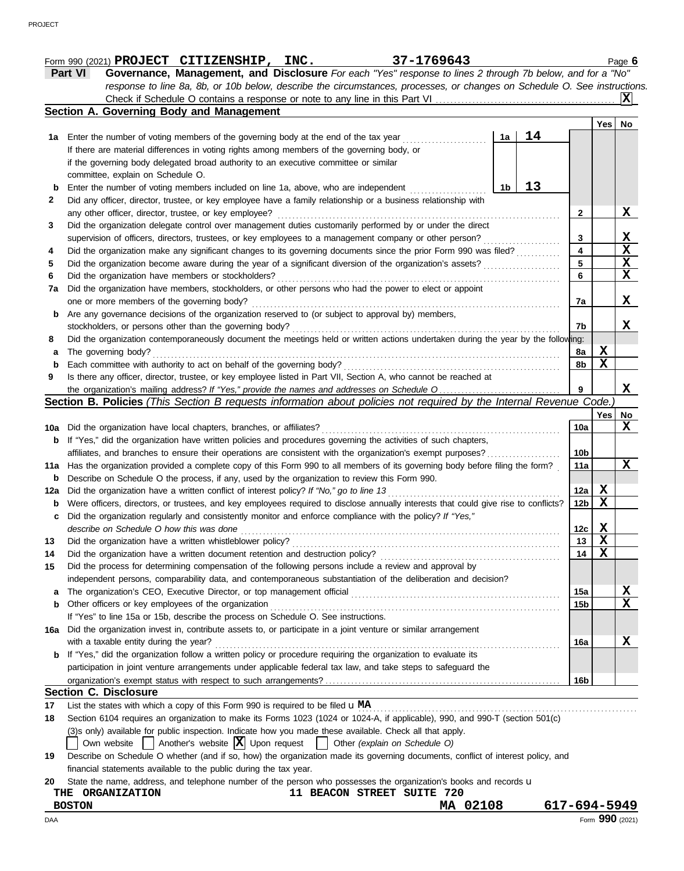|     | 37-1769643<br>Form 990 (2021) PROJECT CITIZENSHIP, INC.                                                                             |                 |          | Page 6      |
|-----|-------------------------------------------------------------------------------------------------------------------------------------|-----------------|----------|-------------|
|     | Governance, Management, and Disclosure For each "Yes" response to lines 2 through 7b below, and for a "No"<br><b>Part VI</b>        |                 |          |             |
|     | response to line 8a, 8b, or 10b below, describe the circumstances, processes, or changes on Schedule O. See instructions.           |                 |          |             |
|     | Check if Schedule O contains a response or note to any line in this Part VI                                                         |                 |          | ΙXΙ         |
|     | Section A. Governing Body and Management                                                                                            |                 |          |             |
|     |                                                                                                                                     |                 | Yes   No |             |
|     | 14<br>1a<br>1a Enter the number of voting members of the governing body at the end of the tax year                                  |                 |          |             |
|     | If there are material differences in voting rights among members of the governing body, or                                          |                 |          |             |
|     | if the governing body delegated broad authority to an executive committee or similar                                                |                 |          |             |
|     | committee, explain on Schedule O.                                                                                                   |                 |          |             |
| b   | 13<br>Enter the number of voting members included on line 1a, above, who are independent<br>1b                                      |                 |          |             |
| 2   | Did any officer, director, trustee, or key employee have a family relationship or a business relationship with                      |                 |          |             |
|     | any other officer, director, trustee, or key employee?                                                                              | 2               |          | X           |
| 3   | Did the organization delegate control over management duties customarily performed by or under the direct                           |                 |          |             |
|     | supervision of officers, directors, trustees, or key employees to a management company or other person?                             | 3               |          | <u>x</u>    |
| 4   | Did the organization make any significant changes to its governing documents since the prior Form 990 was filed?                    | 4               |          | X           |
| 5   | Did the organization become aware during the year of a significant diversion of the organization's assets?                          | 5               |          | X           |
| 6   | Did the organization have members or stockholders?                                                                                  | 6               |          | X           |
| 7a  | Did the organization have members, stockholders, or other persons who had the power to elect or appoint                             |                 |          |             |
|     | one or more members of the governing body?                                                                                          | 7a              |          | X           |
| b   | Are any governance decisions of the organization reserved to (or subject to approval by) members,                                   |                 |          |             |
|     | stockholders, or persons other than the governing body?                                                                             | 7b              |          | X           |
| 8   | Did the organization contemporaneously document the meetings held or written actions undertaken during the year by the following:   |                 |          |             |
| а   | The governing body?                                                                                                                 | 8a              | X        |             |
| b   | Each committee with authority to act on behalf of the governing body?                                                               | 8b              | X        |             |
| 9   | Is there any officer, director, trustee, or key employee listed in Part VII, Section A, who cannot be reached at                    |                 |          |             |
|     | the organization's mailing address? If "Yes," provide the names and addresses on Schedule O                                         | 9               |          | X           |
|     | <b>Section B. Policies</b> (This Section B requests information about policies not required by the Internal Revenue Code.)          |                 |          |             |
|     |                                                                                                                                     |                 | Yes      | No          |
|     | 10a Did the organization have local chapters, branches, or affiliates?                                                              | 10a             |          | X           |
|     | <b>b</b> If "Yes," did the organization have written policies and procedures governing the activities of such chapters,             |                 |          |             |
|     | affiliates, and branches to ensure their operations are consistent with the organization's exempt purposes?                         | 10 <sub>b</sub> |          |             |
| 11a | Has the organization provided a complete copy of this Form 990 to all members of its governing body before filing the form?         | 11a             |          | $\mathbf X$ |
| b   | Describe on Schedule O the process, if any, used by the organization to review this Form 990.                                       |                 |          |             |
| 12a | Did the organization have a written conflict of interest policy? If "No," go to line 13                                             | 12a             | X        |             |
| b   | Were officers, directors, or trustees, and key employees required to disclose annually interests that could give rise to conflicts? | 12b             | X        |             |
|     | Did the organization regularly and consistently monitor and enforce compliance with the policy? If "Yes,"                           |                 |          |             |
|     | describe on Schedule O how this was done                                                                                            | 12c             | X        |             |
| 13  | Did the organization have a written whistleblower policy?                                                                           | 13              | X        |             |
| 14  | Did the organization have a written document retention and destruction policy?                                                      | 14              | X        |             |
| 15  | Did the process for determining compensation of the following persons include a review and approval by                              |                 |          |             |
|     | independent persons, comparability data, and contemporaneous substantiation of the deliberation and decision?                       |                 |          |             |
| a   | The organization's CEO, Executive Director, or top management official                                                              | 15a             |          | <u>x</u>    |
| b   | Other officers or key employees of the organization                                                                                 | 15 <sub>b</sub> |          | $\mathbf x$ |
|     | If "Yes" to line 15a or 15b, describe the process on Schedule O. See instructions.                                                  |                 |          |             |
| 16а | Did the organization invest in, contribute assets to, or participate in a joint venture or similar arrangement                      |                 |          |             |
|     | with a taxable entity during the year?                                                                                              | 16a             |          | X           |
|     | b If "Yes," did the organization follow a written policy or procedure requiring the organization to evaluate its                    |                 |          |             |
|     | participation in joint venture arrangements under applicable federal tax law, and take steps to safeguard the                       |                 |          |             |
|     |                                                                                                                                     | 16b             |          |             |
|     | <b>Section C. Disclosure</b>                                                                                                        |                 |          |             |
| 17  | List the states with which a copy of this Form 990 is required to be filed $\mathbf{u} \mathbf{M}$ A                                |                 |          |             |
| 18  | Section 6104 requires an organization to make its Forms 1023 (1024 or 1024-A, if applicable), 990, and 990-T (section 501(c)        |                 |          |             |
|     | (3)s only) available for public inspection. Indicate how you made these available. Check all that apply.                            |                 |          |             |
|     | Another's website $ \mathbf{X} $ Upon request<br>Other (explain on Schedule O)<br>Own website<br>$\perp$                            |                 |          |             |
| 19  | Describe on Schedule O whether (and if so, how) the organization made its governing documents, conflict of interest policy, and     |                 |          |             |
|     |                                                                                                                                     |                 |          |             |

financial statements available to the public during the tax year.

| 20 State the name, address, and telephone number of the person who possesses the organization's books and records u |  |  |  |  |  |  |  |
|---------------------------------------------------------------------------------------------------------------------|--|--|--|--|--|--|--|
|                                                                                                                     |  |  |  |  |  |  |  |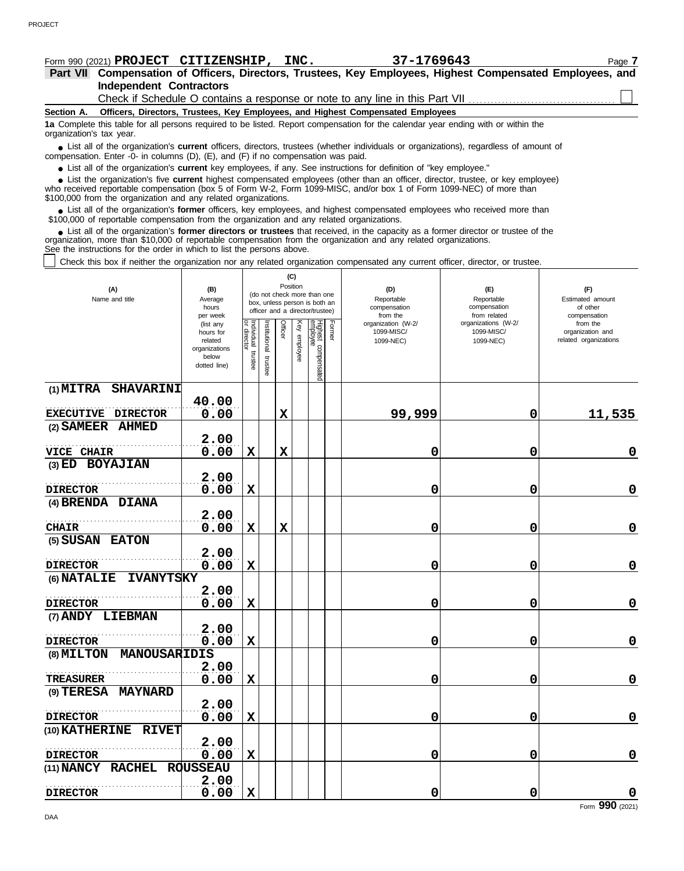# **Form 990 (2021) PROJECT CITIZENSHIP, INC.** 37-1769643 Page 7

**Independent Contractors Part VII Compensation of Officers, Directors, Trustees, Key Employees, Highest Compensated Employees, and**

Check if Schedule O contains a response or note to any line in this Part VII.

**Section A. Officers, Directors, Trustees, Key Employees, and Highest Compensated Employees**

**1a** Complete this table for all persons required to be listed. Report compensation for the calendar year ending with or within the organization's tax year.

■ List all of the organization's **current** officers, directors, trustees (whether individuals or organizations), regardless of amount of the organization Enter -0- in columns (D), (E), and (E) if no compensation was paid compensation. Enter -0- in columns (D), (E), and (F) if no compensation was paid.

● List all of the organization's **current** key employees, if any. See instructions for definition of "key employee."

who received reportable compensation (box 5 of Form W-2, Form 1099-MISC, and/or box 1 of Form 1099-NEC) of more than \$100,000 from the organization and any related organizations. ■ List the organization's five **current** highest compensated employees (other than an officer, director, trustee, or key employee)<br> **•** received reportable compensation (box 5 of Form W-2, Form 1000-MISC, and/or box 1 of

■ List all of the organization's **former** officers, key employees, and highest compensated employees who received more than<br>00,000 of reportable compensation from the organization and any related organizations \$100,000 of reportable compensation from the organization and any related organizations.

■ List all of the organization's **former directors or trustees** that received, in the capacity as a former director or trustee of the<br>enization, more than \$10,000 of reportable compensation from the organization and any r organization, more than \$10,000 of reportable compensation from the organization and any related organizations. See the instructions for the order in which to list the persons above.

Check this box if neither the organization nor any related organization compensated any current officer, director, or trustee.

| (A)<br>Name and title               | (B)<br>Average<br>hours<br>per week                                         |                                   |                         | (C)<br>Position |                 | (do not check more than one<br>box, unless person is both an<br>officer and a director/trustee) |        | (D)<br>Reportable<br>compensation<br>from the | (E)<br>Reportable<br>compensation<br>from related | (F)<br>Estimated amount<br>of other<br>compensation   |
|-------------------------------------|-----------------------------------------------------------------------------|-----------------------------------|-------------------------|-----------------|-----------------|-------------------------------------------------------------------------------------------------|--------|-----------------------------------------------|---------------------------------------------------|-------------------------------------------------------|
|                                     | (list any<br>hours for<br>related<br>organizations<br>below<br>dotted line) | Individual trustee<br>or director | nstitutional<br>trustee | Officer         | Key<br>employee | Highest compensated<br>employee                                                                 | Former | organization (W-2/<br>1099-MISC/<br>1099-NEC) | organizations (W-2/<br>1099-MISC/<br>1099-NEC)    | from the<br>organization and<br>related organizations |
| $(1)$ MITRA<br><b>SHAVARINI</b>     |                                                                             |                                   |                         |                 |                 |                                                                                                 |        |                                               |                                                   |                                                       |
| <b>EXECUTIVE DIRECTOR</b>           | 40.00<br>0.00                                                               |                                   |                         | $\mathbf X$     |                 |                                                                                                 |        | 99,999                                        | 0                                                 | 11,535                                                |
| <b>AHMED</b><br>$(2)$ SAMEER        |                                                                             |                                   |                         |                 |                 |                                                                                                 |        |                                               |                                                   |                                                       |
| VICE CHAIR                          | 2.00<br>0.00                                                                | $\mathbf x$                       |                         | $\mathbf x$     |                 |                                                                                                 |        | 0                                             | 0                                                 | $\mathbf 0$                                           |
| (3) ED BOYAJIAN                     |                                                                             |                                   |                         |                 |                 |                                                                                                 |        |                                               |                                                   |                                                       |
|                                     | 2.00                                                                        |                                   |                         |                 |                 |                                                                                                 |        |                                               |                                                   |                                                       |
| <b>DIRECTOR</b><br>(4) BRENDA DIANA | 0.00                                                                        | X                                 |                         |                 |                 |                                                                                                 |        | 0                                             | 0                                                 | $\mathbf 0$                                           |
|                                     | 2.00                                                                        |                                   |                         |                 |                 |                                                                                                 |        |                                               |                                                   |                                                       |
| <b>CHAIR</b>                        | 0.00                                                                        | $\mathbf x$                       |                         | $\mathbf X$     |                 |                                                                                                 |        | 0                                             | 0                                                 | $\mathbf 0$                                           |
| (5) SUSAN EATON                     |                                                                             |                                   |                         |                 |                 |                                                                                                 |        |                                               |                                                   |                                                       |
|                                     | 2.00                                                                        |                                   |                         |                 |                 |                                                                                                 |        |                                               |                                                   |                                                       |
| <b>DIRECTOR</b>                     | 0.00                                                                        | $\mathbf x$                       |                         |                 |                 |                                                                                                 |        | 0                                             | 0                                                 | $\mathbf 0$                                           |
| (6) NATALIE<br><b>IVANYTSKY</b>     |                                                                             |                                   |                         |                 |                 |                                                                                                 |        |                                               |                                                   |                                                       |
| <b>DIRECTOR</b>                     | 2.00<br>0.00                                                                | $\mathbf x$                       |                         |                 |                 |                                                                                                 |        | 0                                             | 0                                                 | $\mathbf 0$                                           |
| (7) ANDY LIEBMAN                    |                                                                             |                                   |                         |                 |                 |                                                                                                 |        |                                               |                                                   |                                                       |
|                                     | 2.00                                                                        |                                   |                         |                 |                 |                                                                                                 |        |                                               |                                                   |                                                       |
| <b>DIRECTOR</b>                     | 0.00                                                                        | $\mathbf x$                       |                         |                 |                 |                                                                                                 |        | 0                                             | 0                                                 | $\mathbf 0$                                           |
| MANOUSARIDIS<br>(8) MILTON          |                                                                             |                                   |                         |                 |                 |                                                                                                 |        |                                               |                                                   |                                                       |
|                                     | 2.00                                                                        |                                   |                         |                 |                 |                                                                                                 |        |                                               |                                                   |                                                       |
| <b>TREASURER</b>                    | 0.00                                                                        | $\mathbf X$                       |                         |                 |                 |                                                                                                 |        | 0                                             | 0                                                 | $\mathbf 0$                                           |
| (9) TERESA MAYNARD                  | 2.00                                                                        |                                   |                         |                 |                 |                                                                                                 |        |                                               |                                                   |                                                       |
| <b>DIRECTOR</b>                     | 0.00                                                                        | $\mathbf x$                       |                         |                 |                 |                                                                                                 |        | 0                                             | 0                                                 | $\mathbf 0$                                           |
| (10) KATHERINE<br><b>RIVET</b>      |                                                                             |                                   |                         |                 |                 |                                                                                                 |        |                                               |                                                   |                                                       |
|                                     | 2.00                                                                        |                                   |                         |                 |                 |                                                                                                 |        |                                               |                                                   |                                                       |
| <b>DIRECTOR</b>                     | 0.00                                                                        | $\mathbf x$                       |                         |                 |                 |                                                                                                 |        | 0                                             | 0                                                 | $\mathbf 0$                                           |
| (11) NANCY RACHEL                   | <b>ROUSSEAU</b>                                                             |                                   |                         |                 |                 |                                                                                                 |        |                                               |                                                   |                                                       |
| <b>DIRECTOR</b>                     | 2.00<br>0.00                                                                | $\mathbf x$                       |                         |                 |                 |                                                                                                 |        | 0                                             | 0                                                 | $\mathbf 0$                                           |

```
Form 990 (2021)
```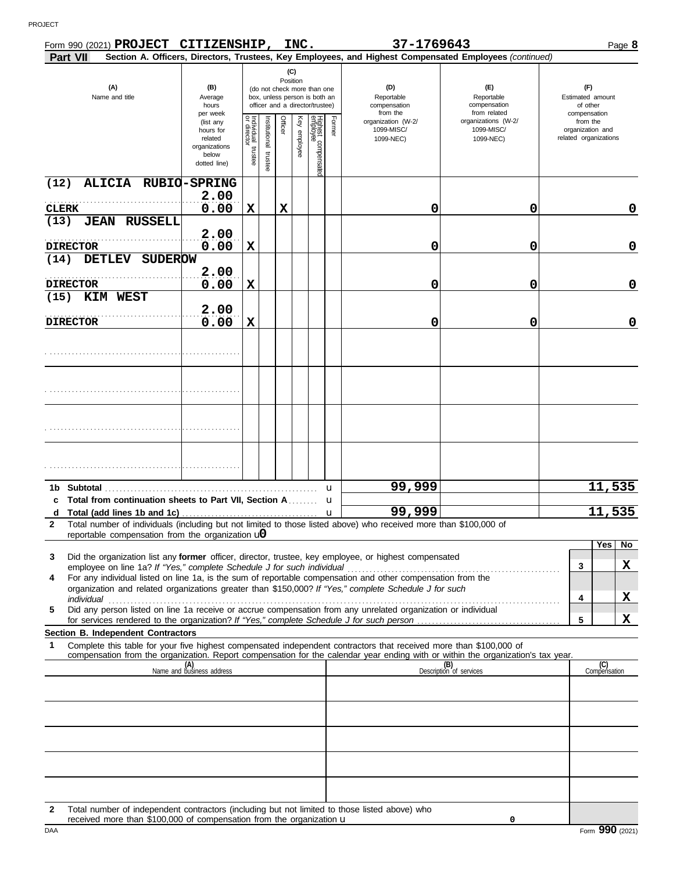|                      | Form 990 (2021) PROJECT CITIZENSHIP, INC.                                                                                                                                                                                                                                                      |                                                                             |                                                                                                                    |                          |         |              |                                 |        | 37-1769643                                                                                             |                                                   |              |                                                       | Page 8                  |
|----------------------|------------------------------------------------------------------------------------------------------------------------------------------------------------------------------------------------------------------------------------------------------------------------------------------------|-----------------------------------------------------------------------------|--------------------------------------------------------------------------------------------------------------------|--------------------------|---------|--------------|---------------------------------|--------|--------------------------------------------------------------------------------------------------------|---------------------------------------------------|--------------|-------------------------------------------------------|-------------------------|
| <b>Part VII</b>      |                                                                                                                                                                                                                                                                                                |                                                                             |                                                                                                                    |                          |         |              |                                 |        | Section A. Officers, Directors, Trustees, Key Employees, and Highest Compensated Employees (continued) |                                                   |              |                                                       |                         |
|                      | (A)<br>Name and title                                                                                                                                                                                                                                                                          | (B)<br>Average<br>hours<br>per week                                         | (C)<br>Position<br>(do not check more than one<br>box, unless person is both an<br>officer and a director/trustee) |                          |         |              |                                 |        | (D)<br>Reportable<br>compensation<br>from the                                                          | (E)<br>Reportable<br>compensation<br>from related | compensation | (F)<br>Estimated amount<br>of other                   |                         |
|                      |                                                                                                                                                                                                                                                                                                | (list any<br>hours for<br>related<br>organizations<br>below<br>dotted line) | Individual<br>or director<br>trustee                                                                               | Institutional<br>trustee | Officer | Key employee | Highest compensated<br>employee | Former | organization (W-2/<br>1099-MISC/<br>1099-NEC)                                                          | organizations (W-2/<br>1099-MISC/<br>1099-NEC)    |              | from the<br>organization and<br>related organizations |                         |
| (12)                 | ALICIA RUBIO-SPRING                                                                                                                                                                                                                                                                            | 2.00                                                                        |                                                                                                                    |                          |         |              |                                 |        |                                                                                                        |                                                   |              |                                                       |                         |
| <b>CLERK</b><br>(13) | <b>JEAN RUSSELL</b>                                                                                                                                                                                                                                                                            | 0.00                                                                        | $\mathbf X$                                                                                                        |                          | X       |              |                                 |        | 0                                                                                                      | 0                                                 |              |                                                       | 0                       |
| <b>DIRECTOR</b>      |                                                                                                                                                                                                                                                                                                | 2.00<br>0.00                                                                | $\mathbf x$                                                                                                        |                          |         |              |                                 |        |                                                                                                        |                                                   |              |                                                       | $\mathbf 0$             |
| (14)                 | <b>DETLEV</b><br><b>SUDEROW</b>                                                                                                                                                                                                                                                                |                                                                             |                                                                                                                    |                          |         |              |                                 |        | 0                                                                                                      | 0                                                 |              |                                                       |                         |
| <b>DIRECTOR</b>      |                                                                                                                                                                                                                                                                                                | 2.00<br>0.00                                                                | X                                                                                                                  |                          |         |              |                                 |        | 0                                                                                                      | 0                                                 |              |                                                       | 0                       |
| (15)                 | KIM WEST                                                                                                                                                                                                                                                                                       | 2.00                                                                        |                                                                                                                    |                          |         |              |                                 |        |                                                                                                        |                                                   |              |                                                       |                         |
| <b>DIRECTOR</b>      |                                                                                                                                                                                                                                                                                                | 0.00                                                                        | $\mathbf x$                                                                                                        |                          |         |              |                                 |        | 0                                                                                                      | 0                                                 |              |                                                       | 0                       |
|                      |                                                                                                                                                                                                                                                                                                |                                                                             |                                                                                                                    |                          |         |              |                                 |        |                                                                                                        |                                                   |              |                                                       |                         |
|                      |                                                                                                                                                                                                                                                                                                |                                                                             |                                                                                                                    |                          |         |              |                                 |        |                                                                                                        |                                                   |              |                                                       |                         |
|                      |                                                                                                                                                                                                                                                                                                |                                                                             |                                                                                                                    |                          |         |              |                                 |        |                                                                                                        |                                                   |              |                                                       |                         |
|                      |                                                                                                                                                                                                                                                                                                |                                                                             |                                                                                                                    |                          |         |              |                                 |        |                                                                                                        |                                                   |              |                                                       |                         |
|                      | 1b Subtotal<br>c Total from continuation sheets to Part VII, Section A                                                                                                                                                                                                                         |                                                                             |                                                                                                                    |                          |         |              |                                 | u<br>u | 99,999                                                                                                 |                                                   |              | 11,535                                                |                         |
| d                    |                                                                                                                                                                                                                                                                                                |                                                                             |                                                                                                                    |                          |         |              |                                 | u      | 99,999                                                                                                 |                                                   |              | 11,535                                                |                         |
| $\mathbf{2}$         | Total number of individuals (including but not limited to those listed above) who received more than \$100,000 of<br>reportable compensation from the organization $\mathbf{u}$                                                                                                                |                                                                             |                                                                                                                    |                          |         |              |                                 |        |                                                                                                        |                                                   |              |                                                       |                         |
| 3                    | Did the organization list any <b>former</b> officer, director, trustee, key employee, or highest compensated                                                                                                                                                                                   |                                                                             |                                                                                                                    |                          |         |              |                                 |        |                                                                                                        |                                                   |              | Yes                                                   | $\overline{N_{0}}$<br>X |
| 4                    | employee on line 1a? If "Yes," complete Schedule J for such individual<br>For any individual listed on line 1a, is the sum of reportable compensation and other compensation from the<br>organization and related organizations greater than \$150,000? If "Yes," complete Schedule J for such |                                                                             |                                                                                                                    |                          |         |              |                                 |        |                                                                                                        |                                                   | 3            |                                                       |                         |
| 5                    | individual<br>Did any person listed on line 1a receive or accrue compensation from any unrelated organization or individual                                                                                                                                                                    |                                                                             |                                                                                                                    |                          |         |              |                                 |        |                                                                                                        |                                                   | 4            |                                                       | X                       |
|                      |                                                                                                                                                                                                                                                                                                |                                                                             |                                                                                                                    |                          |         |              |                                 |        |                                                                                                        |                                                   | 5            |                                                       | X                       |
| 1                    | Section B. Independent Contractors<br>Complete this table for your five highest compensated independent contractors that received more than \$100,000 of                                                                                                                                       |                                                                             |                                                                                                                    |                          |         |              |                                 |        |                                                                                                        |                                                   |              |                                                       |                         |
|                      | compensation from the organization. Report compensation for the calendar year ending with or within the organization's tax year.                                                                                                                                                               | (A)<br>Name and business address                                            |                                                                                                                    |                          |         |              |                                 |        |                                                                                                        | (B)<br>Description of services                    |              | (C)<br>Compensation                                   |                         |
|                      |                                                                                                                                                                                                                                                                                                |                                                                             |                                                                                                                    |                          |         |              |                                 |        |                                                                                                        |                                                   |              |                                                       |                         |
|                      |                                                                                                                                                                                                                                                                                                |                                                                             |                                                                                                                    |                          |         |              |                                 |        |                                                                                                        |                                                   |              |                                                       |                         |
|                      |                                                                                                                                                                                                                                                                                                |                                                                             |                                                                                                                    |                          |         |              |                                 |        |                                                                                                        |                                                   |              |                                                       |                         |
|                      |                                                                                                                                                                                                                                                                                                |                                                                             |                                                                                                                    |                          |         |              |                                 |        |                                                                                                        |                                                   |              |                                                       |                         |
|                      |                                                                                                                                                                                                                                                                                                |                                                                             |                                                                                                                    |                          |         |              |                                 |        |                                                                                                        |                                                   |              |                                                       |                         |
|                      |                                                                                                                                                                                                                                                                                                |                                                                             |                                                                                                                    |                          |         |              |                                 |        |                                                                                                        |                                                   |              |                                                       |                         |

**2** Total number of independent contractors (including but not limited to those listed above) who

received more than \$100,000 of compensation from the organization u

DAA Form **990** (2021) **0**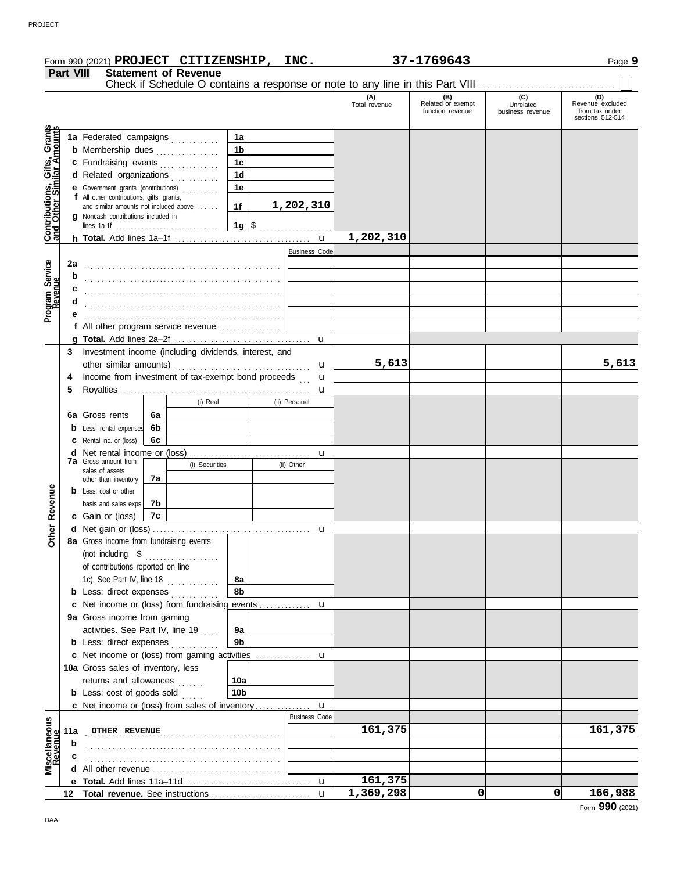|                                                 |                                                                               | Form 990 (2021) PROJECT CITIZENSHIP, INC.                                                                                                                                                                                           |    |                |                 |                        |                          | 37-1769643                                   |                                      | Page 9                                                        |
|-------------------------------------------------|-------------------------------------------------------------------------------|-------------------------------------------------------------------------------------------------------------------------------------------------------------------------------------------------------------------------------------|----|----------------|-----------------|------------------------|--------------------------|----------------------------------------------|--------------------------------------|---------------------------------------------------------------|
| <b>Statement of Revenue</b><br><b>Part VIII</b> |                                                                               |                                                                                                                                                                                                                                     |    |                |                 |                        |                          |                                              |                                      |                                                               |
|                                                 | Check if Schedule O contains a response or note to any line in this Part VIII |                                                                                                                                                                                                                                     |    |                |                 |                        |                          |                                              |                                      |                                                               |
|                                                 |                                                                               |                                                                                                                                                                                                                                     |    |                |                 |                        | (A)<br>Total revenue     | (B)<br>Related or exempt<br>function revenue | (C)<br>Unrelated<br>business revenue | (D)<br>Revenue excluded<br>from tax under<br>sections 512-514 |
|                                                 |                                                                               | 1a Federated campaigns                                                                                                                                                                                                              |    |                | 1a              |                        |                          |                                              |                                      |                                                               |
| Contributions, Gifts, Grants                    |                                                                               | <b>b</b> Membership dues                                                                                                                                                                                                            |    |                | 1 <sub>b</sub>  |                        |                          |                                              |                                      |                                                               |
|                                                 |                                                                               | c Fundraising events                                                                                                                                                                                                                |    |                | 1 <sub>c</sub>  |                        |                          |                                              |                                      |                                                               |
|                                                 |                                                                               | d Related organizations                                                                                                                                                                                                             |    |                | 1 <sub>d</sub>  |                        |                          |                                              |                                      |                                                               |
|                                                 |                                                                               | <b>e</b> Government grants (contributions)                                                                                                                                                                                          |    |                | 1e              |                        |                          |                                              |                                      |                                                               |
|                                                 |                                                                               | f All other contributions, gifts, grants,                                                                                                                                                                                           |    |                |                 |                        |                          |                                              |                                      |                                                               |
|                                                 |                                                                               | and similar amounts not included above<br>g Noncash contributions included in                                                                                                                                                       |    |                | 1f              | 1,202,310              |                          |                                              |                                      |                                                               |
|                                                 |                                                                               |                                                                                                                                                                                                                                     |    |                | 1g $\sqrt{3}$   |                        |                          |                                              |                                      |                                                               |
|                                                 |                                                                               |                                                                                                                                                                                                                                     |    |                |                 | $\mathbf{u}$           | 1,202,310                |                                              |                                      |                                                               |
|                                                 |                                                                               |                                                                                                                                                                                                                                     |    |                |                 | <b>Business Code</b>   |                          |                                              |                                      |                                                               |
|                                                 | 2a                                                                            |                                                                                                                                                                                                                                     |    |                |                 |                        |                          |                                              |                                      |                                                               |
| Program Service<br>Revenue                      | b                                                                             |                                                                                                                                                                                                                                     |    |                |                 |                        |                          |                                              |                                      |                                                               |
|                                                 | c                                                                             |                                                                                                                                                                                                                                     |    |                |                 |                        |                          |                                              |                                      |                                                               |
|                                                 | d                                                                             |                                                                                                                                                                                                                                     |    |                |                 |                        |                          |                                              |                                      |                                                               |
|                                                 |                                                                               |                                                                                                                                                                                                                                     |    |                |                 |                        |                          |                                              |                                      |                                                               |
|                                                 |                                                                               | f All other program service revenue                                                                                                                                                                                                 |    |                |                 |                        |                          |                                              |                                      |                                                               |
|                                                 |                                                                               |                                                                                                                                                                                                                                     |    |                |                 | $\mathbf{u}$           |                          |                                              |                                      |                                                               |
|                                                 | 3                                                                             | Investment income (including dividends, interest, and                                                                                                                                                                               |    |                |                 |                        |                          |                                              |                                      |                                                               |
|                                                 |                                                                               |                                                                                                                                                                                                                                     |    |                |                 | u                      | 5,613                    |                                              |                                      | 5,613                                                         |
|                                                 | 4                                                                             | Income from investment of tax-exempt bond proceeds                                                                                                                                                                                  |    |                |                 | u                      |                          |                                              |                                      |                                                               |
|                                                 | 5                                                                             |                                                                                                                                                                                                                                     |    |                |                 | u                      |                          |                                              |                                      |                                                               |
|                                                 |                                                                               |                                                                                                                                                                                                                                     |    | (i) Real       |                 | (ii) Personal          |                          |                                              |                                      |                                                               |
|                                                 |                                                                               | 6a Gross rents                                                                                                                                                                                                                      | 6a |                |                 |                        |                          |                                              |                                      |                                                               |
|                                                 |                                                                               | <b>b</b> Less: rental expenses                                                                                                                                                                                                      | 6b |                |                 |                        |                          |                                              |                                      |                                                               |
|                                                 |                                                                               | <b>c</b> Rental inc. or (loss)                                                                                                                                                                                                      | 6c |                |                 |                        |                          |                                              |                                      |                                                               |
|                                                 |                                                                               | <b>7a</b> Gross amount from                                                                                                                                                                                                         |    | (i) Securities |                 | <b>u</b><br>(ii) Other |                          |                                              |                                      |                                                               |
|                                                 |                                                                               | sales of assets                                                                                                                                                                                                                     |    |                |                 |                        |                          |                                              |                                      |                                                               |
|                                                 |                                                                               | other than inventory<br><b>b</b> Less: cost or other                                                                                                                                                                                | 7a |                |                 |                        |                          |                                              |                                      |                                                               |
|                                                 |                                                                               | basis and sales exps.                                                                                                                                                                                                               | 7b |                |                 |                        |                          |                                              |                                      |                                                               |
| Revenue                                         |                                                                               | c Gain or (loss)                                                                                                                                                                                                                    | 7c |                |                 |                        |                          |                                              |                                      |                                                               |
|                                                 |                                                                               |                                                                                                                                                                                                                                     |    |                |                 |                        |                          |                                              |                                      |                                                               |
| Other                                           |                                                                               | 8a Gross income from fundraising events                                                                                                                                                                                             |    |                |                 |                        |                          |                                              |                                      |                                                               |
|                                                 |                                                                               |                                                                                                                                                                                                                                     |    |                |                 |                        |                          |                                              |                                      |                                                               |
|                                                 |                                                                               | of contributions reported on line                                                                                                                                                                                                   |    |                |                 |                        |                          |                                              |                                      |                                                               |
|                                                 |                                                                               | 1c). See Part IV, line $18$                                                                                                                                                                                                         |    |                | 8a              |                        |                          |                                              |                                      |                                                               |
|                                                 |                                                                               | <b>b</b> Less: direct expenses <i>minimum</i>                                                                                                                                                                                       |    |                | 8b              |                        |                          |                                              |                                      |                                                               |
|                                                 |                                                                               | c Net income or (loss) from fundraising events                                                                                                                                                                                      |    |                |                 | u                      |                          |                                              |                                      |                                                               |
|                                                 |                                                                               | 9a Gross income from gaming                                                                                                                                                                                                         |    |                |                 |                        |                          |                                              |                                      |                                                               |
|                                                 |                                                                               | activities. See Part IV, line 19                                                                                                                                                                                                    |    |                | 9а              |                        |                          |                                              |                                      |                                                               |
|                                                 |                                                                               | <b>b</b> Less: direct expenses                                                                                                                                                                                                      |    |                | 9 <sub>b</sub>  |                        |                          |                                              |                                      |                                                               |
|                                                 |                                                                               | c Net income or (loss) from gaming activities                                                                                                                                                                                       |    |                |                 | u                      |                          |                                              |                                      |                                                               |
|                                                 |                                                                               | 10a Gross sales of inventory, less                                                                                                                                                                                                  |    |                |                 |                        |                          |                                              |                                      |                                                               |
|                                                 |                                                                               | returns and allowances                                                                                                                                                                                                              |    |                | 10a             |                        |                          |                                              |                                      |                                                               |
|                                                 |                                                                               | <b>b</b> Less: cost of goods sold                                                                                                                                                                                                   |    |                | 10 <sub>b</sub> |                        |                          |                                              |                                      |                                                               |
|                                                 |                                                                               | <b>c</b> Net income or (loss) from sales of inventory                                                                                                                                                                               |    |                |                 | u                      |                          |                                              |                                      |                                                               |
|                                                 |                                                                               |                                                                                                                                                                                                                                     |    |                |                 | <b>Business Code</b>   |                          |                                              |                                      |                                                               |
|                                                 | 11a                                                                           | <b>OTHER REVENUE</b>                                                                                                                                                                                                                |    |                |                 |                        | 161,375                  |                                              |                                      | 161,375                                                       |
| Miscellaneous<br>Revenue                        | b                                                                             |                                                                                                                                                                                                                                     |    |                |                 |                        |                          |                                              |                                      |                                                               |
|                                                 |                                                                               |                                                                                                                                                                                                                                     |    |                |                 |                        |                          |                                              |                                      |                                                               |
|                                                 |                                                                               | All other revenue <i>communication</i> and the state of the state of the state of the state of the state of the state of the state of the state of the state of the state of the state of the state of the state of the state of th |    |                |                 |                        |                          |                                              |                                      |                                                               |
|                                                 |                                                                               |                                                                                                                                                                                                                                     |    |                |                 |                        | 161,375                  |                                              |                                      |                                                               |
|                                                 | 12                                                                            |                                                                                                                                                                                                                                     |    |                |                 | $\mathbf{u}$           | $\overline{1,}$ 369, 298 | 0                                            | $\mathbf{0}$                         | 166,988                                                       |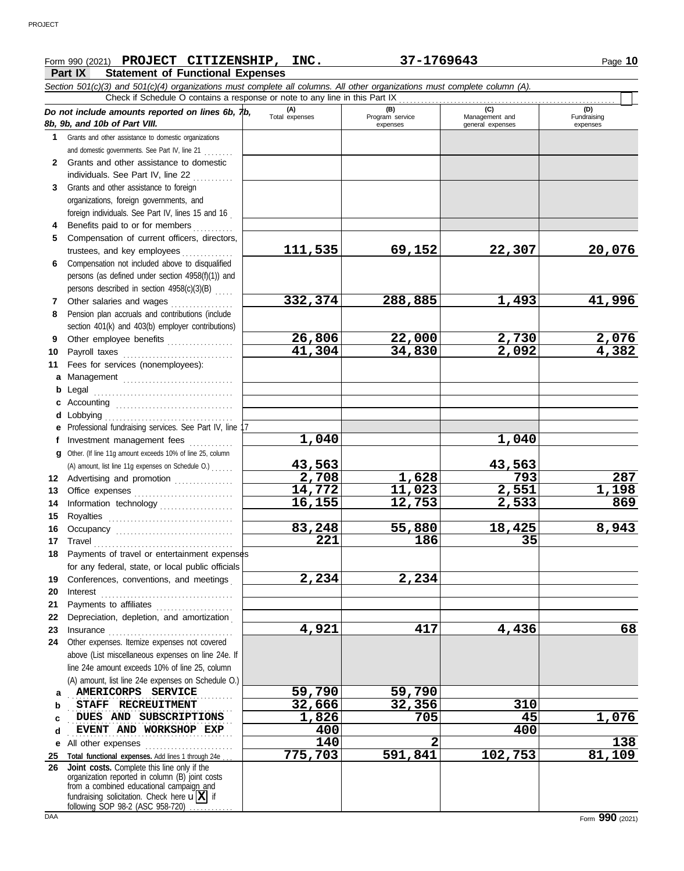# **Form 990 (2021) PROJECT CITIZENSHIP, INC.** 37-1769643 Page 10

## **Part IX Statement of Functional Expenses**

|              | Part IX<br>Statement of Functional Expenses                                                                                                                                                               |                       |                 |                  |                       |
|--------------|-----------------------------------------------------------------------------------------------------------------------------------------------------------------------------------------------------------|-----------------------|-----------------|------------------|-----------------------|
|              | Section 501(c)(3) and 501(c)(4) organizations must complete all columns. All other organizations must complete column (A).<br>Check if Schedule O contains a response or note to any line in this Part IX |                       |                 |                  |                       |
|              |                                                                                                                                                                                                           |                       | (B)             | (C)              |                       |
|              | Do not include amounts reported on lines 6b, $\n  lb$ ,<br>8b, 9b, and 10b of Part VIII.                                                                                                                  | (A)<br>Total expenses | Program service | Management and   | (D)<br>Fundraising    |
|              |                                                                                                                                                                                                           |                       | expenses        | general expenses | expenses              |
| 1.           | Grants and other assistance to domestic organizations                                                                                                                                                     |                       |                 |                  |                       |
|              | and domestic governments. See Part IV, line 21                                                                                                                                                            |                       |                 |                  |                       |
| $\mathbf{2}$ | Grants and other assistance to domestic                                                                                                                                                                   |                       |                 |                  |                       |
|              | individuals. See Part IV, line 22                                                                                                                                                                         |                       |                 |                  |                       |
| 3            | Grants and other assistance to foreign                                                                                                                                                                    |                       |                 |                  |                       |
|              | organizations, foreign governments, and                                                                                                                                                                   |                       |                 |                  |                       |
|              | foreign individuals. See Part IV, lines 15 and 16                                                                                                                                                         |                       |                 |                  |                       |
|              | Benefits paid to or for members<br>.                                                                                                                                                                      |                       |                 |                  |                       |
| 5.           | Compensation of current officers, directors,                                                                                                                                                              | 111,535               | 69,152          | 22,307           | 20,076                |
|              | trustees, and key employees                                                                                                                                                                               |                       |                 |                  |                       |
| 6            | Compensation not included above to disqualified                                                                                                                                                           |                       |                 |                  |                       |
|              | persons (as defined under section 4958(f)(1)) and                                                                                                                                                         |                       |                 |                  |                       |
|              | persons described in section 4958(c)(3)(B)                                                                                                                                                                |                       |                 |                  |                       |
| 7            | Other salaries and wages<br>.                                                                                                                                                                             | 332, 374              | 288,885         | 1,493            | 41,996                |
| 8            | Pension plan accruals and contributions (include                                                                                                                                                          |                       |                 |                  |                       |
|              | section 401(k) and 403(b) employer contributions)                                                                                                                                                         |                       |                 |                  |                       |
| 9            | Other employee benefits                                                                                                                                                                                   | 26,806                | 22,000          | 2,730<br>2,092   | $\frac{2,076}{4,382}$ |
| 10           | Payroll taxes                                                                                                                                                                                             | 41,304                | 34,830          |                  |                       |
| 11           | Fees for services (nonemployees):                                                                                                                                                                         |                       |                 |                  |                       |
| a            | Management                                                                                                                                                                                                |                       |                 |                  |                       |
| b            | Legal                                                                                                                                                                                                     |                       |                 |                  |                       |
|              |                                                                                                                                                                                                           |                       |                 |                  |                       |
| d            | Lobbying                                                                                                                                                                                                  |                       |                 |                  |                       |
|              | Professional fundraising services. See Part IV, line 17                                                                                                                                                   |                       |                 |                  |                       |
| f            | Investment management fees                                                                                                                                                                                | 1,040                 |                 | 1,040            |                       |
| a            | Other. (If line 11g amount exceeds 10% of line 25, column                                                                                                                                                 |                       |                 |                  |                       |
|              | (A) amount, list line 11g expenses on Schedule O.)                                                                                                                                                        | 43,563                |                 | 43,563           |                       |
|              | 12 Advertising and promotion                                                                                                                                                                              | 2,708                 | 1,628           | 793              | 287                   |
| 13           |                                                                                                                                                                                                           | 14,772                | <u>11,023</u>   | 2,551            | <u>1,198</u>          |
| 14           | Information technology                                                                                                                                                                                    | 16,155                | 12,753          | 2,533            | 869                   |
| 15           | Royalties                                                                                                                                                                                                 |                       |                 |                  |                       |
| 16           | Occupancy                                                                                                                                                                                                 | 83,248                | 55,880          | 18,425           | 8,943                 |
| 17           | Travel                                                                                                                                                                                                    | 221                   | 186             | 35               |                       |
|              | 18 Payments of travel or entertainment expenses                                                                                                                                                           |                       |                 |                  |                       |
|              | for any federal, state, or local public officials                                                                                                                                                         |                       |                 |                  |                       |
| 19           | Conferences, conventions, and meetings                                                                                                                                                                    | 2,234                 | 2,234           |                  |                       |
| 20           | Interest                                                                                                                                                                                                  |                       |                 |                  |                       |
| 21           | Payments to affiliates                                                                                                                                                                                    |                       |                 |                  |                       |
| 22           | Depreciation, depletion, and amortization                                                                                                                                                                 |                       |                 |                  |                       |
| 23           | Insurance                                                                                                                                                                                                 | 4,921                 | 417             | 4,436            | 68                    |
| 24           | Other expenses. Itemize expenses not covered                                                                                                                                                              |                       |                 |                  |                       |
|              | above (List miscellaneous expenses on line 24e. If                                                                                                                                                        |                       |                 |                  |                       |
|              | line 24e amount exceeds 10% of line 25, column                                                                                                                                                            |                       |                 |                  |                       |
|              | (A) amount, list line 24e expenses on Schedule O.)                                                                                                                                                        |                       |                 |                  |                       |
| а            | AMERICORPS SERVICE                                                                                                                                                                                        | 59,790                | 59,790          |                  |                       |
| b            | STAFF RECREUITMENT                                                                                                                                                                                        | 32,666                | 32,356          | 310              |                       |
| c            | DUES AND SUBSCRIPTIONS                                                                                                                                                                                    | 1,826                 | 705             | 45               | 1,076                 |
| d            | EVENT AND WORKSHOP EXP                                                                                                                                                                                    | 400                   |                 | 400              |                       |
| е            | All other expenses                                                                                                                                                                                        | 140                   |                 |                  | 138                   |
| 25           | Total functional expenses. Add lines 1 through 24e                                                                                                                                                        | 775, 703              | 591, 841        | 102,753          | 81,109                |
| 26           | Joint costs. Complete this line only if the<br>organization reported in column (B) joint costs                                                                                                            |                       |                 |                  |                       |
|              | from a combined educational campaign and                                                                                                                                                                  |                       |                 |                  |                       |
|              | fundraising solicitation. Check here $\mathbf{u} \mathbf{X} $ if                                                                                                                                          |                       |                 |                  |                       |
|              | following SOP 98-2 (ASC 958-720).                                                                                                                                                                         |                       |                 |                  |                       |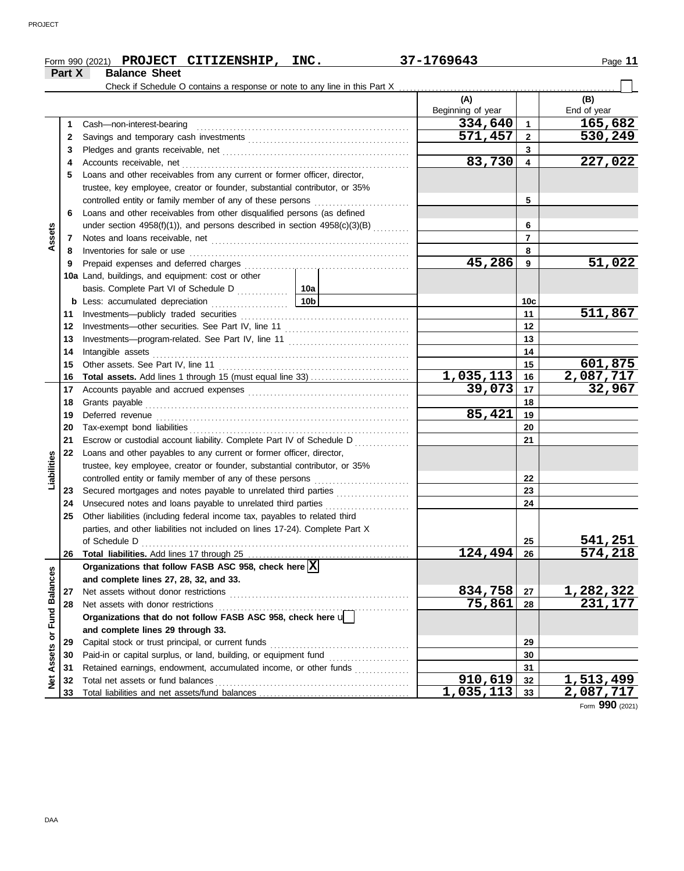|                      |        | Form 990 (2021) PROJECT CITIZENSHIP, INC.                                    |     | 37-1769643               |                         | Page 11            |
|----------------------|--------|------------------------------------------------------------------------------|-----|--------------------------|-------------------------|--------------------|
|                      | Part X | <b>Balance Sheet</b>                                                         |     |                          |                         |                    |
|                      |        |                                                                              |     |                          |                         |                    |
|                      |        |                                                                              |     | (A)<br>Beginning of year |                         | (B)<br>End of year |
|                      | 1      | Cash-non-interest-bearing                                                    |     | 334,640                  | $\mathbf{1}$            | 165,682            |
|                      | 2      |                                                                              |     | 571,457                  | $\mathbf{2}$            | 530,249            |
|                      | 3      |                                                                              |     |                          | 3                       |                    |
|                      | 4      |                                                                              |     | 83,730                   | $\overline{\mathbf{4}}$ | 227,022            |
|                      | 5      | Loans and other receivables from any current or former officer, director,    |     |                          |                         |                    |
|                      |        | trustee, key employee, creator or founder, substantial contributor, or 35%   |     |                          |                         |                    |
|                      |        | controlled entity or family member of any of these persons                   |     |                          | 5                       |                    |
|                      | 6      | Loans and other receivables from other disqualified persons (as defined      |     |                          |                         |                    |
|                      |        | under section 4958(f)(1)), and persons described in section 4958(c)(3)(B)    |     |                          | 6                       |                    |
| Assets               | 7      |                                                                              |     |                          | $\overline{7}$          |                    |
|                      | 8      | Inventories for sale or use                                                  |     |                          | 8                       |                    |
|                      | 9      |                                                                              |     | 45,286                   | 9                       | 51,022             |
|                      |        | 10a Land, buildings, and equipment: cost or other                            |     |                          |                         |                    |
|                      |        |                                                                              |     |                          |                         |                    |
|                      |        | <b>b</b> Less: accumulated depreciation                                      | 10b |                          | 10 <sub>c</sub>         |                    |
|                      | 11     | .                                                                            |     |                          | 11                      | 511,867            |
|                      | 12     |                                                                              |     |                          | 12                      |                    |
|                      | 13     |                                                                              |     |                          | 13                      |                    |
|                      | 14     | Intangible assets                                                            |     | 14                       |                         |                    |
|                      | 15     | Other assets. See Part IV, line 11                                           |     |                          | 15                      | 601,875            |
|                      | 16     |                                                                              |     | 1,035,113                | 16                      | 2,087,717          |
|                      | 17     |                                                                              |     | 39,073                   | 17                      | 32,967             |
|                      | 18     |                                                                              |     | 18                       |                         |                    |
|                      | 19     |                                                                              |     | 85,421                   | 19                      |                    |
|                      | 20     |                                                                              |     |                          | 20                      |                    |
|                      | 21     | Escrow or custodial account liability. Complete Part IV of Schedule D        |     |                          | 21                      |                    |
|                      | 22     | Loans and other payables to any current or former officer, director,         |     |                          |                         |                    |
| Liabilities          |        | trustee, key employee, creator or founder, substantial contributor, or 35%   |     |                          |                         |                    |
|                      |        | controlled entity or family member of any of these persons                   |     |                          | 22                      |                    |
|                      | 23     | Secured mortgages and notes payable to unrelated third parties               |     |                          | 23                      |                    |
|                      | 24     | Unsecured notes and loans payable to unrelated third parties                 |     |                          | 24                      |                    |
|                      | 25     | Other liabilities (including federal income tax, payables to related third   |     |                          |                         |                    |
|                      |        | parties, and other liabilities not included on lines 17-24). Complete Part X |     |                          |                         |                    |
|                      |        | of Schedule D                                                                |     |                          | 25                      | 541,251            |
|                      | 26     |                                                                              |     | 124, 494                 | 26                      | 574,218            |
|                      |        | Organizations that follow FASB ASC 958, check here $\boxed{\text{X}}$        |     |                          |                         |                    |
|                      |        | and complete lines 27, 28, 32, and 33.                                       |     |                          |                         |                    |
|                      | 27     | Net assets without donor restrictions                                        |     | 834,758                  | 27                      | <u>1,282,322</u>   |
|                      | 28     | Net assets with donor restrictions                                           |     | 75,861                   | 28                      | 231,177            |
| <b>Fund Balances</b> |        | Organizations that do not follow FASB ASC 958, check here $\mathbf{u}$       |     |                          |                         |                    |
|                      |        | and complete lines 29 through 33.                                            |     |                          |                         |                    |
| Assets or            | 29     | Capital stock or trust principal, or current funds                           |     |                          | 29                      |                    |
|                      | 30     |                                                                              |     |                          | 30                      |                    |
|                      | 31     | Retained earnings, endowment, accumulated income, or other funds             |     |                          | 31                      |                    |
| $\frac{1}{2}$        | 32     | Total net assets or fund balances                                            |     | 910,619                  | 32                      | 1,513,499          |
|                      | 33     |                                                                              |     | 1,035,113                | 33                      | 2,087,717          |

Form **990** (2021)

DAA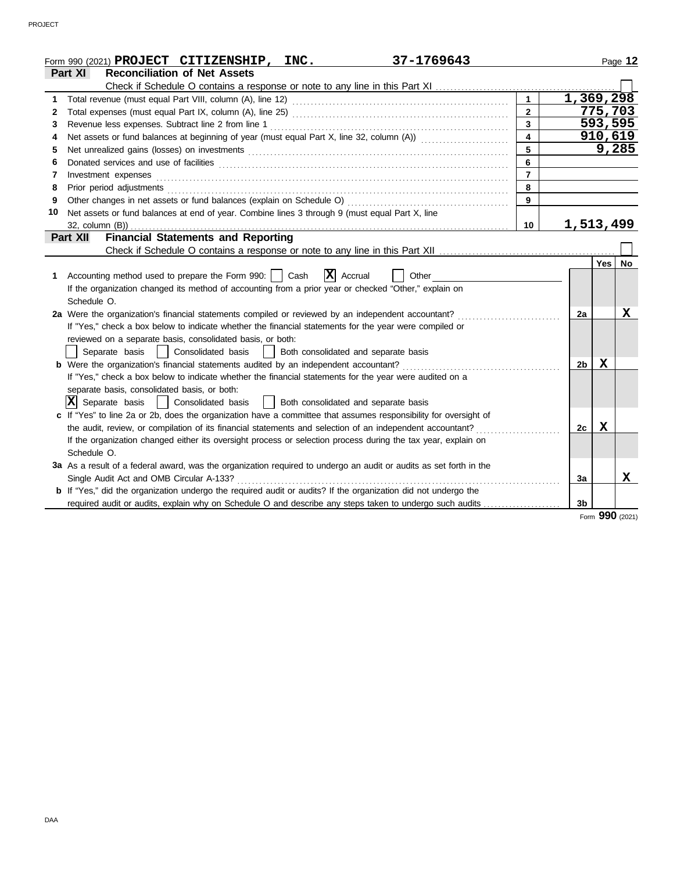|    | 37-1769643<br>Form 990 (2021) PROJECT CITIZENSHIP, INC.                                                                                                                                                                        |                  |                |         | Page 12 |
|----|--------------------------------------------------------------------------------------------------------------------------------------------------------------------------------------------------------------------------------|------------------|----------------|---------|---------|
|    | <b>Reconciliation of Net Assets</b><br>Part XI                                                                                                                                                                                 |                  |                |         |         |
|    |                                                                                                                                                                                                                                |                  |                |         |         |
| 1  |                                                                                                                                                                                                                                | $\mathbf 1$      | 1,369,298      |         |         |
| 2  |                                                                                                                                                                                                                                | $\overline{2}$   |                | 775,703 |         |
| 3  | Revenue less expenses. Subtract line 2 from line 1                                                                                                                                                                             | $\overline{3}$   |                |         | 593,595 |
| 4  | Net assets or fund balances at beginning of year (must equal Part X, line 32, column (A))                                                                                                                                      | $\blacktriangle$ |                |         | 910,619 |
| 5  | Net unrealized gains (losses) on investments [11] match and the contract of the state of the state of the state of the state of the state of the state of the state of the state of the state of the state of the state of the | 5                |                |         | 9,285   |
| 6  |                                                                                                                                                                                                                                | 6                |                |         |         |
| 7  | Investment expenses                                                                                                                                                                                                            | $\overline{7}$   |                |         |         |
| 8  | Prior period adjustments [11, 12] and the contract of the contract of the contract of the contract of the contract of the contract of the contract of the contract of the contract of the contract of the contract of the cont | 8                |                |         |         |
| 9  |                                                                                                                                                                                                                                | 9                |                |         |         |
| 10 | Net assets or fund balances at end of year. Combine lines 3 through 9 (must equal Part X, line                                                                                                                                 |                  |                |         |         |
|    | 32, column (B))                                                                                                                                                                                                                | 10               | 1,513,499      |         |         |
|    | <b>Financial Statements and Reporting</b><br>Part XII                                                                                                                                                                          |                  |                |         |         |
|    |                                                                                                                                                                                                                                |                  |                |         |         |
|    |                                                                                                                                                                                                                                |                  |                | Yes     | No      |
| 1  | $\mathbf{X}$ Accrual<br>Accounting method used to prepare the Form 990:     Cash<br>Other                                                                                                                                      |                  |                |         |         |
|    | If the organization changed its method of accounting from a prior year or checked "Other," explain on                                                                                                                          |                  |                |         |         |
|    | Schedule O.                                                                                                                                                                                                                    |                  |                |         |         |
|    | 2a Were the organization's financial statements compiled or reviewed by an independent accountant?                                                                                                                             |                  | 2a             |         | X       |
|    | If "Yes," check a box below to indicate whether the financial statements for the year were compiled or                                                                                                                         |                  |                |         |         |
|    | reviewed on a separate basis, consolidated basis, or both:                                                                                                                                                                     |                  |                |         |         |
|    | Separate basis   Consolidated basis   Both consolidated and separate basis                                                                                                                                                     |                  |                |         |         |
|    | <b>b</b> Were the organization's financial statements audited by an independent accountant?                                                                                                                                    |                  | 2b             | X       |         |
|    | If "Yes," check a box below to indicate whether the financial statements for the year were audited on a                                                                                                                        |                  |                |         |         |
|    | separate basis, consolidated basis, or both:                                                                                                                                                                                   |                  |                |         |         |
|    | $ \mathbf{X} $ Separate basis<br>  Consolidated basis<br>  Both consolidated and separate basis                                                                                                                                |                  |                |         |         |
|    | c If "Yes" to line 2a or 2b, does the organization have a committee that assumes responsibility for oversight of                                                                                                               |                  |                |         |         |
|    | the audit, review, or compilation of its financial statements and selection of an independent accountant?                                                                                                                      |                  | 2c             | X       |         |
|    | If the organization changed either its oversight process or selection process during the tax year, explain on                                                                                                                  |                  |                |         |         |
|    | Schedule O.                                                                                                                                                                                                                    |                  |                |         |         |
|    | 3a As a result of a federal award, was the organization required to undergo an audit or audits as set forth in the                                                                                                             |                  |                |         |         |
|    | Single Audit Act and OMB Circular A-133?                                                                                                                                                                                       |                  | 3a             |         | X       |
|    | <b>b</b> If "Yes," did the organization undergo the required audit or audits? If the organization did not undergo the                                                                                                          |                  |                |         |         |
|    | required audit or audits, explain why on Schedule O and describe any steps taken to undergo such audits                                                                                                                        |                  | 3 <sub>b</sub> |         |         |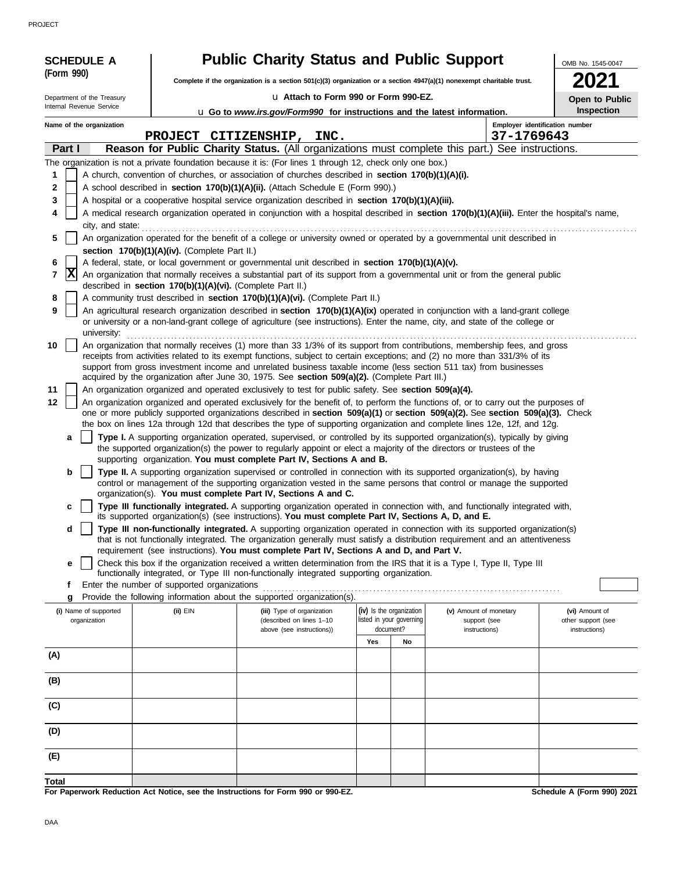PROJECT

| <b>SCHEDULE A</b>          |                                                            | <b>Public Charity Status and Public Support</b>                                                                                                                                                                                                                       |     |                                       |                               | OMB No. 1545-0047                   |
|----------------------------|------------------------------------------------------------|-----------------------------------------------------------------------------------------------------------------------------------------------------------------------------------------------------------------------------------------------------------------------|-----|---------------------------------------|-------------------------------|-------------------------------------|
| (Form 990)                 |                                                            | Complete if the organization is a section 501(c)(3) organization or a section 4947(a)(1) nonexempt charitable trust.                                                                                                                                                  |     |                                       |                               |                                     |
| Department of the Treasury |                                                            | u Attach to Form 990 or Form 990-EZ.                                                                                                                                                                                                                                  |     |                                       |                               | Open to Public                      |
| Internal Revenue Service   |                                                            | u Go to www.irs.gov/Form990 for instructions and the latest information.                                                                                                                                                                                              |     |                                       |                               | <b>Inspection</b>                   |
| Name of the organization   |                                                            |                                                                                                                                                                                                                                                                       |     |                                       |                               | Employer identification number      |
| Part I                     |                                                            | PROJECT CITIZENSHIP, INC.<br>Reason for Public Charity Status. (All organizations must complete this part.) See instructions.                                                                                                                                         |     |                                       | 37-1769643                    |                                     |
|                            |                                                            | The organization is not a private foundation because it is: (For lines 1 through 12, check only one box.)                                                                                                                                                             |     |                                       |                               |                                     |
| 1                          |                                                            | A church, convention of churches, or association of churches described in section 170(b)(1)(A)(i).                                                                                                                                                                    |     |                                       |                               |                                     |
| $\mathbf{2}$               |                                                            | A school described in section 170(b)(1)(A)(ii). (Attach Schedule E (Form 990).)                                                                                                                                                                                       |     |                                       |                               |                                     |
| 3                          |                                                            | A hospital or a cooperative hospital service organization described in section 170(b)(1)(A)(iii).                                                                                                                                                                     |     |                                       |                               |                                     |
| 4<br>city, and state:      |                                                            | A medical research organization operated in conjunction with a hospital described in section 170(b)(1)(A)(iii). Enter the hospital's name,                                                                                                                            |     |                                       |                               |                                     |
| 5                          |                                                            | An organization operated for the benefit of a college or university owned or operated by a governmental unit described in                                                                                                                                             |     |                                       |                               |                                     |
|                            | section 170(b)(1)(A)(iv). (Complete Part II.)              |                                                                                                                                                                                                                                                                       |     |                                       |                               |                                     |
| 6<br> X                    |                                                            | A federal, state, or local government or governmental unit described in section 170(b)(1)(A)(v).                                                                                                                                                                      |     |                                       |                               |                                     |
| 7                          | described in section 170(b)(1)(A)(vi). (Complete Part II.) | An organization that normally receives a substantial part of its support from a governmental unit or from the general public                                                                                                                                          |     |                                       |                               |                                     |
| 8                          |                                                            | A community trust described in section 170(b)(1)(A)(vi). (Complete Part II.)                                                                                                                                                                                          |     |                                       |                               |                                     |
| 9<br>university:           |                                                            | An agricultural research organization described in section 170(b)(1)(A)(ix) operated in conjunction with a land-grant college<br>or university or a non-land-grant college of agriculture (see instructions). Enter the name, city, and state of the college or       |     |                                       |                               |                                     |
| 10                         |                                                            | An organization that normally receives (1) more than 33 1/3% of its support from contributions, membership fees, and gross                                                                                                                                            |     |                                       |                               |                                     |
|                            |                                                            | receipts from activities related to its exempt functions, subject to certain exceptions; and (2) no more than 331/3% of its<br>support from gross investment income and unrelated business taxable income (less section 511 tax) from businesses                      |     |                                       |                               |                                     |
|                            |                                                            | acquired by the organization after June 30, 1975. See section 509(a)(2). (Complete Part III.)                                                                                                                                                                         |     |                                       |                               |                                     |
| 11                         |                                                            | An organization organized and operated exclusively to test for public safety. See section 509(a)(4).                                                                                                                                                                  |     |                                       |                               |                                     |
| 12                         |                                                            | An organization organized and operated exclusively for the benefit of, to perform the functions of, or to carry out the purposes of<br>one or more publicly supported organizations described in section 509(a)(1) or section 509(a)(2). See section 509(a)(3). Check |     |                                       |                               |                                     |
|                            |                                                            | the box on lines 12a through 12d that describes the type of supporting organization and complete lines 12e, 12f, and 12g.                                                                                                                                             |     |                                       |                               |                                     |
| a                          |                                                            | Type I. A supporting organization operated, supervised, or controlled by its supported organization(s), typically by giving                                                                                                                                           |     |                                       |                               |                                     |
|                            |                                                            | the supported organization(s) the power to regularly appoint or elect a majority of the directors or trustees of the<br>supporting organization. You must complete Part IV, Sections A and B.                                                                         |     |                                       |                               |                                     |
| b                          |                                                            | Type II. A supporting organization supervised or controlled in connection with its supported organization(s), by having                                                                                                                                               |     |                                       |                               |                                     |
|                            |                                                            | control or management of the supporting organization vested in the same persons that control or manage the supported                                                                                                                                                  |     |                                       |                               |                                     |
| c                          |                                                            | organization(s). You must complete Part IV, Sections A and C.<br>Type III functionally integrated. A supporting organization operated in connection with, and functionally integrated with,                                                                           |     |                                       |                               |                                     |
|                            |                                                            | its supported organization(s) (see instructions). You must complete Part IV, Sections A, D, and E.                                                                                                                                                                    |     |                                       |                               |                                     |
| d                          |                                                            | Type III non-functionally integrated. A supporting organization operated in connection with its supported organization(s)<br>that is not functionally integrated. The organization generally must satisfy a distribution requirement and an attentiveness             |     |                                       |                               |                                     |
|                            |                                                            | requirement (see instructions). You must complete Part IV, Sections A and D, and Part V.                                                                                                                                                                              |     |                                       |                               |                                     |
| е                          |                                                            | Check this box if the organization received a written determination from the IRS that it is a Type I, Type II, Type III                                                                                                                                               |     |                                       |                               |                                     |
| f                          | Enter the number of supported organizations                | functionally integrated, or Type III non-functionally integrated supporting organization.                                                                                                                                                                             |     |                                       |                               |                                     |
| g                          |                                                            | Provide the following information about the supported organization(s).                                                                                                                                                                                                |     |                                       |                               |                                     |
| (i) Name of supported      | $(ii)$ EIN                                                 | (iii) Type of organization                                                                                                                                                                                                                                            |     | (iv) Is the organization              | (v) Amount of monetary        | (vi) Amount of                      |
| organization               |                                                            | (described on lines 1-10<br>above (see instructions))                                                                                                                                                                                                                 |     | listed in your governing<br>document? | support (see<br>instructions) | other support (see<br>instructions) |
|                            |                                                            |                                                                                                                                                                                                                                                                       | Yes | No                                    |                               |                                     |
| (A)                        |                                                            |                                                                                                                                                                                                                                                                       |     |                                       |                               |                                     |
| (B)                        |                                                            |                                                                                                                                                                                                                                                                       |     |                                       |                               |                                     |
|                            |                                                            |                                                                                                                                                                                                                                                                       |     |                                       |                               |                                     |
| (C)                        |                                                            |                                                                                                                                                                                                                                                                       |     |                                       |                               |                                     |
| (D)                        |                                                            |                                                                                                                                                                                                                                                                       |     |                                       |                               |                                     |
| (E)                        |                                                            |                                                                                                                                                                                                                                                                       |     |                                       |                               |                                     |
| <b>Total</b>               |                                                            |                                                                                                                                                                                                                                                                       |     |                                       |                               |                                     |

**For Paperwork Reduction Act Notice, see the Instructions for Form 990 or 990-EZ.**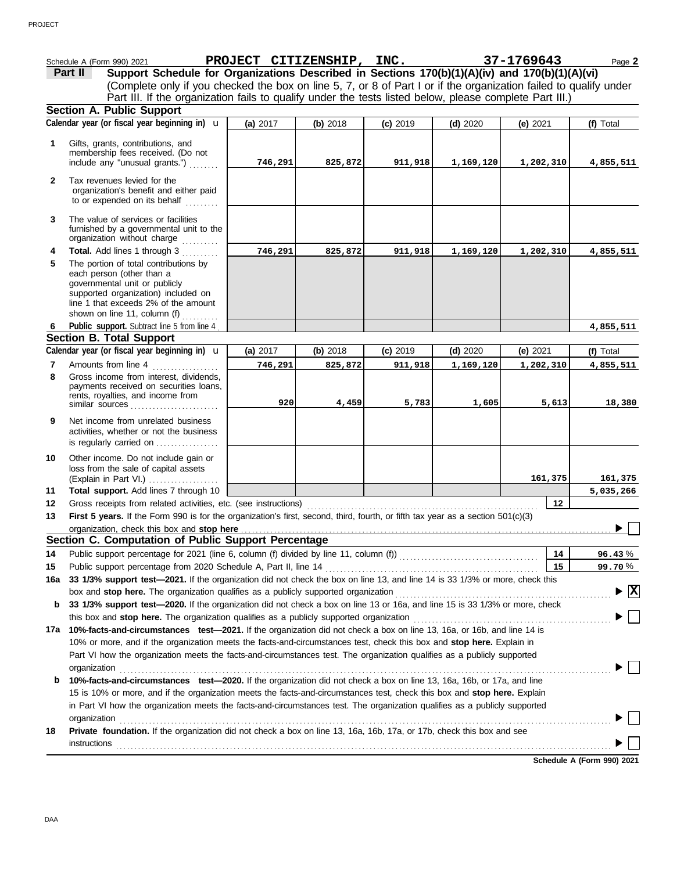|              | Schedule A (Form 990) 2021                                                                                                                                                                                                                                                                                                                                       | PROJECT CITIZENSHIP, INC. |          |            |            | 37-1769643 | Page 2    |
|--------------|------------------------------------------------------------------------------------------------------------------------------------------------------------------------------------------------------------------------------------------------------------------------------------------------------------------------------------------------------------------|---------------------------|----------|------------|------------|------------|-----------|
|              | Support Schedule for Organizations Described in Sections 170(b)(1)(A)(iv) and 170(b)(1)(A)(vi)<br>Part II                                                                                                                                                                                                                                                        |                           |          |            |            |            |           |
|              | (Complete only if you checked the box on line 5, 7, or 8 of Part I or if the organization failed to qualify under                                                                                                                                                                                                                                                |                           |          |            |            |            |           |
|              | Part III. If the organization fails to qualify under the tests listed below, please complete Part III.)                                                                                                                                                                                                                                                          |                           |          |            |            |            |           |
|              | <b>Section A. Public Support</b>                                                                                                                                                                                                                                                                                                                                 |                           |          |            |            |            |           |
|              | Calendar year (or fiscal year beginning in) <b>u</b>                                                                                                                                                                                                                                                                                                             | (a) 2017                  | (b) 2018 | $(c)$ 2019 | $(d)$ 2020 | (e) $2021$ | (f) Total |
|              |                                                                                                                                                                                                                                                                                                                                                                  |                           |          |            |            |            |           |
| 1            | Gifts, grants, contributions, and                                                                                                                                                                                                                                                                                                                                |                           |          |            |            |            |           |
|              | membership fees received. (Do not                                                                                                                                                                                                                                                                                                                                |                           |          |            |            |            |           |
|              | include any "unusual grants.")                                                                                                                                                                                                                                                                                                                                   | 746,291                   | 825,872  | 911,918    | 1,169,120  | 1,202,310  | 4,855,511 |
| $\mathbf{2}$ | Tax revenues levied for the                                                                                                                                                                                                                                                                                                                                      |                           |          |            |            |            |           |
|              | organization's benefit and either paid                                                                                                                                                                                                                                                                                                                           |                           |          |            |            |            |           |
|              | to or expended on its behalf                                                                                                                                                                                                                                                                                                                                     |                           |          |            |            |            |           |
| 3            | The value of services or facilities                                                                                                                                                                                                                                                                                                                              |                           |          |            |            |            |           |
|              | furnished by a governmental unit to the                                                                                                                                                                                                                                                                                                                          |                           |          |            |            |            |           |
|              | organization without charge<br>.                                                                                                                                                                                                                                                                                                                                 |                           |          |            |            |            |           |
| 4            | Total. Add lines 1 through 3                                                                                                                                                                                                                                                                                                                                     | 746,291                   | 825,872  | 911,918    | 1,169,120  | 1,202,310  | 4,855,511 |
| 5            | The portion of total contributions by                                                                                                                                                                                                                                                                                                                            |                           |          |            |            |            |           |
|              | each person (other than a                                                                                                                                                                                                                                                                                                                                        |                           |          |            |            |            |           |
|              | governmental unit or publicly                                                                                                                                                                                                                                                                                                                                    |                           |          |            |            |            |           |
|              | supported organization) included on<br>line 1 that exceeds 2% of the amount                                                                                                                                                                                                                                                                                      |                           |          |            |            |            |           |
|              | shown on line 11, column (f)                                                                                                                                                                                                                                                                                                                                     |                           |          |            |            |            |           |
| 6            | Public support. Subtract line 5 from line 4                                                                                                                                                                                                                                                                                                                      |                           |          |            |            |            | 4,855,511 |
|              | <b>Section B. Total Support</b>                                                                                                                                                                                                                                                                                                                                  |                           |          |            |            |            |           |
|              | Calendar year (or fiscal year beginning in) <b>u</b>                                                                                                                                                                                                                                                                                                             | (a) 2017                  | (b) 2018 | $(c)$ 2019 | $(d)$ 2020 | (e) 2021   | (f) Total |
| 7            | Amounts from line 4                                                                                                                                                                                                                                                                                                                                              | 746,291                   | 825,872  | 911,918    | 1,169,120  | 1,202,310  | 4,855,511 |
| 8            | Gross income from interest, dividends,                                                                                                                                                                                                                                                                                                                           |                           |          |            |            |            |           |
|              | payments received on securities loans,                                                                                                                                                                                                                                                                                                                           |                           |          |            |            |            |           |
|              | rents, royalties, and income from                                                                                                                                                                                                                                                                                                                                |                           |          |            |            |            |           |
|              | similar sources                                                                                                                                                                                                                                                                                                                                                  | 920                       | 4,459    | 5,783      | 1,605      | 5,613      | 18,380    |
| 9            | Net income from unrelated business                                                                                                                                                                                                                                                                                                                               |                           |          |            |            |            |           |
|              | activities, whether or not the business                                                                                                                                                                                                                                                                                                                          |                           |          |            |            |            |           |
|              | is regularly carried on                                                                                                                                                                                                                                                                                                                                          |                           |          |            |            |            |           |
| 10           | Other income. Do not include gain or                                                                                                                                                                                                                                                                                                                             |                           |          |            |            |            |           |
|              | loss from the sale of capital assets                                                                                                                                                                                                                                                                                                                             |                           |          |            |            |            |           |
|              | (Explain in Part VI.)                                                                                                                                                                                                                                                                                                                                            |                           |          |            |            | 161,375    | 161,375   |
| 11           | Total support. Add lines 7 through 10                                                                                                                                                                                                                                                                                                                            |                           |          |            |            |            | 5,035,266 |
| 12           | Gross receipts from related activities, etc. (see instructions)                                                                                                                                                                                                                                                                                                  |                           |          |            |            | 12         |           |
| 13           | <b>First 5 years.</b> If the Form 990 is for the organization's first, second, third, fourth, or fifth tax year as a section 501(c)(3)                                                                                                                                                                                                                           |                           |          |            |            |            |           |
|              | organization, check this box and stop here <b>construction</b> and construction of the state of the state of the state of the state of the state of the state of the state of the state of the state of the state of the state of t                                                                                                                              |                           |          |            |            |            |           |
|              | Section C. Computation of Public Support Percentage                                                                                                                                                                                                                                                                                                              |                           |          |            |            |            |           |
| 14           |                                                                                                                                                                                                                                                                                                                                                                  |                           |          |            |            | 14         | 96.43%    |
| 15           |                                                                                                                                                                                                                                                                                                                                                                  |                           |          |            |            | 15         | 99.70%    |
| 16a          | 33 1/3% support test-2021. If the organization did not check the box on line 13, and line 14 is 33 1/3% or more, check this                                                                                                                                                                                                                                      |                           |          |            |            |            |           |
|              | $\triangleright \boxed{\text{X}}$                                                                                                                                                                                                                                                                                                                                |                           |          |            |            |            |           |
| b            | 33 1/3% support test-2020. If the organization did not check a box on line 13 or 16a, and line 15 is 33 1/3% or more, check                                                                                                                                                                                                                                      |                           |          |            |            |            |           |
|              |                                                                                                                                                                                                                                                                                                                                                                  |                           |          |            |            |            |           |
| 17а          | 10%-facts-and-circumstances test-2021. If the organization did not check a box on line 13, 16a, or 16b, and line 14 is                                                                                                                                                                                                                                           |                           |          |            |            |            |           |
|              | 10% or more, and if the organization meets the facts-and-circumstances test, check this box and stop here. Explain in                                                                                                                                                                                                                                            |                           |          |            |            |            |           |
|              | Part VI how the organization meets the facts-and-circumstances test. The organization qualifies as a publicly supported                                                                                                                                                                                                                                          |                           |          |            |            |            |           |
|              | organization                                                                                                                                                                                                                                                                                                                                                     |                           |          |            |            |            |           |
| b            | 10%-facts-and-circumstances test-2020. If the organization did not check a box on line 13, 16a, 16b, or 17a, and line                                                                                                                                                                                                                                            |                           |          |            |            |            |           |
|              | 15 is 10% or more, and if the organization meets the facts-and-circumstances test, check this box and stop here. Explain                                                                                                                                                                                                                                         |                           |          |            |            |            |           |
|              | in Part VI how the organization meets the facts-and-circumstances test. The organization qualifies as a publicly supported                                                                                                                                                                                                                                       |                           |          |            |            |            |           |
|              |                                                                                                                                                                                                                                                                                                                                                                  |                           |          |            |            |            |           |
| 18           | organization<br><u>expansion</u><br>and the contract of the contract of the contract of the contract of the contract of the contract of the contract of the contract of the contract of the contract of the contract of the contract of<br>Private foundation. If the organization did not check a box on line 13, 16a, 16b, 17a, or 17b, check this box and see |                           |          |            |            |            |           |
|              |                                                                                                                                                                                                                                                                                                                                                                  |                           |          |            |            |            |           |
|              | $instructions$ [10] $\ldots$ [10] $\ldots$ [10] $\ldots$ [10] $\ldots$ [10] $\ldots$ [10] $\ldots$ [10] $\ldots$ [10] $\ldots$ [10] $\ldots$ [10] $\ldots$ [10] $\ldots$ [10] $\ldots$ [10] $\ldots$ [10] $\ldots$ [10] $\ldots$ [10] $\ldots$ [10] $\ldots$ [10] $\ldots$ [10] $\ldots$ [10] $\$                                                                |                           |          |            |            |            |           |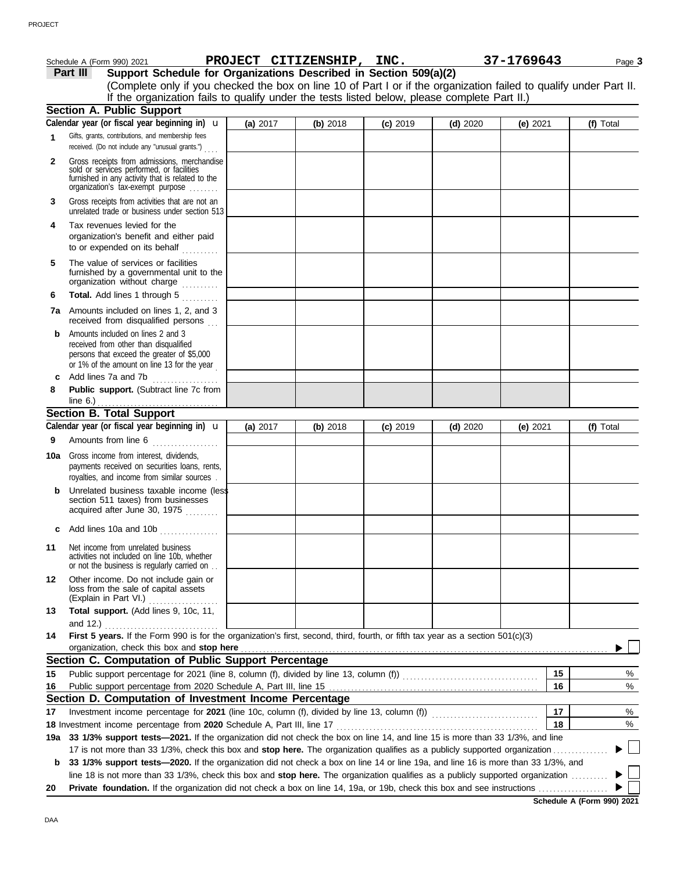|              | Schedule A (Form 990) 2021                                                                                                                                                                                                     | PROJECT CITIZENSHIP, INC. |          |            |            | 37-1769643 | Page 3    |
|--------------|--------------------------------------------------------------------------------------------------------------------------------------------------------------------------------------------------------------------------------|---------------------------|----------|------------|------------|------------|-----------|
|              | Support Schedule for Organizations Described in Section 509(a)(2)<br>Part III                                                                                                                                                  |                           |          |            |            |            |           |
|              | (Complete only if you checked the box on line 10 of Part I or if the organization failed to qualify under Part II.                                                                                                             |                           |          |            |            |            |           |
|              | If the organization fails to qualify under the tests listed below, please complete Part II.)                                                                                                                                   |                           |          |            |            |            |           |
|              | <b>Section A. Public Support</b>                                                                                                                                                                                               |                           |          |            |            |            |           |
|              | Calendar year (or fiscal year beginning in) <b>u</b><br>Gifts, grants, contributions, and membership fees                                                                                                                      | (a) 2017                  | (b) 2018 | $(c)$ 2019 | $(d)$ 2020 | (e) $2021$ | (f) Total |
| $\mathbf 1$  | received. (Do not include any "unusual grants.")                                                                                                                                                                               |                           |          |            |            |            |           |
| $\mathbf{2}$ | Gross receipts from admissions, merchandise<br>sold or services performed, or facilities<br>furnished in any activity that is related to the<br>organization's tax-exempt purpose                                              |                           |          |            |            |            |           |
| 3            | Gross receipts from activities that are not an<br>unrelated trade or business under section 513                                                                                                                                |                           |          |            |            |            |           |
| 4            | Tax revenues levied for the<br>organization's benefit and either paid<br>to or expended on its behalf                                                                                                                          |                           |          |            |            |            |           |
| 5            | The value of services or facilities<br>furnished by a governmental unit to the<br>organization without charge                                                                                                                  |                           |          |            |            |            |           |
| 6            | Total. Add lines 1 through 5                                                                                                                                                                                                   |                           |          |            |            |            |           |
|              | 7a Amounts included on lines 1, 2, and 3<br>received from disqualified persons                                                                                                                                                 |                           |          |            |            |            |           |
| b            | Amounts included on lines 2 and 3<br>received from other than disqualified<br>persons that exceed the greater of \$5,000<br>or 1% of the amount on line 13 for the year                                                        |                           |          |            |            |            |           |
|              | c Add lines 7a and 7b<br>.                                                                                                                                                                                                     |                           |          |            |            |            |           |
| 8            | Public support. (Subtract line 7c from<br>line 6.)                                                                                                                                                                             |                           |          |            |            |            |           |
|              | <b>Section B. Total Support</b>                                                                                                                                                                                                |                           |          |            |            |            |           |
|              | Calendar year (or fiscal year beginning in) $\mathbf u$                                                                                                                                                                        | (a) 2017                  | (b) 2018 | $(c)$ 2019 | $(d)$ 2020 | (e) $2021$ | (f) Total |
| 9            | Amounts from line 6                                                                                                                                                                                                            |                           |          |            |            |            |           |
|              | <b>10a</b> Gross income from interest, dividends,<br>payments received on securities loans, rents,<br>royalties, and income from similar sources.                                                                              |                           |          |            |            |            |           |
| b            | Unrelated business taxable income (less<br>section 511 taxes) from businesses<br>acquired after June 30, 1975                                                                                                                  |                           |          |            |            |            |           |
|              | c Add lines 10a and 10b $\ldots$                                                                                                                                                                                               |                           |          |            |            |            |           |
| 11           | Net income from unrelated business<br>activities not included on line 10b, whether<br>or not the business is regularly carried on                                                                                              |                           |          |            |            |            |           |
| 12           | Other income. Do not include gain or<br>loss from the sale of capital assets<br>(Explain in Part VI.)                                                                                                                          |                           |          |            |            |            |           |
| 13           | Total support. (Add lines 9, 10c, 11,<br>and 12.)                                                                                                                                                                              |                           |          |            |            |            |           |
| 14           | First 5 years. If the Form 990 is for the organization's first, second, third, fourth, or fifth tax year as a section 501(c)(3)                                                                                                |                           |          |            |            |            |           |
|              | organization, check this box and stop here contained and state and state and state and state and state and stop here contained and stop here are all the state and state and state and state and state and state and state and |                           |          |            |            |            |           |
|              | Section C. Computation of Public Support Percentage                                                                                                                                                                            |                           |          |            |            |            |           |
| 15           |                                                                                                                                                                                                                                |                           |          |            |            | 15         | %         |
| 16           |                                                                                                                                                                                                                                |                           |          |            |            | 16         | %         |
|              | Section D. Computation of Investment Income Percentage                                                                                                                                                                         |                           |          |            |            | 17         |           |
| 17           | 18 Investment income percentage from 2020 Schedule A, Part III, line 17                                                                                                                                                        |                           |          |            |            | 18         | %<br>%    |
|              | 19a 33 1/3% support tests-2021. If the organization did not check the box on line 14, and line 15 is more than 33 1/3%, and line                                                                                               |                           |          |            |            |            |           |
|              | 17 is not more than 33 1/3%, check this box and stop here. The organization qualifies as a publicly supported organization                                                                                                     |                           |          |            |            |            |           |
| b            | 33 1/3% support tests-2020. If the organization did not check a box on line 14 or line 19a, and line 16 is more than 33 1/3%, and                                                                                              |                           |          |            |            |            |           |
|              | line 18 is not more than 33 1/3%, check this box and stop here. The organization qualifies as a publicly supported organization                                                                                                |                           |          |            |            |            |           |
| 20           |                                                                                                                                                                                                                                |                           |          |            |            |            |           |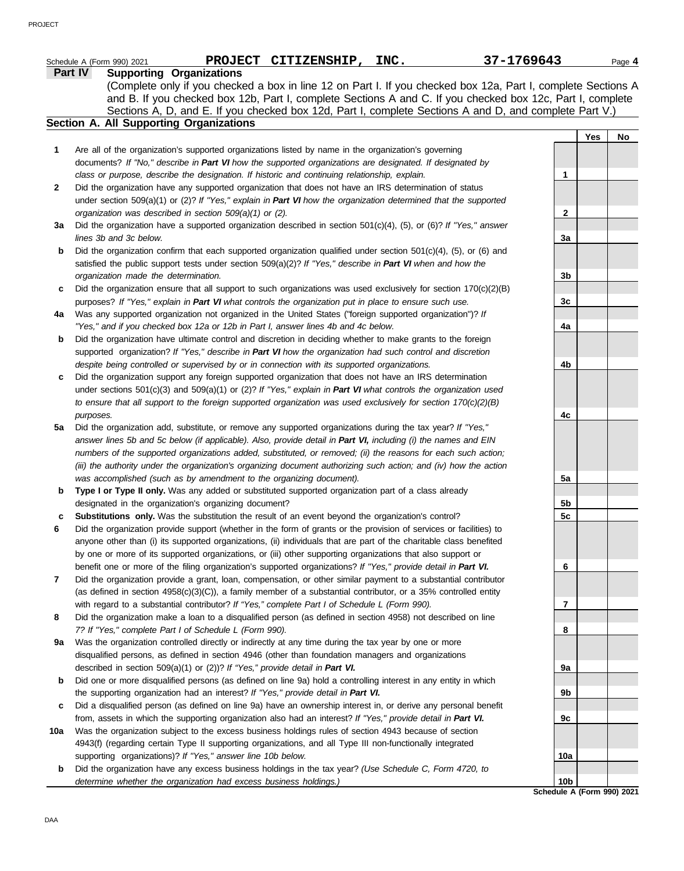|     | 37-1769643<br><b>PROJECT</b><br>CITIZENSHIP, INC.<br>Schedule A (Form 990) 2021                                                                                                                                                                                                                                                                                                                                                       |                 |     | Page 4 |
|-----|---------------------------------------------------------------------------------------------------------------------------------------------------------------------------------------------------------------------------------------------------------------------------------------------------------------------------------------------------------------------------------------------------------------------------------------|-----------------|-----|--------|
|     | <b>Supporting Organizations</b><br>Part IV<br>(Complete only if you checked a box in line 12 on Part I. If you checked box 12a, Part I, complete Sections A<br>and B. If you checked box 12b, Part I, complete Sections A and C. If you checked box 12c, Part I, complete<br>Sections A, D, and E. If you checked box 12d, Part I, complete Sections A and D, and complete Part V.)<br><b>Section A. All Supporting Organizations</b> |                 |     |        |
|     |                                                                                                                                                                                                                                                                                                                                                                                                                                       |                 | Yes | No     |
| 1   | Are all of the organization's supported organizations listed by name in the organization's governing                                                                                                                                                                                                                                                                                                                                  |                 |     |        |
|     | documents? If "No," describe in Part VI how the supported organizations are designated. If designated by                                                                                                                                                                                                                                                                                                                              |                 |     |        |
|     | class or purpose, describe the designation. If historic and continuing relationship, explain.                                                                                                                                                                                                                                                                                                                                         | 1               |     |        |
| 2   | Did the organization have any supported organization that does not have an IRS determination of status                                                                                                                                                                                                                                                                                                                                |                 |     |        |
|     | under section 509(a)(1) or (2)? If "Yes," explain in Part VI how the organization determined that the supported                                                                                                                                                                                                                                                                                                                       |                 |     |        |
|     | organization was described in section 509(a)(1) or (2).                                                                                                                                                                                                                                                                                                                                                                               | 2               |     |        |
| За  | Did the organization have a supported organization described in section $501(c)(4)$ , (5), or (6)? If "Yes," answer                                                                                                                                                                                                                                                                                                                   |                 |     |        |
|     | lines 3b and 3c below.                                                                                                                                                                                                                                                                                                                                                                                                                | За              |     |        |
| b   | Did the organization confirm that each supported organization qualified under section $501(c)(4)$ , (5), or (6) and                                                                                                                                                                                                                                                                                                                   |                 |     |        |
|     | satisfied the public support tests under section $509(a)(2)$ ? If "Yes," describe in Part VI when and how the                                                                                                                                                                                                                                                                                                                         |                 |     |        |
|     | organization made the determination.                                                                                                                                                                                                                                                                                                                                                                                                  | 3b              |     |        |
| c   | Did the organization ensure that all support to such organizations was used exclusively for section $170(c)(2)(B)$                                                                                                                                                                                                                                                                                                                    |                 |     |        |
|     | purposes? If "Yes," explain in Part VI what controls the organization put in place to ensure such use.                                                                                                                                                                                                                                                                                                                                | 3c              |     |        |
| 4a  | Was any supported organization not organized in the United States ("foreign supported organization")? If                                                                                                                                                                                                                                                                                                                              |                 |     |        |
|     | "Yes," and if you checked box 12a or 12b in Part I, answer lines 4b and 4c below.                                                                                                                                                                                                                                                                                                                                                     | 4a              |     |        |
| b   | Did the organization have ultimate control and discretion in deciding whether to make grants to the foreign                                                                                                                                                                                                                                                                                                                           |                 |     |        |
|     | supported organization? If "Yes," describe in Part VI how the organization had such control and discretion                                                                                                                                                                                                                                                                                                                            |                 |     |        |
|     | despite being controlled or supervised by or in connection with its supported organizations.                                                                                                                                                                                                                                                                                                                                          | 4b              |     |        |
| c   | Did the organization support any foreign supported organization that does not have an IRS determination                                                                                                                                                                                                                                                                                                                               |                 |     |        |
|     | under sections $501(c)(3)$ and $509(a)(1)$ or $(2)$ ? If "Yes," explain in Part VI what controls the organization used                                                                                                                                                                                                                                                                                                                |                 |     |        |
|     | to ensure that all support to the foreign supported organization was used exclusively for section $170(c)(2)(B)$                                                                                                                                                                                                                                                                                                                      |                 |     |        |
|     | purposes.                                                                                                                                                                                                                                                                                                                                                                                                                             | 4c              |     |        |
| 5a  | Did the organization add, substitute, or remove any supported organizations during the tax year? If "Yes,"                                                                                                                                                                                                                                                                                                                            |                 |     |        |
|     | answer lines 5b and 5c below (if applicable). Also, provide detail in Part VI, including (i) the names and EIN                                                                                                                                                                                                                                                                                                                        |                 |     |        |
|     | numbers of the supported organizations added, substituted, or removed; (ii) the reasons for each such action;                                                                                                                                                                                                                                                                                                                         |                 |     |        |
|     | (iii) the authority under the organization's organizing document authorizing such action; and (iv) how the action                                                                                                                                                                                                                                                                                                                     |                 |     |        |
|     | was accomplished (such as by amendment to the organizing document).                                                                                                                                                                                                                                                                                                                                                                   | 5a              |     |        |
| b   | Type I or Type II only. Was any added or substituted supported organization part of a class already                                                                                                                                                                                                                                                                                                                                   |                 |     |        |
|     | designated in the organization's organizing document?                                                                                                                                                                                                                                                                                                                                                                                 | 5b              |     |        |
|     | Substitutions only. Was the substitution the result of an event beyond the organization's control?                                                                                                                                                                                                                                                                                                                                    | 5c              |     |        |
| 6   | Did the organization provide support (whether in the form of grants or the provision of services or facilities) to                                                                                                                                                                                                                                                                                                                    |                 |     |        |
|     | anyone other than (i) its supported organizations, (ii) individuals that are part of the charitable class benefited                                                                                                                                                                                                                                                                                                                   |                 |     |        |
|     | by one or more of its supported organizations, or (iii) other supporting organizations that also support or                                                                                                                                                                                                                                                                                                                           |                 |     |        |
|     | benefit one or more of the filing organization's supported organizations? If "Yes," provide detail in Part VI.                                                                                                                                                                                                                                                                                                                        | 6               |     |        |
| 7   | Did the organization provide a grant, loan, compensation, or other similar payment to a substantial contributor                                                                                                                                                                                                                                                                                                                       |                 |     |        |
|     | (as defined in section $4958(c)(3)(C)$ ), a family member of a substantial contributor, or a 35% controlled entity                                                                                                                                                                                                                                                                                                                    |                 |     |        |
|     | with regard to a substantial contributor? If "Yes," complete Part I of Schedule L (Form 990).                                                                                                                                                                                                                                                                                                                                         | 7               |     |        |
| 8   | Did the organization make a loan to a disqualified person (as defined in section 4958) not described on line                                                                                                                                                                                                                                                                                                                          | 8               |     |        |
|     | 7? If "Yes," complete Part I of Schedule L (Form 990).                                                                                                                                                                                                                                                                                                                                                                                |                 |     |        |
| 9a  | Was the organization controlled directly or indirectly at any time during the tax year by one or more<br>disqualified persons, as defined in section 4946 (other than foundation managers and organizations                                                                                                                                                                                                                           |                 |     |        |
|     |                                                                                                                                                                                                                                                                                                                                                                                                                                       |                 |     |        |
| b   | described in section 509(a)(1) or (2))? If "Yes," provide detail in Part VI.<br>Did one or more disqualified persons (as defined on line 9a) hold a controlling interest in any entity in which                                                                                                                                                                                                                                       | 9a              |     |        |
|     | the supporting organization had an interest? If "Yes," provide detail in Part VI.                                                                                                                                                                                                                                                                                                                                                     | 9b              |     |        |
| c   | Did a disqualified person (as defined on line 9a) have an ownership interest in, or derive any personal benefit                                                                                                                                                                                                                                                                                                                       |                 |     |        |
|     | from, assets in which the supporting organization also had an interest? If "Yes," provide detail in Part VI.                                                                                                                                                                                                                                                                                                                          | 9c              |     |        |
| 10a | Was the organization subject to the excess business holdings rules of section 4943 because of section                                                                                                                                                                                                                                                                                                                                 |                 |     |        |
|     | 4943(f) (regarding certain Type II supporting organizations, and all Type III non-functionally integrated                                                                                                                                                                                                                                                                                                                             |                 |     |        |
|     | supporting organizations)? If "Yes," answer line 10b below.                                                                                                                                                                                                                                                                                                                                                                           | 10a             |     |        |
| b   | Did the organization have any excess business holdings in the tax year? (Use Schedule C, Form 4720, to                                                                                                                                                                                                                                                                                                                                |                 |     |        |
|     | determine whether the organization had excess business holdings.)                                                                                                                                                                                                                                                                                                                                                                     | 10 <sub>b</sub> |     |        |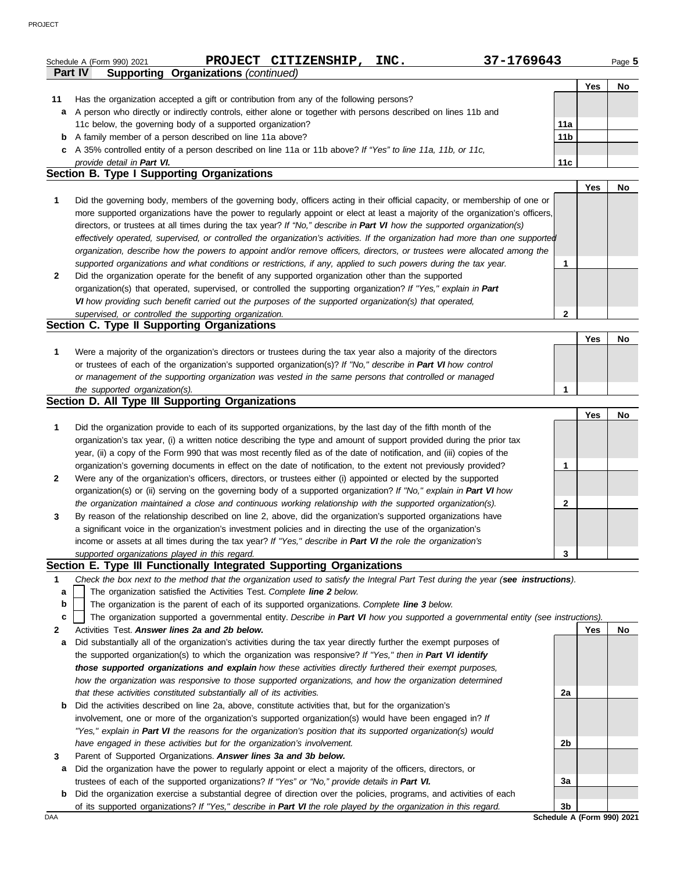|              | PROJECT CITIZENSHIP,<br>37-1769643<br>INC.<br>Schedule A (Form 990) 2021                                                                                                                                    |                 |     | Page 5 |
|--------------|-------------------------------------------------------------------------------------------------------------------------------------------------------------------------------------------------------------|-----------------|-----|--------|
|              | Part IV<br><b>Supporting Organizations (continued)</b>                                                                                                                                                      |                 |     |        |
|              |                                                                                                                                                                                                             |                 | Yes | No     |
| 11           | Has the organization accepted a gift or contribution from any of the following persons?                                                                                                                     |                 |     |        |
| a            | A person who directly or indirectly controls, either alone or together with persons described on lines 11b and                                                                                              |                 |     |        |
|              | 11c below, the governing body of a supported organization?                                                                                                                                                  | 11a             |     |        |
|              | <b>b</b> A family member of a person described on line 11a above?                                                                                                                                           | 11 <sub>b</sub> |     |        |
|              | c A 35% controlled entity of a person described on line 11a or 11b above? If "Yes" to line 11a, 11b, or 11c,<br>provide detail in Part VI.                                                                  | 11c             |     |        |
|              | Section B. Type I Supporting Organizations                                                                                                                                                                  |                 |     |        |
|              |                                                                                                                                                                                                             |                 | Yes | No     |
| 1            | Did the governing body, members of the governing body, officers acting in their official capacity, or membership of one or                                                                                  |                 |     |        |
|              | more supported organizations have the power to regularly appoint or elect at least a majority of the organization's officers,                                                                               |                 |     |        |
|              | directors, or trustees at all times during the tax year? If "No," describe in Part VI how the supported organization(s)                                                                                     |                 |     |        |
|              | effectively operated, supervised, or controlled the organization's activities. If the organization had more than one supported                                                                              |                 |     |        |
|              | organization, describe how the powers to appoint and/or remove officers, directors, or trustees were allocated among the                                                                                    |                 |     |        |
|              | supported organizations and what conditions or restrictions, if any, applied to such powers during the tax year.                                                                                            | 1               |     |        |
| $\mathbf{2}$ | Did the organization operate for the benefit of any supported organization other than the supported                                                                                                         |                 |     |        |
|              | organization(s) that operated, supervised, or controlled the supporting organization? If "Yes," explain in Part                                                                                             |                 |     |        |
|              | VI how providing such benefit carried out the purposes of the supported organization(s) that operated,                                                                                                      |                 |     |        |
|              | supervised, or controlled the supporting organization.                                                                                                                                                      | $\mathbf{2}$    |     |        |
|              | Section C. Type II Supporting Organizations                                                                                                                                                                 |                 |     |        |
|              |                                                                                                                                                                                                             |                 | Yes | No     |
| 1            | Were a majority of the organization's directors or trustees during the tax year also a majority of the directors                                                                                            |                 |     |        |
|              | or trustees of each of the organization's supported organization(s)? If "No," describe in Part VI how control                                                                                               |                 |     |        |
|              | or management of the supporting organization was vested in the same persons that controlled or managed                                                                                                      |                 |     |        |
|              | the supported organization(s).                                                                                                                                                                              | 1               |     |        |
|              | Section D. All Type III Supporting Organizations                                                                                                                                                            |                 |     |        |
|              |                                                                                                                                                                                                             |                 | Yes | No     |
| 1            | Did the organization provide to each of its supported organizations, by the last day of the fifth month of the                                                                                              |                 |     |        |
|              | organization's tax year, (i) a written notice describing the type and amount of support provided during the prior tax                                                                                       |                 |     |        |
|              | year, (ii) a copy of the Form 990 that was most recently filed as of the date of notification, and (iii) copies of the                                                                                      |                 |     |        |
|              | organization's governing documents in effect on the date of notification, to the extent not previously provided?                                                                                            | 1               |     |        |
| 2            | Were any of the organization's officers, directors, or trustees either (i) appointed or elected by the supported                                                                                            |                 |     |        |
|              | organization(s) or (ii) serving on the governing body of a supported organization? If "No," explain in Part VI how                                                                                          |                 |     |        |
|              | the organization maintained a close and continuous working relationship with the supported organization(s).                                                                                                 | 2               |     |        |
| 3            | By reason of the relationship described on line 2, above, did the organization's supported organizations have                                                                                               |                 |     |        |
|              | a significant voice in the organization's investment policies and in directing the use of the organization's                                                                                                |                 |     |        |
|              | income or assets at all times during the tax year? If "Yes," describe in Part VI the role the organization's                                                                                                |                 |     |        |
|              | supported organizations played in this regard.<br>Section E. Type III Functionally Integrated Supporting Organizations                                                                                      | 3               |     |        |
|              |                                                                                                                                                                                                             |                 |     |        |
| 1            | Check the box next to the method that the organization used to satisfy the Integral Part Test during the year (see instructions).<br>The organization satisfied the Activities Test. Complete line 2 below. |                 |     |        |
| a<br>b       | The organization is the parent of each of its supported organizations. Complete line 3 below.                                                                                                               |                 |     |        |
| с            | The organization supported a governmental entity. Describe in Part VI how you supported a governmental entity (see instructions).                                                                           |                 |     |        |
| 2            | Activities Test. Answer lines 2a and 2b below.                                                                                                                                                              |                 | Yes | No     |
| a            | Did substantially all of the organization's activities during the tax year directly further the exempt purposes of                                                                                          |                 |     |        |
|              | the supported organization(s) to which the organization was responsive? If "Yes," then in Part VI identify                                                                                                  |                 |     |        |
|              | those supported organizations and explain how these activities directly furthered their exempt purposes,                                                                                                    |                 |     |        |
|              | how the organization was responsive to those supported organizations, and how the organization determined                                                                                                   |                 |     |        |
|              | that these activities constituted substantially all of its activities.                                                                                                                                      | 2a              |     |        |
| b            | Did the activities described on line 2a, above, constitute activities that, but for the organization's                                                                                                      |                 |     |        |
|              | involvement, one or more of the organization's supported organization(s) would have been engaged in? If                                                                                                     |                 |     |        |
|              | "Yes," explain in Part VI the reasons for the organization's position that its supported organization(s) would                                                                                              |                 |     |        |
|              | have engaged in these activities but for the organization's involvement.                                                                                                                                    | 2b              |     |        |
| 3            | Parent of Supported Organizations. Answer lines 3a and 3b below.                                                                                                                                            |                 |     |        |

- **a** Did the organization have the power to regularly appoint or elect a majority of the officers, directors, or trustees of each of the supported organizations? *If "Yes" or "No," provide details in Part VI.*
- **b** Did the organization exercise a substantial degree of direction over the policies, programs, and activities of each of its supported organizations? *If "Yes," describe in Part VI the role played by the organization in this regard.*

**3a**

**3b**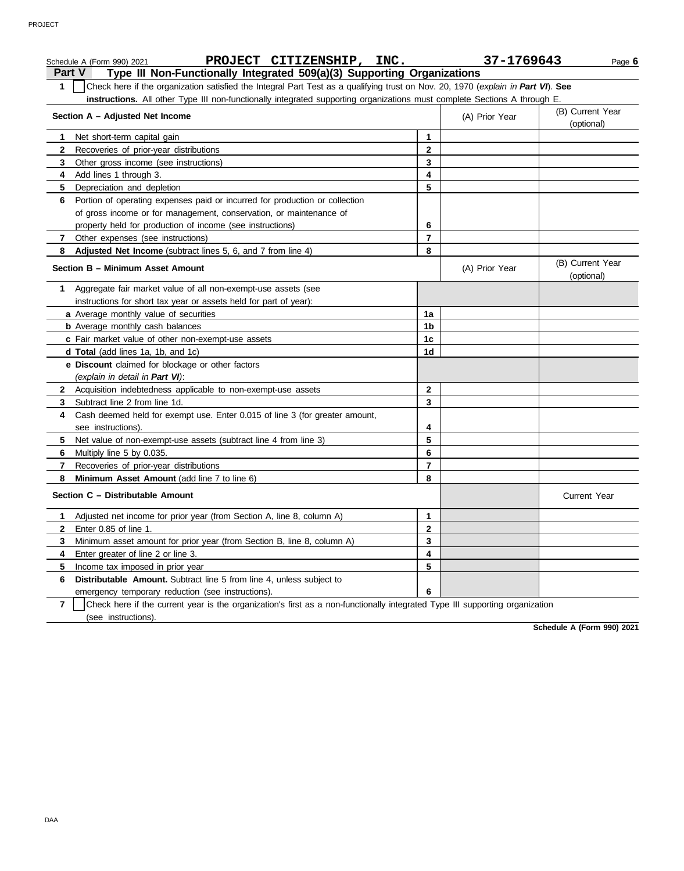|                | PROJECT CITIZENSHIP, INC.<br>Schedule A (Form 990) 2021                                                                                                                                                                                                       |                | 37-1769643     | Page 6                         |
|----------------|---------------------------------------------------------------------------------------------------------------------------------------------------------------------------------------------------------------------------------------------------------------|----------------|----------------|--------------------------------|
|                | Type III Non-Functionally Integrated 509(a)(3) Supporting Organizations<br><b>Part V</b>                                                                                                                                                                      |                |                |                                |
| $\mathbf 1$    | Check here if the organization satisfied the Integral Part Test as a qualifying trust on Nov. 20, 1970 (explain in Part VI). See<br>instructions. All other Type III non-functionally integrated supporting organizations must complete Sections A through E. |                |                |                                |
|                | Section A - Adjusted Net Income                                                                                                                                                                                                                               |                | (A) Prior Year | (B) Current Year<br>(optional) |
| 1              | Net short-term capital gain                                                                                                                                                                                                                                   | 1              |                |                                |
| $\mathbf{2}$   | Recoveries of prior-year distributions                                                                                                                                                                                                                        | $\mathbf{2}$   |                |                                |
| 3              | Other gross income (see instructions)                                                                                                                                                                                                                         | 3              |                |                                |
| 4              | Add lines 1 through 3.                                                                                                                                                                                                                                        | 4              |                |                                |
| 5              | Depreciation and depletion                                                                                                                                                                                                                                    | 5              |                |                                |
| 6              | Portion of operating expenses paid or incurred for production or collection                                                                                                                                                                                   |                |                |                                |
|                | of gross income or for management, conservation, or maintenance of                                                                                                                                                                                            |                |                |                                |
|                | property held for production of income (see instructions)                                                                                                                                                                                                     | 6              |                |                                |
| $\mathbf{7}$   | Other expenses (see instructions)                                                                                                                                                                                                                             | $\overline{7}$ |                |                                |
| 8              | Adjusted Net Income (subtract lines 5, 6, and 7 from line 4)                                                                                                                                                                                                  | 8              |                |                                |
|                | Section B - Minimum Asset Amount                                                                                                                                                                                                                              |                | (A) Prior Year | (B) Current Year<br>(optional) |
| 1              | Aggregate fair market value of all non-exempt-use assets (see                                                                                                                                                                                                 |                |                |                                |
|                | instructions for short tax year or assets held for part of year):                                                                                                                                                                                             |                |                |                                |
|                | a Average monthly value of securities                                                                                                                                                                                                                         | 1a             |                |                                |
|                | <b>b</b> Average monthly cash balances                                                                                                                                                                                                                        | 1b             |                |                                |
|                | c Fair market value of other non-exempt-use assets                                                                                                                                                                                                            | 1c             |                |                                |
|                | <b>d Total</b> (add lines 1a, 1b, and 1c)                                                                                                                                                                                                                     | 1d             |                |                                |
|                | e Discount claimed for blockage or other factors                                                                                                                                                                                                              |                |                |                                |
|                | (explain in detail in Part VI):                                                                                                                                                                                                                               |                |                |                                |
| $\mathbf{2}$   | Acquisition indebtedness applicable to non-exempt-use assets                                                                                                                                                                                                  | $\mathbf{2}$   |                |                                |
| 3              | Subtract line 2 from line 1d.                                                                                                                                                                                                                                 | 3              |                |                                |
| 4              | Cash deemed held for exempt use. Enter 0.015 of line 3 (for greater amount,                                                                                                                                                                                   |                |                |                                |
|                | see instructions).                                                                                                                                                                                                                                            | 4              |                |                                |
| 5              | Net value of non-exempt-use assets (subtract line 4 from line 3)                                                                                                                                                                                              | 5              |                |                                |
| 6              | Multiply line 5 by 0.035.                                                                                                                                                                                                                                     | 6              |                |                                |
| 7              | Recoveries of prior-year distributions                                                                                                                                                                                                                        | $\overline{7}$ |                |                                |
| 8              | <b>Minimum Asset Amount</b> (add line 7 to line 6)                                                                                                                                                                                                            | 8              |                |                                |
|                | Section C - Distributable Amount                                                                                                                                                                                                                              |                |                | <b>Current Year</b>            |
| 1.             | Adjusted net income for prior year (from Section A, line 8, column A)                                                                                                                                                                                         | 1              |                |                                |
| $\mathbf{2}$   | Enter 0.85 of line 1.                                                                                                                                                                                                                                         | $\mathbf{2}$   |                |                                |
| 3              | Minimum asset amount for prior year (from Section B, line 8, column A)                                                                                                                                                                                        | 3              |                |                                |
| 4              | Enter greater of line 2 or line 3.                                                                                                                                                                                                                            | 4              |                |                                |
| 5              | Income tax imposed in prior year                                                                                                                                                                                                                              | 5              |                |                                |
| 6              | Distributable Amount. Subtract line 5 from line 4, unless subject to                                                                                                                                                                                          |                |                |                                |
|                | emergency temporary reduction (see instructions).                                                                                                                                                                                                             | 6              |                |                                |
| $\overline{7}$ | Check here if the current year is the organization's first as a non-functionally integrated Type III supporting organization                                                                                                                                  |                |                |                                |
|                | (see instructions).                                                                                                                                                                                                                                           |                |                |                                |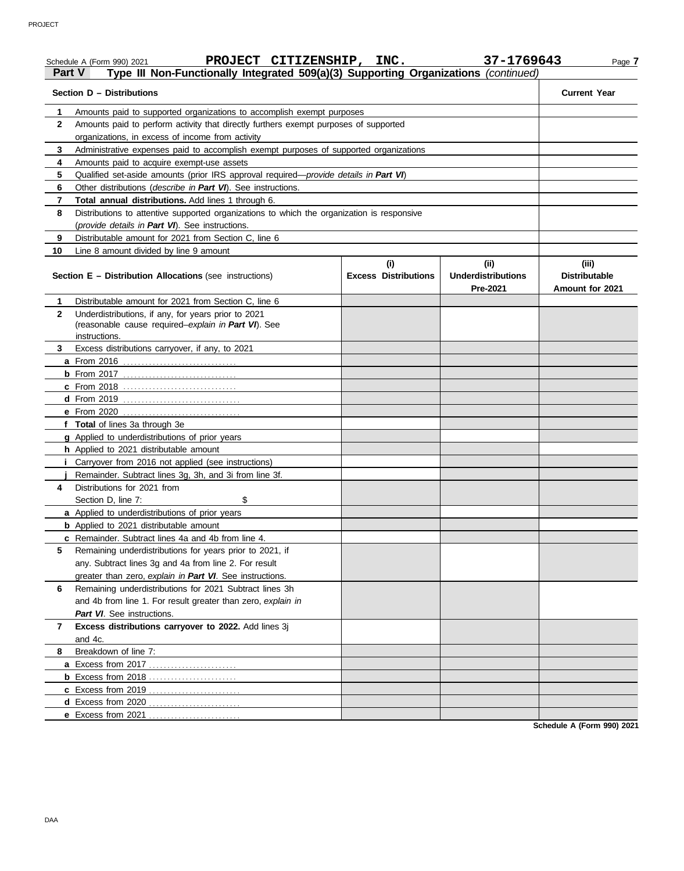| Part V       | PROJECT CITIZENSHIP, INC.<br>Schedule A (Form 990) 2021<br>Type III Non-Functionally Integrated 509(a)(3) Supporting Organizations (continued) |                             | 37-1769643                            | Page 7                                         |
|--------------|------------------------------------------------------------------------------------------------------------------------------------------------|-----------------------------|---------------------------------------|------------------------------------------------|
|              | Section D - Distributions                                                                                                                      |                             |                                       | <b>Current Year</b>                            |
| 1            | Amounts paid to supported organizations to accomplish exempt purposes                                                                          |                             |                                       |                                                |
| $\mathbf{2}$ | Amounts paid to perform activity that directly furthers exempt purposes of supported                                                           |                             |                                       |                                                |
|              | organizations, in excess of income from activity                                                                                               |                             |                                       |                                                |
| 3            | Administrative expenses paid to accomplish exempt purposes of supported organizations                                                          |                             |                                       |                                                |
| 4            | Amounts paid to acquire exempt-use assets                                                                                                      |                             |                                       |                                                |
| 5            | Qualified set-aside amounts (prior IRS approval required-provide details in Part VI)                                                           |                             |                                       |                                                |
| 6            | Other distributions (describe in Part VI). See instructions.                                                                                   |                             |                                       |                                                |
| 7            | Total annual distributions. Add lines 1 through 6.                                                                                             |                             |                                       |                                                |
| 8            | Distributions to attentive supported organizations to which the organization is responsive                                                     |                             |                                       |                                                |
|              | (provide details in Part VI). See instructions.                                                                                                |                             |                                       |                                                |
| 9            | Distributable amount for 2021 from Section C, line 6                                                                                           |                             |                                       |                                                |
| 10           | Line 8 amount divided by line 9 amount                                                                                                         |                             |                                       |                                                |
|              |                                                                                                                                                | (i)                         | (ii)                                  | (iii)                                          |
|              | <b>Section E - Distribution Allocations (see instructions)</b>                                                                                 | <b>Excess Distributions</b> | <b>Underdistributions</b><br>Pre-2021 | <b>Distributable</b><br><b>Amount for 2021</b> |
| 1            | Distributable amount for 2021 from Section C, line 6                                                                                           |                             |                                       |                                                |
| $\mathbf{2}$ | Underdistributions, if any, for years prior to 2021                                                                                            |                             |                                       |                                                |
|              | (reasonable cause required-explain in Part VI). See                                                                                            |                             |                                       |                                                |
|              | instructions.                                                                                                                                  |                             |                                       |                                                |
| 3            | Excess distributions carryover, if any, to 2021                                                                                                |                             |                                       |                                                |
|              |                                                                                                                                                |                             |                                       |                                                |
|              |                                                                                                                                                |                             |                                       |                                                |
|              | c From 2018                                                                                                                                    |                             |                                       |                                                |
|              |                                                                                                                                                |                             |                                       |                                                |
|              |                                                                                                                                                |                             |                                       |                                                |
|              | f Total of lines 3a through 3e                                                                                                                 |                             |                                       |                                                |
|              | g Applied to underdistributions of prior years                                                                                                 |                             |                                       |                                                |
|              | h Applied to 2021 distributable amount                                                                                                         |                             |                                       |                                                |
|              | <i>i</i> Carryover from 2016 not applied (see instructions)                                                                                    |                             |                                       |                                                |
|              | Remainder. Subtract lines 3g, 3h, and 3i from line 3f.                                                                                         |                             |                                       |                                                |
| 4            | Distributions for 2021 from                                                                                                                    |                             |                                       |                                                |
|              | \$<br>Section D, line 7:                                                                                                                       |                             |                                       |                                                |
|              | a Applied to underdistributions of prior years                                                                                                 |                             |                                       |                                                |
|              | <b>b</b> Applied to 2021 distributable amount                                                                                                  |                             |                                       |                                                |
|              | <b>c</b> Remainder. Subtract lines 4a and 4b from line 4.                                                                                      |                             |                                       |                                                |
| 5            | Remaining underdistributions for years prior to 2021, if                                                                                       |                             |                                       |                                                |
|              | any. Subtract lines 3g and 4a from line 2. For result                                                                                          |                             |                                       |                                                |
|              | greater than zero, explain in Part VI. See instructions.                                                                                       |                             |                                       |                                                |
| 6            | Remaining underdistributions for 2021 Subtract lines 3h                                                                                        |                             |                                       |                                                |
|              | and 4b from line 1. For result greater than zero, explain in                                                                                   |                             |                                       |                                                |
|              | Part VI. See instructions.                                                                                                                     |                             |                                       |                                                |
| 7            | Excess distributions carryover to 2022. Add lines 3j                                                                                           |                             |                                       |                                                |
|              | and 4c.                                                                                                                                        |                             |                                       |                                                |
| 8            | Breakdown of line 7:                                                                                                                           |                             |                                       |                                                |
|              |                                                                                                                                                |                             |                                       |                                                |
|              |                                                                                                                                                |                             |                                       |                                                |
|              |                                                                                                                                                |                             |                                       |                                                |
|              | <b>d</b> Excess from 2020<br>.                                                                                                                 |                             |                                       |                                                |
|              | e Excess from 2021                                                                                                                             |                             |                                       |                                                |
|              |                                                                                                                                                |                             |                                       |                                                |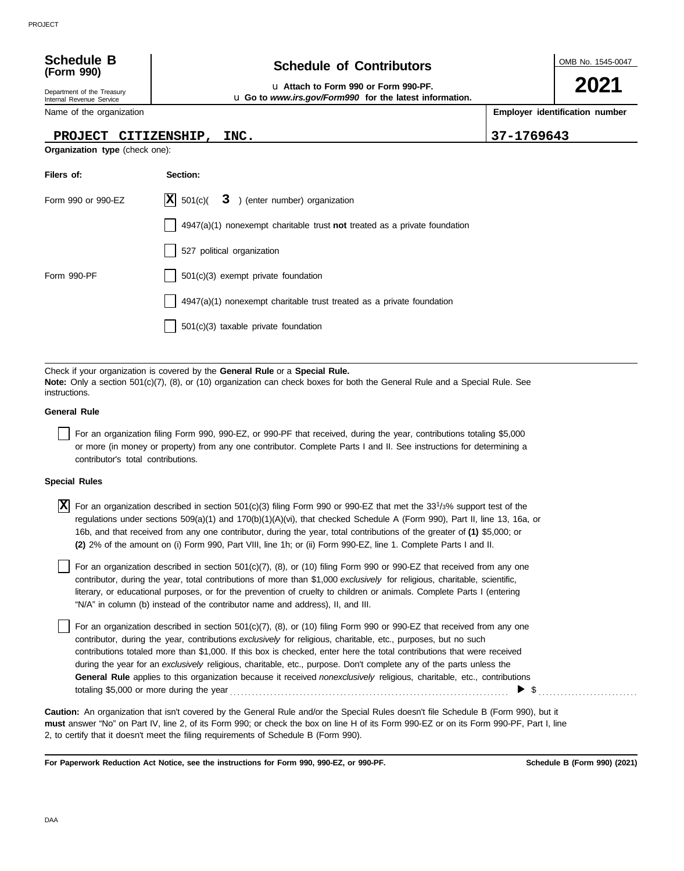| <b>Schedule B</b> |  |
|-------------------|--|
| (Form 990)        |  |

Department of the Treasury Internal Revenue Service

Name of the organization

**Organization type** (check one):

### **PROJECT CITIZENSHIP, INC. 37-1769643**

**Schedule of Contributors** 

u **Attach to Form 990 or Form 990-PF.**

u **Go to** *www.irs.gov/Form990* **for the latest information.**

| Filers of:         | Section:                                                                    |
|--------------------|-----------------------------------------------------------------------------|
| Form 990 or 990-EZ | $ \mathbf{X} $ 501(c)(<br>3 ) (enter number) organization                   |
|                    | $4947(a)(1)$ nonexempt charitable trust not treated as a private foundation |
|                    | 527 political organization                                                  |
| Form 990-PF        | $501(c)(3)$ exempt private foundation                                       |
|                    | 4947(a)(1) nonexempt charitable trust treated as a private foundation       |
|                    | $501(c)(3)$ taxable private foundation                                      |

Check if your organization is covered by the **General Rule** or a **Special Rule. Note:** Only a section 501(c)(7), (8), or (10) organization can check boxes for both the General Rule and a Special Rule. See instructions.

### **General Rule**

For an organization filing Form 990, 990-EZ, or 990-PF that received, during the year, contributions totaling \$5,000 or more (in money or property) from any one contributor. Complete Parts I and II. See instructions for determining a contributor's total contributions.

### **Special Rules**

 $\overline{X}$  For an organization described in section 501(c)(3) filing Form 990 or 990-EZ that met the 33<sup>1</sup>/3% support test of the regulations under sections 509(a)(1) and 170(b)(1)(A)(vi), that checked Schedule A (Form 990), Part II, line 13, 16a, or 16b, and that received from any one contributor, during the year, total contributions of the greater of **(1)** \$5,000; or **(2)** 2% of the amount on (i) Form 990, Part VIII, line 1h; or (ii) Form 990-EZ, line 1. Complete Parts I and II.

literary, or educational purposes, or for the prevention of cruelty to children or animals. Complete Parts I (entering For an organization described in section  $501(c)(7)$ ,  $(8)$ , or  $(10)$  filing Form 990 or 990-EZ that received from any one contributor, during the year, total contributions of more than \$1,000 *exclusively* for religious, charitable, scientific, "N/A" in column (b) instead of the contributor name and address), II, and III.

For an organization described in section 501(c)(7), (8), or (10) filing Form 990 or 990-EZ that received from any one contributor, during the year, contributions *exclusively* for religious, charitable, etc., purposes, but no such contributions totaled more than \$1,000. If this box is checked, enter here the total contributions that were received during the year for an *exclusively* religious, charitable, etc., purpose. Don't complete any of the parts unless the **General Rule** applies to this organization because it received *nonexclusively* religious, charitable, etc., contributions totaling \$5,000 or more during the year . . . . . . . . . . . . . . . . . . . . . . . . . . . . . . . . . . . . . . . . . . . . . . . . . . . . . . . . . . . . . . . . . . . . . . . . . . . .  $\triangleright$  \$

**must** answer "No" on Part IV, line 2, of its Form 990; or check the box on line H of its Form 990-EZ or on its Form 990-PF, Part I, line 2, to certify that it doesn't meet the filing requirements of Schedule B (Form 990). **Caution:** An organization that isn't covered by the General Rule and/or the Special Rules doesn't file Schedule B (Form 990), but it

**For Paperwork Reduction Act Notice, see the instructions for Form 990, 990-EZ, or 990-PF.**

OMB No. 1545-0047

**2021**

**Employer identification number**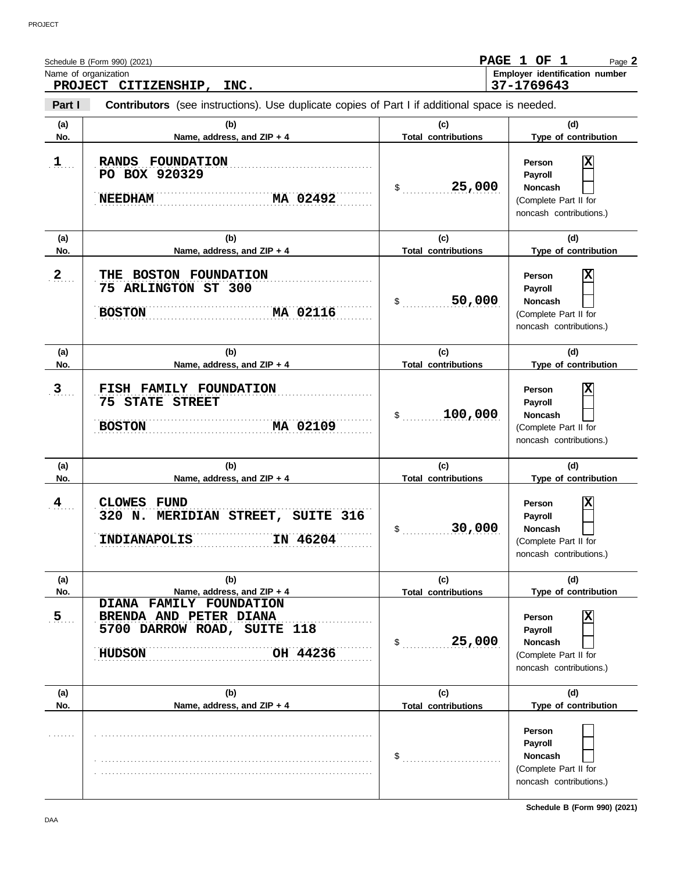|                          | Schedule B (Form 990) (2021)<br>Name of organization                                                                                        |                                            | PAGE 1 OF 1<br>Page 2<br>Employer identification number                                                              |
|--------------------------|---------------------------------------------------------------------------------------------------------------------------------------------|--------------------------------------------|----------------------------------------------------------------------------------------------------------------------|
| <b>PROJECT</b><br>Part I | CITIZENSHIP, INC.<br>Contributors (see instructions). Use duplicate copies of Part I if additional space is needed.                         |                                            | 37-1769643                                                                                                           |
| (a)<br>No.               | (b)<br>Name, address, and ZIP + 4                                                                                                           | (c)<br><b>Total contributions</b>          | (d)<br>Type of contribution                                                                                          |
| $\mathbf{1}$             | RANDS FOUNDATION<br>PO BOX 920329<br><b>NEEDHAM</b><br>MA 02492                                                                             | 25,000<br>$\mathsf{\$}$                    | Χ<br>Person<br>Payroll<br><b>Noncash</b><br>(Complete Part II for<br>noncash contributions.)                         |
| (a)<br>No.               | (b)<br>Name, address, and ZIP + 4                                                                                                           | (c)<br><b>Total contributions</b>          | (d)<br>Type of contribution                                                                                          |
| 2                        | THE BOSTON FOUNDATION<br>75 ARLINGTON ST 300<br>MA 02116<br><b>BOSTON</b>                                                                   | 50,000<br>\$                               | X<br>Person<br>Payroll<br><b>Noncash</b><br>(Complete Part II for<br>noncash contributions.)                         |
| (a)<br>No.               | (b)<br>Name, address, and ZIP + 4                                                                                                           | (c)<br><b>Total contributions</b>          | (d)<br>Type of contribution                                                                                          |
| $3$                      | FISH FAMILY FOUNDATION<br><b>STATE STREET</b><br>75<br><b>BOSTON</b><br>MA 02109                                                            | 100,000<br>\$                              | Х<br>Person<br>Payroll<br><b>Noncash</b><br>(Complete Part II for<br>noncash contributions.)                         |
| (a)<br>No.               | (b)<br>Name, address, and ZIP + 4                                                                                                           | (c)<br><b>Total contributions</b>          | (d)<br>Type of contribution                                                                                          |
| $\frac{4}{1}$            | CLOWES<br><b>FUND</b><br>MERIDIAN STREET, SUITE 316<br>320 N.<br><b>INDIANAPOLIS</b><br>IN 46204                                            | 30,000                                     | Χ<br>Person<br>Payroll<br><b>Noncash</b><br>(Complete Part II for<br>noncash contributions.)                         |
| (a)                      | (b)                                                                                                                                         | (c)                                        | (d)                                                                                                                  |
| No.<br>5 <sub>1</sub>    | Name, address, and ZIP + 4<br>DIANA FAMILY FOUNDATION<br>BRENDA AND PETER DIANA<br>5700 DARROW ROAD, SUITE 118<br><b>HUDSON</b><br>OH 44236 | <b>Total contributions</b><br>25,000<br>\$ | Type of contribution<br>Χ<br>Person<br>Payroll<br><b>Noncash</b><br>(Complete Part II for<br>noncash contributions.) |
| (a)<br>No.               | (b)<br>Name, address, and ZIP + 4                                                                                                           | (c)<br><b>Total contributions</b>          | (d)<br>Type of contribution                                                                                          |
|                          |                                                                                                                                             | \$                                         | Person<br>Payroll<br><b>Noncash</b><br>(Complete Part II for<br>noncash contributions.)                              |

**Schedule B (Form 990) (2021)**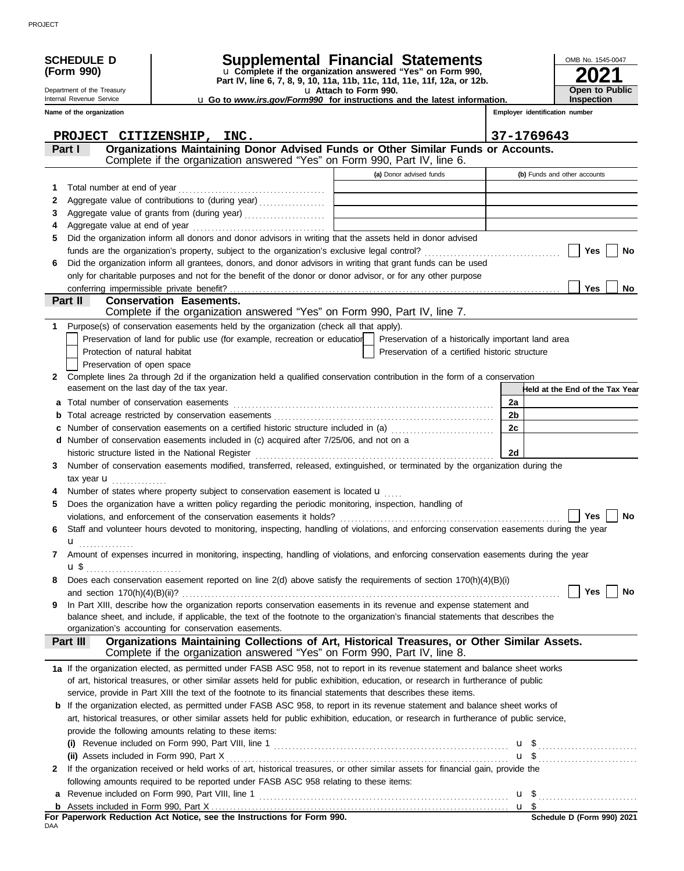| <b>SCHEDULE D</b>                                           | <b>Supplemental Financial Statements</b>                                                                                                              |                       |                                                                            |                                 | OMB No. 1545-0047     |
|-------------------------------------------------------------|-------------------------------------------------------------------------------------------------------------------------------------------------------|-----------------------|----------------------------------------------------------------------------|---------------------------------|-----------------------|
| (Form 990)                                                  | u Complete if the organization answered "Yes" on Form 990,<br>Part IV, line 6, 7, 8, 9, 10, 11a, 11b, 11c, 11d, 11e, 11f, 12a, or 12b.                |                       |                                                                            |                                 |                       |
| Department of the Treasury                                  |                                                                                                                                                       | u Attach to Form 990. |                                                                            |                                 | <b>Open to Public</b> |
| Internal Revenue Service                                    | <b>u</b> Go to <i>www.irs.gov/Form990</i> for instructions and the latest information.                                                                |                       |                                                                            | Inspection                      |                       |
| Name of the organization                                    |                                                                                                                                                       |                       |                                                                            | Employer identification number  |                       |
|                                                             | PROJECT CITIZENSHIP, INC.                                                                                                                             |                       |                                                                            | 37-1769643                      |                       |
| Part I                                                      | Organizations Maintaining Donor Advised Funds or Other Similar Funds or Accounts.                                                                     |                       |                                                                            |                                 |                       |
|                                                             | Complete if the organization answered "Yes" on Form 990, Part IV, line 6.                                                                             |                       |                                                                            |                                 |                       |
|                                                             |                                                                                                                                                       |                       | (a) Donor advised funds                                                    | (b) Funds and other accounts    |                       |
| 1                                                           |                                                                                                                                                       |                       |                                                                            |                                 |                       |
| 2                                                           | Aggregate value of contributions to (during year)                                                                                                     |                       | the control of the control of the control of the control of the control of |                                 |                       |
| 3                                                           | Aggregate value of grants from (during year)                                                                                                          |                       |                                                                            |                                 |                       |
|                                                             |                                                                                                                                                       |                       |                                                                            |                                 |                       |
| 5                                                           | Did the organization inform all donors and donor advisors in writing that the assets held in donor advised                                            |                       |                                                                            |                                 |                       |
|                                                             |                                                                                                                                                       |                       |                                                                            |                                 | Yes<br>No             |
| 6                                                           | Did the organization inform all grantees, donors, and donor advisors in writing that grant funds can be used                                          |                       |                                                                            |                                 |                       |
|                                                             | only for charitable purposes and not for the benefit of the donor or donor advisor, or for any other purpose                                          |                       |                                                                            |                                 | <b>Yes</b>            |
| conferring impermissible private benefit?<br><b>Part II</b> | <b>Conservation Easements.</b>                                                                                                                        |                       |                                                                            |                                 | <b>No</b>             |
|                                                             | Complete if the organization answered "Yes" on Form 990, Part IV, line 7.                                                                             |                       |                                                                            |                                 |                       |
| 1.                                                          | Purpose(s) of conservation easements held by the organization (check all that apply).                                                                 |                       |                                                                            |                                 |                       |
|                                                             | Preservation of land for public use (for example, recreation or education                                                                             |                       | Preservation of a historically important land area                         |                                 |                       |
| Protection of natural habitat                               |                                                                                                                                                       |                       | Preservation of a certified historic structure                             |                                 |                       |
| Preservation of open space                                  |                                                                                                                                                       |                       |                                                                            |                                 |                       |
| 2                                                           | Complete lines 2a through 2d if the organization held a qualified conservation contribution in the form of a conservation                             |                       |                                                                            |                                 |                       |
| easement on the last day of the tax year.                   |                                                                                                                                                       |                       |                                                                            | Held at the End of the Tax Year |                       |
| Total number of conservation easements<br>а                 |                                                                                                                                                       |                       |                                                                            | 2a                              |                       |
| b                                                           |                                                                                                                                                       |                       |                                                                            | 2 <sub>b</sub>                  |                       |
| с                                                           | Number of conservation easements on a certified historic structure included in (a)                                                                    |                       |                                                                            | 2c                              |                       |
| d                                                           | Number of conservation easements included in (c) acquired after 7/25/06, and not on a                                                                 |                       |                                                                            |                                 |                       |
|                                                             |                                                                                                                                                       |                       |                                                                            | 2d                              |                       |
| 3                                                           | Number of conservation easements modified, transferred, released, extinguished, or terminated by the organization during the                          |                       |                                                                            |                                 |                       |
| tax year $\mathbf{u}$                                       | Number of states where property subject to conservation easement is located <b>u</b>                                                                  |                       |                                                                            |                                 |                       |
| 5                                                           | Does the organization have a written policy regarding the periodic monitoring, inspection, handling of                                                |                       |                                                                            |                                 |                       |
|                                                             |                                                                                                                                                       |                       |                                                                            |                                 | Yes<br>No             |
| 6                                                           | Staff and volunteer hours devoted to monitoring, inspecting, handling of violations, and enforcing conservation easements during the year             |                       |                                                                            |                                 |                       |
| $\mathbf{u}$ <sub></sub>                                    |                                                                                                                                                       |                       |                                                                            |                                 |                       |
|                                                             | Amount of expenses incurred in monitoring, inspecting, handling of violations, and enforcing conservation easements during the year                   |                       |                                                                            |                                 |                       |
| u\$                                                         |                                                                                                                                                       |                       |                                                                            |                                 |                       |
| 8                                                           | Does each conservation easement reported on line 2(d) above satisfy the requirements of section 170(h)(4)(B)(i)                                       |                       |                                                                            |                                 |                       |
|                                                             |                                                                                                                                                       |                       |                                                                            |                                 | Yes<br>No             |
| 9                                                           | In Part XIII, describe how the organization reports conservation easements in its revenue and expense statement and                                   |                       |                                                                            |                                 |                       |
|                                                             | balance sheet, and include, if applicable, the text of the footnote to the organization's financial statements that describes the                     |                       |                                                                            |                                 |                       |
|                                                             | organization's accounting for conservation easements.<br>Organizations Maintaining Collections of Art, Historical Treasures, or Other Similar Assets. |                       |                                                                            |                                 |                       |
| Part III                                                    | Complete if the organization answered "Yes" on Form 990, Part IV, line 8.                                                                             |                       |                                                                            |                                 |                       |
|                                                             | 1a If the organization elected, as permitted under FASB ASC 958, not to report in its revenue statement and balance sheet works                       |                       |                                                                            |                                 |                       |
|                                                             | of art, historical treasures, or other similar assets held for public exhibition, education, or research in furtherance of public                     |                       |                                                                            |                                 |                       |
|                                                             | service, provide in Part XIII the text of the footnote to its financial statements that describes these items.                                        |                       |                                                                            |                                 |                       |
|                                                             | <b>b</b> If the organization elected, as permitted under FASB ASC 958, to report in its revenue statement and balance sheet works of                  |                       |                                                                            |                                 |                       |
|                                                             | art, historical treasures, or other similar assets held for public exhibition, education, or research in furtherance of public service,               |                       |                                                                            |                                 |                       |
|                                                             | provide the following amounts relating to these items:                                                                                                |                       |                                                                            |                                 |                       |
|                                                             | (i) Revenue included on Form 990, Part VIII, line 1 $\ldots$ $\ldots$ $\ldots$ $\ldots$ $\ldots$ $\ldots$ $\ldots$ $\ldots$ $\ldots$ $\ldots$         |                       |                                                                            |                                 |                       |
| (ii) Assets included in Form 990, Part X                    |                                                                                                                                                       |                       |                                                                            |                                 |                       |
| $\mathbf{2}$                                                | If the organization received or held works of art, historical treasures, or other similar assets for financial gain, provide the                      |                       |                                                                            |                                 |                       |
|                                                             | following amounts required to be reported under FASB ASC 958 relating to these items:                                                                 |                       |                                                                            |                                 |                       |
|                                                             |                                                                                                                                                       |                       |                                                                            |                                 |                       |
|                                                             |                                                                                                                                                       |                       |                                                                            |                                 |                       |

**For Paperwork Reduction Act Notice, see the Instructions for Form 990.**<br><sub>DAA</sub>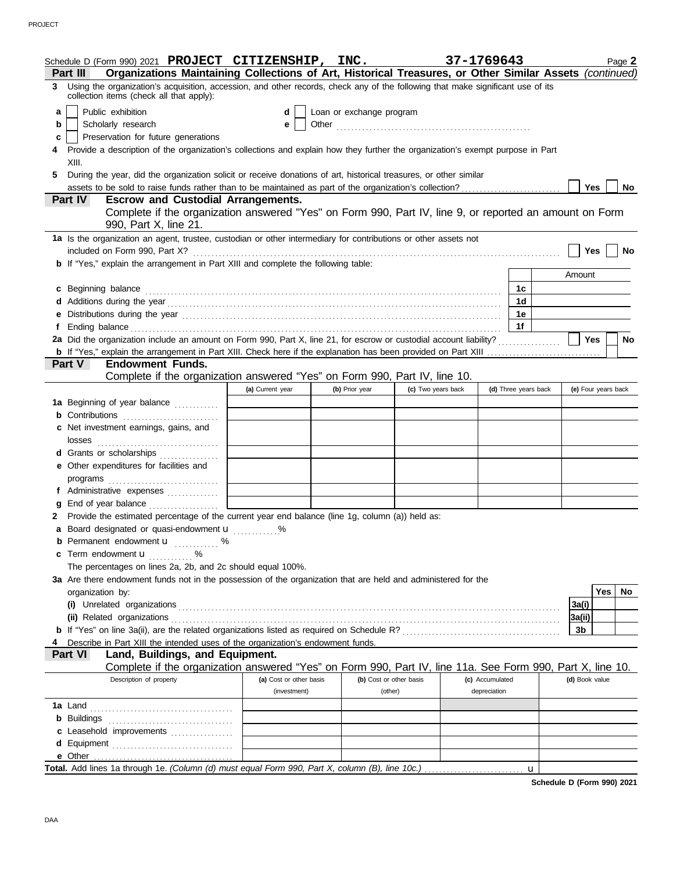|    | Schedule D (Form 990) 2021 PROJECT CITIZENSHIP, INC.                                                                                                                          |                         |                          |                         | 37-1769643      |                      |                     |            | Page 2    |
|----|-------------------------------------------------------------------------------------------------------------------------------------------------------------------------------|-------------------------|--------------------------|-------------------------|-----------------|----------------------|---------------------|------------|-----------|
|    | Organizations Maintaining Collections of Art, Historical Treasures, or Other Similar Assets (continued)<br>Part III                                                           |                         |                          |                         |                 |                      |                     |            |           |
|    | 3 Using the organization's acquisition, accession, and other records, check any of the following that make significant use of its<br>collection items (check all that apply): |                         |                          |                         |                 |                      |                     |            |           |
| a  | Public exhibition                                                                                                                                                             | d                       | Loan or exchange program |                         |                 |                      |                     |            |           |
| b  | Scholarly research                                                                                                                                                            | е                       |                          |                         |                 |                      |                     |            |           |
| c  | Preservation for future generations                                                                                                                                           |                         |                          |                         |                 |                      |                     |            |           |
| 4  | Provide a description of the organization's collections and explain how they further the organization's exempt purpose in Part                                                |                         |                          |                         |                 |                      |                     |            |           |
|    | XIII.                                                                                                                                                                         |                         |                          |                         |                 |                      |                     |            |           |
| 5. | During the year, did the organization solicit or receive donations of art, historical treasures, or other similar                                                             |                         |                          |                         |                 |                      |                     |            |           |
|    | assets to be sold to raise funds rather than to be maintained as part of the organization's collection?                                                                       |                         |                          |                         |                 |                      | Yes                 |            | No        |
|    | Part IV<br><b>Escrow and Custodial Arrangements.</b>                                                                                                                          |                         |                          |                         |                 |                      |                     |            |           |
|    | Complete if the organization answered "Yes" on Form 990, Part IV, line 9, or reported an amount on Form<br>990, Part X, line 21.                                              |                         |                          |                         |                 |                      |                     |            |           |
|    | 1a Is the organization an agent, trustee, custodian or other intermediary for contributions or other assets not                                                               |                         |                          |                         |                 |                      |                     |            |           |
|    | included on Form 990, Part X?                                                                                                                                                 |                         |                          |                         |                 |                      | <b>Yes</b>          |            | No        |
|    | <b>b</b> If "Yes," explain the arrangement in Part XIII and complete the following table:                                                                                     |                         |                          |                         |                 |                      | Amount              |            |           |
| c  | Beginning balance                                                                                                                                                             |                         |                          |                         |                 | 1c                   |                     |            |           |
|    |                                                                                                                                                                               |                         |                          |                         |                 | 1 <sub>d</sub>       |                     |            |           |
|    |                                                                                                                                                                               |                         |                          |                         |                 | 1е                   |                     |            |           |
| f  |                                                                                                                                                                               |                         |                          |                         |                 | 1f                   |                     |            |           |
|    | 2a Did the organization include an amount on Form 990, Part X, line 21, for escrow or custodial account liability?                                                            |                         |                          |                         |                 |                      | Yes                 |            | <b>No</b> |
|    |                                                                                                                                                                               |                         |                          |                         |                 |                      |                     |            |           |
|    | Part V<br><b>Endowment Funds.</b>                                                                                                                                             |                         |                          |                         |                 |                      |                     |            |           |
|    | Complete if the organization answered "Yes" on Form 990, Part IV, line 10.                                                                                                    |                         |                          |                         |                 |                      |                     |            |           |
|    |                                                                                                                                                                               | (a) Current year        | (b) Prior year           | (c) Two years back      |                 | (d) Three years back | (e) Four years back |            |           |
|    | 1a Beginning of year balance                                                                                                                                                  |                         |                          |                         |                 |                      |                     |            |           |
|    | <b>b</b> Contributions <b>contributions</b>                                                                                                                                   |                         |                          |                         |                 |                      |                     |            |           |
|    | c Net investment earnings, gains, and                                                                                                                                         |                         |                          |                         |                 |                      |                     |            |           |
|    | d Grants or scholarships                                                                                                                                                      |                         |                          |                         |                 |                      |                     |            |           |
|    | e Other expenditures for facilities and                                                                                                                                       |                         |                          |                         |                 |                      |                     |            |           |
|    |                                                                                                                                                                               |                         |                          |                         |                 |                      |                     |            |           |
|    | f Administrative expenses                                                                                                                                                     |                         |                          |                         |                 |                      |                     |            |           |
| g  |                                                                                                                                                                               |                         |                          |                         |                 |                      |                     |            |           |
|    | 2 Provide the estimated percentage of the current year end balance (line 1g, column (a)) held as:                                                                             |                         |                          |                         |                 |                      |                     |            |           |
|    | a Board designated or quasi-endowment u                                                                                                                                       | %                       |                          |                         |                 |                      |                     |            |           |
|    | Permanent endowment <b>u</b> %                                                                                                                                                |                         |                          |                         |                 |                      |                     |            |           |
|    | c Term endowment u<br>.<br>$\%$                                                                                                                                               |                         |                          |                         |                 |                      |                     |            |           |
|    | The percentages on lines 2a, 2b, and 2c should equal 100%.                                                                                                                    |                         |                          |                         |                 |                      |                     |            |           |
|    | 3a Are there endowment funds not in the possession of the organization that are held and administered for the<br>organization by:                                             |                         |                          |                         |                 |                      |                     | <b>Yes</b> | No        |
|    |                                                                                                                                                                               |                         |                          |                         |                 |                      | 3a(i)               |            |           |
|    |                                                                                                                                                                               |                         |                          |                         |                 |                      | 3a(ii)              |            |           |
|    |                                                                                                                                                                               |                         |                          |                         |                 |                      | 3b                  |            |           |
| 4  | Describe in Part XIII the intended uses of the organization's endowment funds.                                                                                                |                         |                          |                         |                 |                      |                     |            |           |
|    | Land, Buildings, and Equipment.<br><b>Part VI</b>                                                                                                                             |                         |                          |                         |                 |                      |                     |            |           |
|    | Complete if the organization answered "Yes" on Form 990, Part IV, line 11a. See Form 990, Part X, line 10.                                                                    |                         |                          |                         |                 |                      |                     |            |           |
|    | Description of property                                                                                                                                                       | (a) Cost or other basis |                          | (b) Cost or other basis | (c) Accumulated |                      | (d) Book value      |            |           |
|    |                                                                                                                                                                               | (investment)            | (other)                  |                         | depreciation    |                      |                     |            |           |
|    |                                                                                                                                                                               |                         |                          |                         |                 |                      |                     |            |           |
|    |                                                                                                                                                                               |                         |                          |                         |                 |                      |                     |            |           |
|    | c Leasehold improvements                                                                                                                                                      |                         |                          |                         |                 |                      |                     |            |           |
|    | d Equipment                                                                                                                                                                   |                         |                          |                         |                 |                      |                     |            |           |
|    |                                                                                                                                                                               |                         |                          |                         |                 |                      |                     |            |           |
|    |                                                                                                                                                                               |                         |                          |                         |                 | u                    |                     |            |           |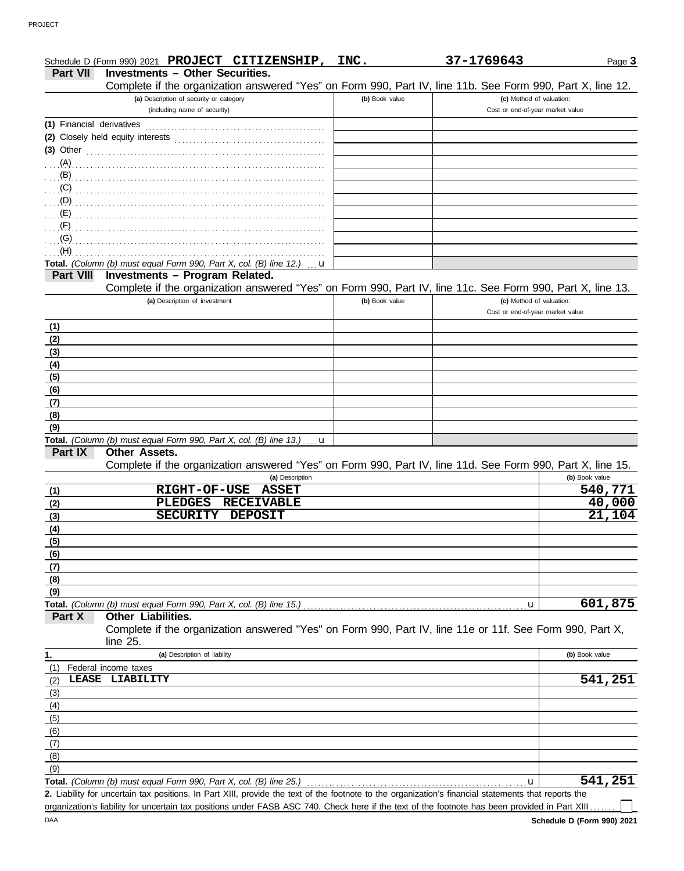|                           | Schedule D (Form 990) 2021 PROJECT CITIZENSHIP, INC.                                                                                                 |                | 37-1769643                       | Page 3         |
|---------------------------|------------------------------------------------------------------------------------------------------------------------------------------------------|----------------|----------------------------------|----------------|
| <b>Part VII</b>           | <b>Investments - Other Securities.</b>                                                                                                               |                |                                  |                |
|                           | Complete if the organization answered "Yes" on Form 990, Part IV, line 11b. See Form 990, Part X, line 12.                                           |                |                                  |                |
|                           | (a) Description of security or category                                                                                                              | (b) Book value | (c) Method of valuation:         |                |
|                           | (including name of security)                                                                                                                         |                | Cost or end-of-year market value |                |
| (1) Financial derivatives |                                                                                                                                                      |                |                                  |                |
|                           | (2) Closely held equity interests                                                                                                                    |                |                                  |                |
| (3) Other                 |                                                                                                                                                      |                |                                  |                |
| (A)                       |                                                                                                                                                      |                |                                  |                |
| $\mathbf{B}$              |                                                                                                                                                      |                |                                  |                |
|                           |                                                                                                                                                      |                |                                  |                |
| (C)                       |                                                                                                                                                      |                |                                  |                |
| (D)                       |                                                                                                                                                      |                |                                  |                |
| (E)                       |                                                                                                                                                      |                |                                  |                |
| (F)                       |                                                                                                                                                      |                |                                  |                |
| (G)                       |                                                                                                                                                      |                |                                  |                |
| (H)                       |                                                                                                                                                      |                |                                  |                |
|                           | Total. (Column (b) must equal Form 990, Part X, col. (B) line 12.)<br>u                                                                              |                |                                  |                |
| <b>Part VIII</b>          | Investments - Program Related.                                                                                                                       |                |                                  |                |
|                           | Complete if the organization answered "Yes" on Form 990, Part IV, line 11c. See Form 990, Part X, line 13.                                           |                |                                  |                |
|                           | (a) Description of investment                                                                                                                        | (b) Book value | (c) Method of valuation:         |                |
|                           |                                                                                                                                                      |                | Cost or end-of-year market value |                |
|                           |                                                                                                                                                      |                |                                  |                |
| (1)                       |                                                                                                                                                      |                |                                  |                |
| (2)                       |                                                                                                                                                      |                |                                  |                |
| (3)                       |                                                                                                                                                      |                |                                  |                |
| (4)                       |                                                                                                                                                      |                |                                  |                |
| (5)                       |                                                                                                                                                      |                |                                  |                |
| (6)                       |                                                                                                                                                      |                |                                  |                |
| (7)                       |                                                                                                                                                      |                |                                  |                |
| (8)                       |                                                                                                                                                      |                |                                  |                |
| (9)                       |                                                                                                                                                      |                |                                  |                |
|                           |                                                                                                                                                      |                |                                  |                |
| Part IX                   | Total. (Column (b) must equal Form 990, Part X, col. (B) line 13.)<br>u<br>Other Assets.                                                             |                |                                  |                |
|                           |                                                                                                                                                      |                |                                  |                |
|                           | Complete if the organization answered "Yes" on Form 990, Part IV, line 11d. See Form 990, Part X, line 15.                                           |                |                                  |                |
|                           | (a) Description                                                                                                                                      |                |                                  | (b) Book value |
| (1)                       | <b>RIGHT-OF-USE</b><br><b>ASSET</b>                                                                                                                  |                |                                  | 540,771        |
| (2)                       | <b>RECEIVABLE</b><br><b>PLEDGES</b>                                                                                                                  |                |                                  | 40,000         |
| (3)                       | <b>SECURITY</b><br><b>DEPOSIT</b>                                                                                                                    |                |                                  | 21,104         |
| (4)                       |                                                                                                                                                      |                |                                  |                |
| (5)                       |                                                                                                                                                      |                |                                  |                |
| (6)                       |                                                                                                                                                      |                |                                  |                |
|                           |                                                                                                                                                      |                |                                  |                |
| <u>(7)</u>                |                                                                                                                                                      |                |                                  |                |
| (8)                       |                                                                                                                                                      |                |                                  |                |
| (9)                       |                                                                                                                                                      |                |                                  |                |
|                           | Total. (Column (b) must equal Form 990, Part X, col. (B) line 15.)                                                                                   |                | u                                | 601,875        |
| Part X                    | Other Liabilities.                                                                                                                                   |                |                                  |                |
|                           | Complete if the organization answered "Yes" on Form 990, Part IV, line 11e or 11f. See Form 990, Part X,                                             |                |                                  |                |
|                           | line 25.                                                                                                                                             |                |                                  |                |
| 1.                        | (a) Description of liability                                                                                                                         |                |                                  | (b) Book value |
| (1)                       | Federal income taxes                                                                                                                                 |                |                                  |                |
| (2)                       | LEASE LIABILITY                                                                                                                                      |                |                                  | 541,251        |
| (3)                       |                                                                                                                                                      |                |                                  |                |
|                           |                                                                                                                                                      |                |                                  |                |
| (4)                       |                                                                                                                                                      |                |                                  |                |
| (5)                       |                                                                                                                                                      |                |                                  |                |
| (6)                       |                                                                                                                                                      |                |                                  |                |
| (7)                       |                                                                                                                                                      |                |                                  |                |
| (8)                       |                                                                                                                                                      |                |                                  |                |
| (9)                       |                                                                                                                                                      |                |                                  |                |
|                           | Total. (Column (b) must equal Form 990, Part X, col. (B) line 25.)                                                                                   |                | u                                | 541,251        |
|                           | 2. Liability for uncertain tax positions. In Part XIII, provide the text of the footnote to the organization's financial statements that reports the |                |                                  |                |
|                           | organization's liability for uncertain tax positions under FASB ASC 740. Check here if the text of the footnote has been provided in Part XIII       |                |                                  |                |
|                           |                                                                                                                                                      |                |                                  |                |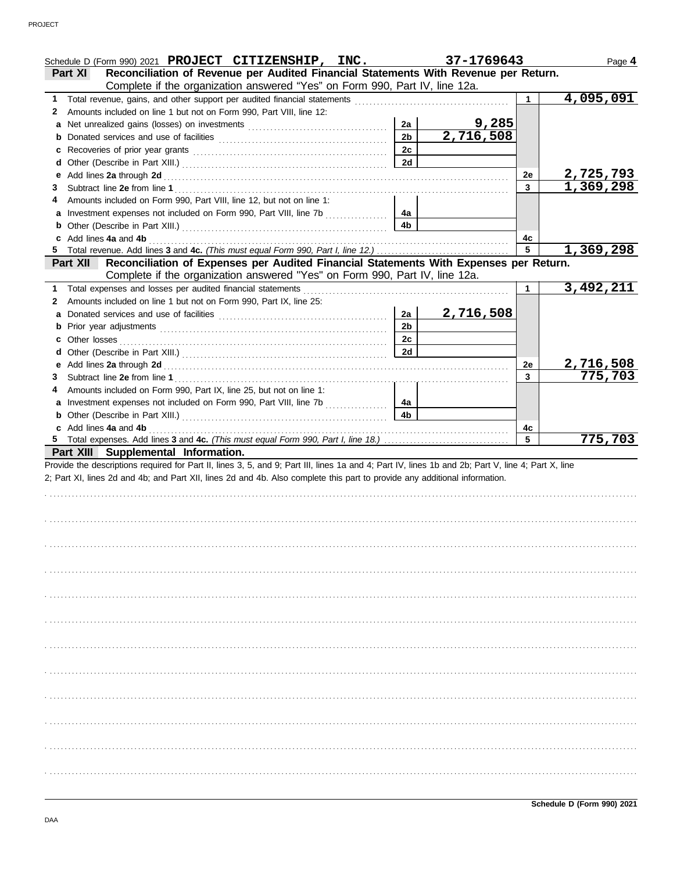|              | Schedule D (Form 990) 2021 PROJECT CITIZENSHIP, INC.                                                                                                                                                                                                                             |                | 37-1769643                |              | Page 4                 |
|--------------|----------------------------------------------------------------------------------------------------------------------------------------------------------------------------------------------------------------------------------------------------------------------------------|----------------|---------------------------|--------------|------------------------|
|              | Reconciliation of Revenue per Audited Financial Statements With Revenue per Return.<br>Part XI<br>Complete if the organization answered "Yes" on Form 990, Part IV, line 12a.                                                                                                    |                |                           |              |                        |
| 1.           |                                                                                                                                                                                                                                                                                  |                |                           |              | $\overline{4,095,091}$ |
| 2            | Amounts included on line 1 but not on Form 990, Part VIII, line 12:                                                                                                                                                                                                              |                |                           |              |                        |
|              |                                                                                                                                                                                                                                                                                  | 2a             |                           |              |                        |
| b            |                                                                                                                                                                                                                                                                                  | 2 <sub>b</sub> | <u>9,285</u><br>2,716,508 |              |                        |
| c            |                                                                                                                                                                                                                                                                                  | 2c             |                           |              |                        |
| d            |                                                                                                                                                                                                                                                                                  | 2d             |                           |              |                        |
| е            |                                                                                                                                                                                                                                                                                  |                |                           | 2e           | <u>2,725,793</u>       |
| 3            |                                                                                                                                                                                                                                                                                  |                |                           | $\mathbf{3}$ | 1,369,298              |
| 4            | Amounts included on Form 990, Part VIII, line 12, but not on line 1:                                                                                                                                                                                                             |                |                           |              |                        |
|              | a Investment expenses not included on Form 990, Part VIII, line 7b                                                                                                                                                                                                               | 4a             |                           |              |                        |
| b            |                                                                                                                                                                                                                                                                                  | 4 <sub>b</sub> |                           |              |                        |
| c            | Add lines 4a and 4b                                                                                                                                                                                                                                                              |                |                           | 4c           |                        |
| 5            |                                                                                                                                                                                                                                                                                  |                |                           | 5            | 1,369,298              |
|              | Reconciliation of Expenses per Audited Financial Statements With Expenses per Return.<br><b>Part XII</b>                                                                                                                                                                         |                |                           |              |                        |
|              | Complete if the organization answered "Yes" on Form 990, Part IV, line 12a.                                                                                                                                                                                                      |                |                           |              |                        |
| 1.           | Total expenses and losses per audited financial statements                                                                                                                                                                                                                       |                |                           | 1            | 3,492,211              |
| $\mathbf{2}$ | Amounts included on line 1 but not on Form 990, Part IX, line 25:                                                                                                                                                                                                                |                |                           |              |                        |
|              |                                                                                                                                                                                                                                                                                  | 2a             | 2,716,508                 |              |                        |
| b            |                                                                                                                                                                                                                                                                                  | 2 <sub>b</sub> |                           |              |                        |
| c            | Other losses                                                                                                                                                                                                                                                                     | 2c             |                           |              |                        |
| d            |                                                                                                                                                                                                                                                                                  | 2d             |                           |              |                        |
|              |                                                                                                                                                                                                                                                                                  |                |                           | 2e           | 2,716,508              |
| 3            |                                                                                                                                                                                                                                                                                  |                |                           | 3            | 775,703                |
| 4            | Amounts included on Form 990, Part IX, line 25, but not on line 1:                                                                                                                                                                                                               |                |                           |              |                        |
|              | a Investment expenses not included on Form 990, Part VIII, line 7b                                                                                                                                                                                                               | 4a             |                           |              |                        |
|              | <b>b</b> Other (Describe in Part XIII.) <b>CONSIDENT DESCRIPTION DESCRIPTION DESCRIPTION DESCRIPTION DESCRIPTION DESCRIPTION DESCRIPTION DESCRIPTION DESCRIPTION DESCRIPTION DESCRIPTION DESCRIPTION DESCRI</b>                                                                  | 4 <sub>b</sub> |                           |              |                        |
|              | c Add lines 4a and 4b                                                                                                                                                                                                                                                            |                |                           | 4c           |                        |
|              |                                                                                                                                                                                                                                                                                  |                |                           | 5            | 775,703                |
|              | Part XIII Supplemental Information.                                                                                                                                                                                                                                              |                |                           |              |                        |
|              | Provide the descriptions required for Part II, lines 3, 5, and 9; Part III, lines 1a and 4; Part IV, lines 1b and 2b; Part V, line 4; Part X, line<br>2; Part XI, lines 2d and 4b; and Part XII, lines 2d and 4b. Also complete this part to provide any additional information. |                |                           |              |                        |
|              |                                                                                                                                                                                                                                                                                  |                |                           |              |                        |
|              |                                                                                                                                                                                                                                                                                  |                |                           |              |                        |
|              |                                                                                                                                                                                                                                                                                  |                |                           |              |                        |
|              |                                                                                                                                                                                                                                                                                  |                |                           |              |                        |
|              |                                                                                                                                                                                                                                                                                  |                |                           |              |                        |
|              |                                                                                                                                                                                                                                                                                  |                |                           |              |                        |
|              |                                                                                                                                                                                                                                                                                  |                |                           |              |                        |
|              |                                                                                                                                                                                                                                                                                  |                |                           |              |                        |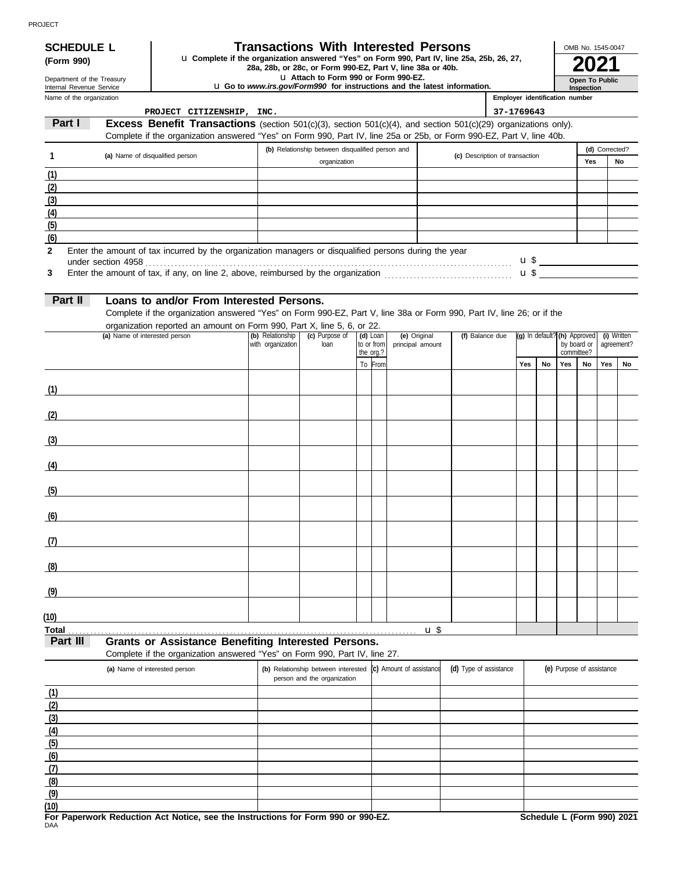# **SCHEDULE L Transactions With Interested Persons**

**28a, 28b, or 28c, or Form 990-EZ, Part V, line 25a, 25b, 26, 27,**<br>28a, 28b, or 28c, or Form 990-EZ, Part V, line 38a or 40b.<br>**2021 (Form 990)** u **Complete if the organization answered "Yes" on Form 990, Part IV, line 25a, 25b, 26, 27,** 

u **Attach to Form 990 or Form 990-EZ.**

u **Go to** *www.irs.gov/Form990* **for instructions and the latest information.**

| OMB No. 1545-0047 |
|-------------------|
|                   |
| Open To Public    |
| Inspection        |

| Department of the Treasury<br>Internal Revenue Service |  |  |  |  |  |  |
|--------------------------------------------------------|--|--|--|--|--|--|
| Name of the organization                               |  |  |  |  |  |  |

| Name of the organization |                                                                                                                                                                                                                                        |                   |                                                  |                      |                          |                                | Employer identification number |           |     |                              |                |             |
|--------------------------|----------------------------------------------------------------------------------------------------------------------------------------------------------------------------------------------------------------------------------------|-------------------|--------------------------------------------------|----------------------|--------------------------|--------------------------------|--------------------------------|-----------|-----|------------------------------|----------------|-------------|
| Part I                   | PROJECT CITIZENSHIP, INC.                                                                                                                                                                                                              |                   |                                                  |                      |                          |                                | 37-1769643                     |           |     |                              |                |             |
|                          | Excess Benefit Transactions (section 501(c)(3), section 501(c)(4), and section 501(c)(29) organizations only).<br>Complete if the organization answered "Yes" on Form 990, Part IV, line 25a or 25b, or Form 990-EZ, Part V, line 40b. |                   |                                                  |                      |                          |                                |                                |           |     |                              |                |             |
|                          |                                                                                                                                                                                                                                        |                   | (b) Relationship between disqualified person and |                      |                          |                                |                                |           |     |                              | (d) Corrected? |             |
| 1                        | (a) Name of disqualified person                                                                                                                                                                                                        |                   | organization                                     |                      |                          | (c) Description of transaction |                                |           |     | Yes                          |                | No          |
| (1)                      |                                                                                                                                                                                                                                        |                   |                                                  |                      |                          |                                |                                |           |     |                              |                |             |
| (2)                      |                                                                                                                                                                                                                                        |                   |                                                  |                      |                          |                                |                                |           |     |                              |                |             |
| (3)                      |                                                                                                                                                                                                                                        |                   |                                                  |                      |                          |                                |                                |           |     |                              |                |             |
| (4)                      |                                                                                                                                                                                                                                        |                   |                                                  |                      |                          |                                |                                |           |     |                              |                |             |
| (5)                      |                                                                                                                                                                                                                                        |                   |                                                  |                      |                          |                                |                                |           |     |                              |                |             |
| (6)                      |                                                                                                                                                                                                                                        |                   |                                                  |                      |                          |                                |                                |           |     |                              |                |             |
| $\mathbf{2}$             | Enter the amount of tax incurred by the organization managers or disqualified persons during the year                                                                                                                                  |                   |                                                  |                      |                          |                                |                                |           |     |                              |                |             |
|                          |                                                                                                                                                                                                                                        |                   |                                                  |                      |                          |                                |                                |           |     | $\mathbf{u} \mathbf{\$}$     |                |             |
| 3                        |                                                                                                                                                                                                                                        |                   |                                                  |                      |                          |                                |                                |           |     |                              |                |             |
| Part II                  |                                                                                                                                                                                                                                        |                   |                                                  |                      |                          |                                |                                |           |     |                              |                |             |
|                          | Loans to and/or From Interested Persons.                                                                                                                                                                                               |                   |                                                  |                      |                          |                                |                                |           |     |                              |                |             |
|                          | Complete if the organization answered "Yes" on Form 990-EZ, Part V, line 38a or Form 990, Part IV, line 26; or if the<br>organization reported an amount on Form 990, Part X, line 5, 6, or 22.                                        |                   |                                                  |                      |                          |                                |                                |           |     |                              |                |             |
|                          | (a) Name of interested person                                                                                                                                                                                                          | (b) Relationship  | (c) Purpose of                                   | (d) Loan             | (e) Original             | (f) Balance due                |                                |           |     | (g) In default? (h) Approved |                | (i) Written |
|                          |                                                                                                                                                                                                                                        | with organization | loan                                             | to or from           | principal amount         |                                |                                |           |     | by board or<br>committee?    |                | agreement?  |
|                          |                                                                                                                                                                                                                                        |                   |                                                  | the org.?<br>To From |                          |                                | Yes                            | <b>No</b> | Yes | <b>No</b>                    | Yes            | No          |
|                          |                                                                                                                                                                                                                                        |                   |                                                  |                      |                          |                                |                                |           |     |                              |                |             |
| (1)                      |                                                                                                                                                                                                                                        |                   |                                                  |                      |                          |                                |                                |           |     |                              |                |             |
|                          |                                                                                                                                                                                                                                        |                   |                                                  |                      |                          |                                |                                |           |     |                              |                |             |
| (2)                      |                                                                                                                                                                                                                                        |                   |                                                  |                      |                          |                                |                                |           |     |                              |                |             |
|                          |                                                                                                                                                                                                                                        |                   |                                                  |                      |                          |                                |                                |           |     |                              |                |             |
| (3)                      |                                                                                                                                                                                                                                        |                   |                                                  |                      |                          |                                |                                |           |     |                              |                |             |
|                          |                                                                                                                                                                                                                                        |                   |                                                  |                      |                          |                                |                                |           |     |                              |                |             |
| (4)                      |                                                                                                                                                                                                                                        |                   |                                                  |                      |                          |                                |                                |           |     |                              |                |             |
|                          |                                                                                                                                                                                                                                        |                   |                                                  |                      |                          |                                |                                |           |     |                              |                |             |
| (5)                      |                                                                                                                                                                                                                                        |                   |                                                  |                      |                          |                                |                                |           |     |                              |                |             |
|                          |                                                                                                                                                                                                                                        |                   |                                                  |                      |                          |                                |                                |           |     |                              |                |             |
| (6)                      |                                                                                                                                                                                                                                        |                   |                                                  |                      |                          |                                |                                |           |     |                              |                |             |
| (7)                      |                                                                                                                                                                                                                                        |                   |                                                  |                      |                          |                                |                                |           |     |                              |                |             |
|                          |                                                                                                                                                                                                                                        |                   |                                                  |                      |                          |                                |                                |           |     |                              |                |             |
| (8)                      |                                                                                                                                                                                                                                        |                   |                                                  |                      |                          |                                |                                |           |     |                              |                |             |
|                          |                                                                                                                                                                                                                                        |                   |                                                  |                      |                          |                                |                                |           |     |                              |                |             |
| (9)                      |                                                                                                                                                                                                                                        |                   |                                                  |                      |                          |                                |                                |           |     |                              |                |             |
|                          |                                                                                                                                                                                                                                        |                   |                                                  |                      |                          |                                |                                |           |     |                              |                |             |
| (10)                     |                                                                                                                                                                                                                                        |                   |                                                  |                      |                          |                                |                                |           |     |                              |                |             |
| <b>Total</b>             |                                                                                                                                                                                                                                        |                   |                                                  |                      | $\mathbf{u}$             |                                |                                |           |     |                              |                |             |
| Part III                 | <b>Grants or Assistance Benefiting Interested Persons.</b>                                                                                                                                                                             |                   |                                                  |                      |                          |                                |                                |           |     |                              |                |             |
|                          | Complete if the organization answered "Yes" on Form 990, Part IV, line 27.                                                                                                                                                             |                   |                                                  |                      |                          |                                |                                |           |     |                              |                |             |
|                          | (a) Name of interested person                                                                                                                                                                                                          |                   | (b) Relationship between interested              |                      | (c) Amount of assistance | (d) Type of assistance         |                                |           |     | (e) Purpose of assistance    |                |             |
|                          |                                                                                                                                                                                                                                        |                   | person and the organization                      |                      |                          |                                |                                |           |     |                              |                |             |
| (1)                      |                                                                                                                                                                                                                                        |                   |                                                  |                      |                          |                                |                                |           |     |                              |                |             |
| (2)                      |                                                                                                                                                                                                                                        |                   |                                                  |                      |                          |                                |                                |           |     |                              |                |             |
| (3)<br>(4)               |                                                                                                                                                                                                                                        |                   |                                                  |                      |                          |                                |                                |           |     |                              |                |             |
| (5)                      |                                                                                                                                                                                                                                        |                   |                                                  |                      |                          |                                |                                |           |     |                              |                |             |
| (6)                      |                                                                                                                                                                                                                                        |                   |                                                  |                      |                          |                                |                                |           |     |                              |                |             |
| (7)                      |                                                                                                                                                                                                                                        |                   |                                                  |                      |                          |                                |                                |           |     |                              |                |             |
| (8)                      |                                                                                                                                                                                                                                        |                   |                                                  |                      |                          |                                |                                |           |     |                              |                |             |
| (9)                      |                                                                                                                                                                                                                                        |                   |                                                  |                      |                          |                                |                                |           |     |                              |                |             |
| (10)                     |                                                                                                                                                                                                                                        |                   |                                                  |                      |                          |                                |                                |           |     |                              |                |             |
|                          | For Paperwork Reduction Act Notice, see the Instructions for Form 990 or 990-EZ.                                                                                                                                                       |                   |                                                  |                      |                          |                                |                                |           |     | Schedule L (Form 990) 2021   |                |             |
| DAA                      |                                                                                                                                                                                                                                        |                   |                                                  |                      |                          |                                |                                |           |     |                              |                |             |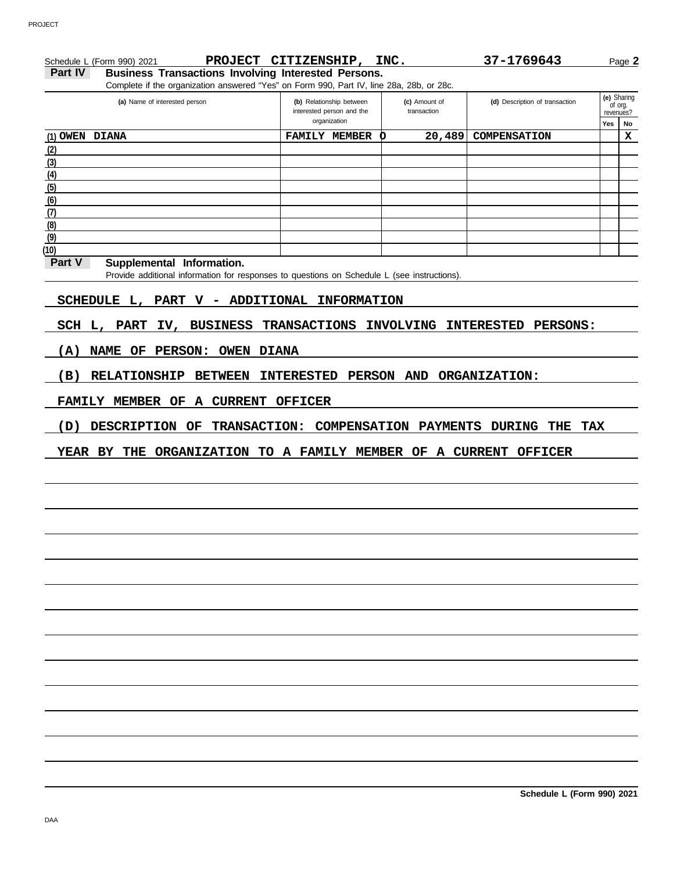|         | Schedule L (Form 990) 2021                                                                  | PROJECT CITIZENSHIP, INC. |               | 37-1769643                     |             | Page 2      |
|---------|---------------------------------------------------------------------------------------------|---------------------------|---------------|--------------------------------|-------------|-------------|
| Part IV | <b>Business Transactions Involving Interested Persons.</b>                                  |                           |               |                                |             |             |
|         | Complete if the organization answered "Yes" on Form 990, Part IV, line 28a, 28b, or 28c.    |                           |               |                                |             |             |
|         | (a) Name of interested person                                                               | (b) Relationship between  | (c) Amount of | (d) Description of transaction | (e) Sharing | of org.     |
|         |                                                                                             | interested person and the | transaction   |                                | revenues?   |             |
|         |                                                                                             | organization              |               |                                | Yes         | No          |
|         | <b>OWEN DIANA</b>                                                                           | <b>FAMILY MEMBER</b>      | 20,489<br>O   | COMPENSATION                   |             | $\mathbf x$ |
|         |                                                                                             |                           |               |                                |             |             |
|         |                                                                                             |                           |               |                                |             |             |
|         |                                                                                             |                           |               |                                |             |             |
|         |                                                                                             |                           |               |                                |             |             |
|         |                                                                                             |                           |               |                                |             |             |
|         |                                                                                             |                           |               |                                |             |             |
|         |                                                                                             |                           |               |                                |             |             |
|         |                                                                                             |                           |               |                                |             |             |
| Part V  | Supplemental Information.                                                                   |                           |               |                                |             |             |
|         | Provide additional information for responses to questions on Schedule L (see instructions). |                           |               |                                |             |             |
|         | SCHEDULE L, PART V - ADDITIONAL INFORMATION                                                 |                           |               |                                |             |             |
|         | SCH L, PART IV, BUSINESS TRANSACTIONS INVOLVING INTERESTED PERSONS:                         |                           |               |                                |             |             |
| (A)     | NAME OF PERSON: OWEN DIANA                                                                  |                           |               |                                |             |             |
| (B)     | RELATIONSHIP BETWEEN INTERESTED PERSON AND ORGANIZATION:                                    |                           |               |                                |             |             |
|         |                                                                                             |                           |               |                                |             |             |
|         | FAMILY MEMBER OF A CURRENT OFFICER                                                          |                           |               |                                |             |             |
| (D)     | DESCRIPTION OF TRANSACTION: COMPENSATION PAYMENTS DURING THE                                |                           |               |                                | TAX         |             |
|         |                                                                                             |                           |               |                                |             |             |
|         |                                                                                             |                           |               |                                |             |             |
|         |                                                                                             |                           |               |                                |             |             |
|         |                                                                                             |                           |               |                                |             |             |
|         |                                                                                             |                           |               |                                |             |             |
|         |                                                                                             |                           |               |                                |             |             |
|         |                                                                                             |                           |               |                                |             |             |
|         |                                                                                             |                           |               |                                |             |             |
|         |                                                                                             |                           |               |                                |             |             |
|         |                                                                                             |                           |               |                                |             |             |
|         |                                                                                             |                           |               |                                |             |             |
|         |                                                                                             |                           |               |                                |             |             |
|         |                                                                                             |                           |               | Schedule L (Form 990) 2021     |             |             |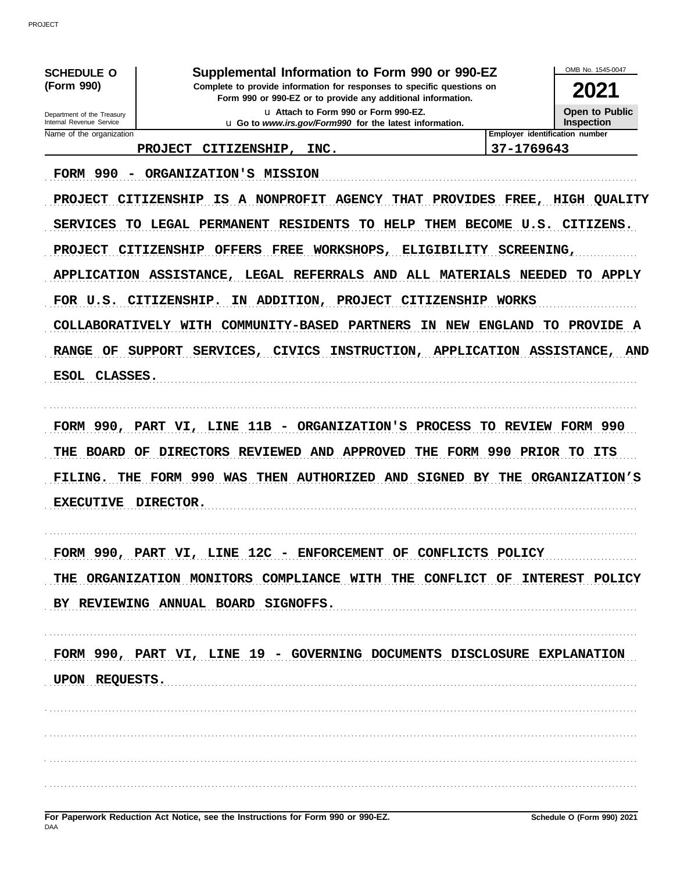| <b>SCHEDULE O</b>                                      | Supplemental Information to Form 990 or 990-EZ                                                                                         |                                         | OMB No. 1545-0047                          |
|--------------------------------------------------------|----------------------------------------------------------------------------------------------------------------------------------------|-----------------------------------------|--------------------------------------------|
| (Form 990)                                             | Complete to provide information for responses to specific questions on<br>Form 990 or 990-EZ or to provide any additional information. |                                         | 2021                                       |
| Department of the Treasury<br>Internal Revenue Service | u Attach to Form 990 or Form 990-EZ.<br>u Go to www.irs.gov/Form990 for the latest information.                                        |                                         | <b>Open to Public</b><br><b>Inspection</b> |
| Name of the organization                               | <b>PROJECT</b><br>CITIZENSHIP,<br>INC.                                                                                                 | 37-1769643                              | Employer identification number             |
|                                                        |                                                                                                                                        |                                         |                                            |
| <b>FORM 990</b><br>$\overline{\phantom{a}}$            | ORGANIZATION'S MISSION                                                                                                                 |                                         |                                            |
| <b>PROJECT</b>                                         | A NONPROFIT<br><b>CITIZENSHIP</b><br><b>AGENCY</b><br>IS.<br><b>THAT</b>                                                               | <b>PROVIDES</b><br>FREE,                | <b>HIGH</b><br><b>QUALITY</b>              |
| <b>SERVICES</b>                                        | TO LEGAL PERMANENT<br><b>RESIDENTS</b><br>HELP<br>TО                                                                                   | THEM BECOME U.S. CITIZENS.              |                                            |
| <b>PROJECT</b>                                         | <b>CITIZENSHIP</b><br>WORKSHOPS,<br><b>OFFERS</b><br><b>FREE</b>                                                                       | <b>ELIGIBILITY</b><br><b>SCREENING,</b> |                                            |
| APPLICATION ASSISTANCE,                                | LEGAL REFERRALS AND                                                                                                                    | <b>ALL MATERIALS</b>                    | NEEDED<br>TO APPLY                         |
| FOR U.S. CITIZENSHIP.                                  | <b>PROJECT</b><br>ΙN<br>ADDITION,                                                                                                      | CITIZENSHIP<br><b>WORKS</b>             |                                            |
|                                                        | COLLABORATIVELY WITH COMMUNITY-BASED<br><b>PARTNERS</b><br>IN                                                                          | <b>ENGLAND</b><br>NEW                   | <b>PROVIDE A</b><br>TO.                    |
| <b>RANGE</b><br><b>SUPPORT</b><br>OF                   | SERVICES,<br>INSTRUCTION,<br><b>CIVICS</b>                                                                                             | APPLICATION ASSISTANCE, AND             |                                            |
| ESOL CLASSES.                                          |                                                                                                                                        |                                         |                                            |
|                                                        |                                                                                                                                        |                                         |                                            |
|                                                        |                                                                                                                                        |                                         |                                            |
|                                                        |                                                                                                                                        |                                         |                                            |
| FORM 990,                                              | PART VI, LINE 11B - ORGANIZATION'S                                                                                                     | PROCESS<br>TO.                          | REVIEW FORM 990                            |
| THE<br>BOARD<br>OF                                     | DIRECTORS REVIEWED AND APPROVED<br>THE                                                                                                 | FORM 990                                | <b>PRIOR</b><br>TO.<br>ITS                 |
| FILING.<br>THE                                         | FORM 990 WAS<br>THEN AUTHORIZED AND SIGNED BY                                                                                          |                                         | THE ORGANIZATION'S                         |
| <b>EXECUTIVE</b>                                       | <b>DIRECTOR.</b>                                                                                                                       |                                         |                                            |
|                                                        |                                                                                                                                        |                                         |                                            |
|                                                        | FORM 990, PART VI, LINE 12C - ENFORCEMENT OF CONFLICTS POLICY                                                                          |                                         |                                            |
|                                                        | THE ORGANIZATION MONITORS COMPLIANCE WITH THE CONFLICT OF INTEREST POLICY                                                              |                                         |                                            |
|                                                        | BY REVIEWING ANNUAL BOARD SIGNOFFS.                                                                                                    |                                         |                                            |
|                                                        |                                                                                                                                        |                                         |                                            |
|                                                        |                                                                                                                                        |                                         |                                            |
|                                                        | FORM 990, PART VI, LINE 19 - GOVERNING DOCUMENTS DISCLOSURE EXPLANATION                                                                |                                         |                                            |
| UPON REQUESTS.                                         |                                                                                                                                        |                                         |                                            |
|                                                        |                                                                                                                                        |                                         |                                            |
|                                                        |                                                                                                                                        |                                         |                                            |
|                                                        |                                                                                                                                        |                                         |                                            |

PROJECT